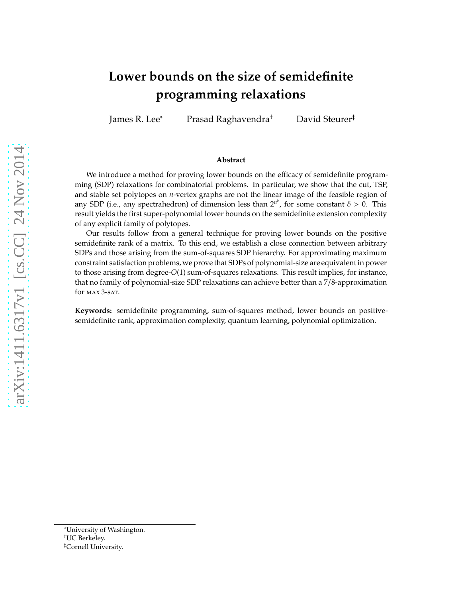# **Lower bounds on the size of semidefinite programming relaxations**

James R. Lee<sup>∗</sup> Prasad Raghavendra† David Steurer‡

#### **Abstract**

We introduce a method for proving lower bounds on the efficacy of semidefinite programming (SDP) relaxations for combinatorial problems. In particular, we show that the cut, TSP, and stable set polytopes on *n*-vertex graphs are not the linear image of the feasible region of any SDP (i.e., any spectrahedron) of dimension less than  $2^{n^{\delta}}$ , for some constant  $\delta > 0$ . This result yields the first super-polynomial lower bounds on the semidefinite extension complexity of any explicit family of polytopes.

Our results follow from a general technique for proving lower bounds on the positive semidefinite rank of a matrix. To this end, we establish a close connection between arbitrary SDPs and those arising from the sum-of-squares SDP hierarchy. For approximating maximum constraint satisfaction problems, we prove that SDPs of polynomial-size are equivalent in power to those arising from degree-*O*(1) sum-of-squares relaxations. This result implies, for instance, that no family of polynomial-size SDP relaxations can achieve better than a 7/8-approximation for **MAX** 3-SAT.

**Keywords:** semidefinite programming, sum-of-squares method, lower bounds on positivesemidefinite rank, approximation complexity, quantum learning, polynomial optimization.

<sup>∗</sup>University of Washington.

<sup>†</sup>UC Berkeley.

<sup>‡</sup>Cornell University.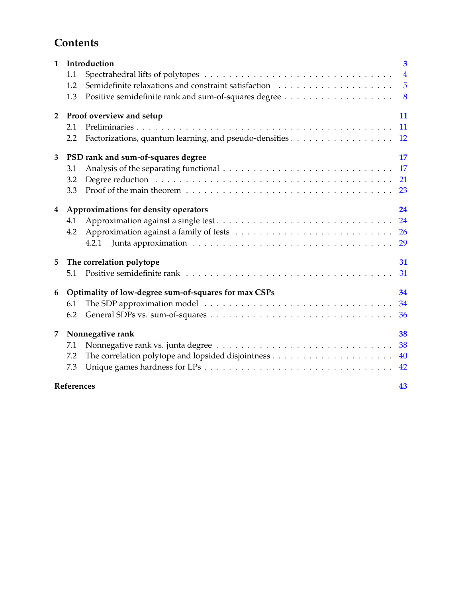## **Contents**

| $\mathbf{1}$                               | Introduction                         |                                                      | $\overline{\mathbf{3}}$ |
|--------------------------------------------|--------------------------------------|------------------------------------------------------|-------------------------|
|                                            | 1.1                                  |                                                      | $\overline{4}$          |
|                                            | 1.2                                  |                                                      | 5                       |
|                                            | 1.3                                  |                                                      | 8                       |
| Proof overview and setup<br>$\overline{2}$ |                                      |                                                      | 11                      |
|                                            | 2.1                                  |                                                      | 11                      |
|                                            | 2.2                                  |                                                      | 12                      |
| 3                                          |                                      | PSD rank and sum-of-squares degree                   | 17                      |
|                                            | 3.1                                  |                                                      | 17                      |
|                                            | 3.2                                  |                                                      | 21                      |
|                                            | 3.3                                  |                                                      | 23                      |
| 4                                          | Approximations for density operators |                                                      | 24                      |
|                                            | 4.1                                  |                                                      | 24                      |
|                                            | 4.2                                  |                                                      | <b>26</b>               |
|                                            |                                      | 4.2.1                                                | 29                      |
| 5                                          | The correlation polytope             |                                                      | 31                      |
|                                            | 5.1                                  |                                                      | 31                      |
| 6                                          |                                      | Optimality of low-degree sum-of-squares for max CSPs | 34                      |
|                                            | 6.1                                  |                                                      | 34                      |
|                                            | 6.2                                  |                                                      | 36                      |
| 7                                          | Nonnegative rank                     |                                                      | 38                      |
|                                            | 7.1                                  |                                                      | 38                      |
|                                            | 7.2                                  |                                                      | 40                      |
|                                            | 7.3                                  |                                                      | 42                      |
|                                            | References<br>43                     |                                                      |                         |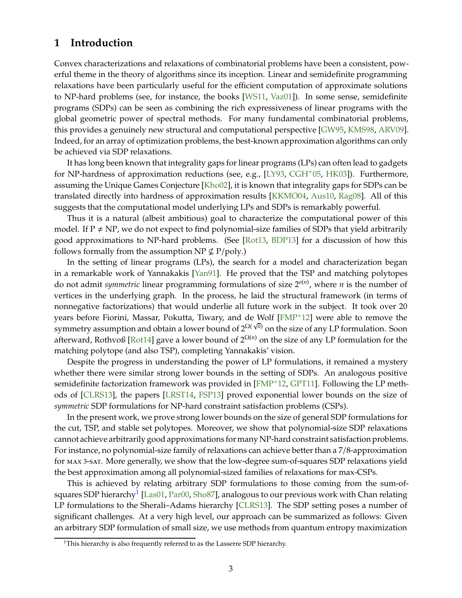## <span id="page-2-2"></span><span id="page-2-0"></span>**1 Introduction**

Convex characterizations and relaxations of combinatorial problems have been a consistent, powerful theme in the theory of algorithms since its inception. Linear and semidefinite programming relaxations have been particularly useful for the efficient computation of approximate solutions to NP-hard problems (see, for instance, the books [\[WS11,](#page-45-0) [Vaz01\]](#page-45-1)). In some sense, semidefinite programs (SDPs) can be seen as combining the rich expressiveness of linear programs with the global geometric power of spectral methods. For many fundamental combinatorial problems, this provides a genuinely new structural and computational perspective [\[GW95,](#page-43-0) [KMS98,](#page-44-0) [ARV09\]](#page-42-1). Indeed, for an array of optimization problems, the best-known approximation algorithms can only be achieved via SDP relaxations.

It has long been known that integrality gaps for linear programs (LPs) can often lead to gadgets for NP-hardness of approximation reductions (see, e.g., [LY93, [CGH](#page-43-1)<sup>+</sup>05, [HK03\]](#page-44-1)). Furthermore, assuming the Unique Games Conjecture [Kho02], it is known that integrality gaps for SDPs can be translated directly into hardness of approximation results [KKMO04, [Aus10,](#page-42-2) [Rag08\]](#page-44-2). All of this suggests that the computational model underlying LPs and SDPs is remarkably powerful.

Thus it is a natural (albeit ambitious) goal to characterize the computational power of this model. If  $P \neq NP$ , we do not expect to find polynomial-size families of SDPs that yield arbitrarily good approximations to NP-hard problems. (See [\[Rot13,](#page-44-3) BDP13] for a discussion of how this follows formally from the assumption NP  $\nsubseteq$  P/poly.)

In the setting of linear programs (LPs), the search for a model and characterization began in a remarkable work of Yannakakis [\[Yan91\]](#page-45-2). He proved that the TSP and matching polytopes do not admit *symmetric* linear programming formulations of size 2*o*(*n*) , where *n* is the number of vertices in the underlying graph. In the process, he laid the structural framework (in terms of nonnegative factorizations) that would underlie all future work in the subject. It took over 20 years before Fiorini, Massar, Pokutta, Tiwary, and de Wolf [\[FMP](#page-43-2)+12] were able to remove the symmetry assumption and obtain a lower bound of 2Ω( √ *<sup>n</sup>*) on the size of any LP formulation. Soon afterward, Rothvoß [Rot14] gave a lower bound of  $2^{\Omega(n)}$  on the size of any LP formulation for the matching polytope (and also TSP), completing Yannakakis' vision.

Despite the progress in understanding the power of LP formulations, it remained a mystery whether there were similar strong lower bounds in the setting of SDPs. An analogous positive semidefinite factorization framework was provided in  $[FMP<sup>+12</sup>, GPT11]$  $[FMP<sup>+12</sup>, GPT11]$  $[FMP<sup>+12</sup>, GPT11]$ . Following the LP methods of [CLRS13], the papers [LRST14, [FSP13\]](#page-43-4) proved exponential lower bounds on the size of *symmetric* SDP formulations for NP-hard constraint satisfaction problems (CSPs).

In the present work, we prove strong lower bounds on the size of general SDP formulations for the cut, TSP, and stable set polytopes. Moreover, we show that polynomial-size SDP relaxations cannot achieve arbitrarily good approximations for many NP-hard constraint satisfaction problems. For instance, no polynomial-size family of relaxations can achieve better than a 7/8-approximation for max <sup>3</sup>-sat. More generally, we show that the low-degree sum-of-squares SDP relaxations yield the best approximation among all polynomial-sized families of relaxations for max-CSPs.

This is achieved by relating arbitrary SDP formulations to those coming from the sum-of-squares SDP hierarchy<sup>[1](#page-2-1)</sup> [\[Las01,](#page-44-4) [Par00,](#page-44-5) [Sho87\]](#page-45-3), analogous to our previous work with Chan relating LP formulations to the Sherali–Adams hierarchy [CLRS13]. The SDP setting poses a number of significant challenges. At a very high level, our approach can be summarized as follows: Given an arbitrary SDP formulation of small size, we use methods from quantum entropy maximization

<span id="page-2-1"></span><sup>&</sup>lt;sup>1</sup>This hierarchy is also frequently referred to as the Lasserre SDP hierarchy.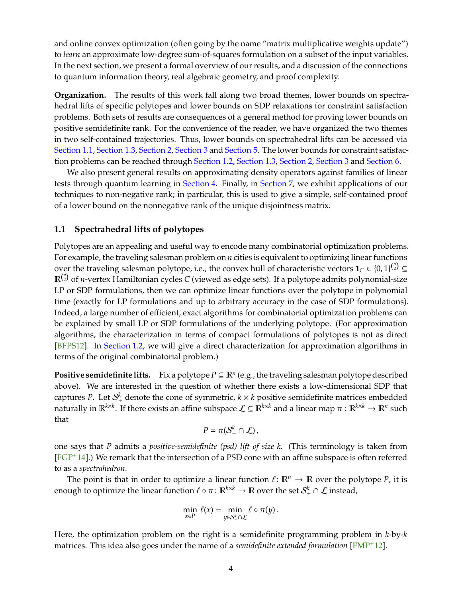<span id="page-3-1"></span>and online convex optimization (often going by the name "matrix multiplicative weights update") to *learn* an approximate low-degree sum-of-squares formulation on a subset of the input variables. In the next section, we present a formal overview of our results, and a discussion of the connections to quantum information theory, real algebraic geometry, and proof complexity.

**Organization.** The results of this work fall along two broad themes, lower bounds on spectrahedral lifts of specific polytopes and lower bounds on SDP relaxations for constraint satisfaction problems. Both sets of results are consequences of a general method for proving lower bounds on positive semidefinite rank. For the convenience of the reader, we have organized the two themes in two self-contained trajectories. Thus, lower bounds on spectrahedral lifts can be accessed via [Section 1.1,](#page-3-0) [Section 1.3,](#page-7-0) [Section 2,](#page-10-0) [Section 3](#page-16-0) and [Section 5.](#page-30-0) The lower bounds for constraint satisfaction problems can be reached through [Section 1.2,](#page-4-0) [Section 1.3,](#page-7-0) [Section 2,](#page-10-0) [Section 3](#page-16-0) and [Section 6.](#page-33-0)

We also present general results on approximating density operators against families of linear tests through quantum learning in [Section 4.](#page-23-0) Finally, in [Section 7,](#page-37-0) we exhibit applications of our techniques to non-negative rank; in particular, this is used to give a simple, self-contained proof of a lower bound on the nonnegative rank of the unique disjointness matrix.

### <span id="page-3-0"></span>**1.1 Spectrahedral lifts of polytopes**

Polytopes are an appealing and useful way to encode many combinatorial optimization problems. For example, the traveling salesman problem on *n* cities is equivalent to optimizing linear functions over the traveling salesman polytope, i.e., the convex hull of characteristic vectors  $\mathbf{1}_C \in \{0,1\}^{n \choose 2} \subseteq$  $\mathbb{R}^{n \choose 2}$  of *n*-vertex Hamiltonian cycles *C* (viewed as edge sets). If a polytope admits polynomial-size LP or SDP formulations, then we can optimize linear functions over the polytope in polynomial time (exactly for LP formulations and up to arbitrary accuracy in the case of SDP formulations). Indeed, a large number of efficient, exact algorithms for combinatorial optimization problems can be explained by small LP or SDP formulations of the underlying polytope. (For approximation algorithms, the characterization in terms of compact formulations of polytopes is not as direct [BFPS12]. In [Section 1.2,](#page-4-0) we will give a direct characterization for approximation algorithms in terms of the original combinatorial problem.)

**Positive semidefinite lifts.** Fix a polytope  $P \subseteq \mathbb{R}^n$  (e.g., the traveling salesman polytope described above). We are interested in the question of whether there exists a low-dimensional SDP that captures *P*. Let  $S^k_+$  denote the cone of symmetric,  $k \times k$  positive semidefinite matrices embedded naturally in  $\mathbb{R}^{k\times k}$ . If there exists an affine subspace  $\mathcal{L}\subseteq\mathbb{R}^{k\times k}$  and a linear map  $\pi:\mathbb{R}^{k\times k}\to\mathbb{R}^n$  such that

$$
P=\pi(\mathcal{S}_+^k\cap \mathcal{L}),
$$

one says that *P* admits a *positive-semidefinite (psd) lift of size k.* (This terminology is taken from  $[FGP+14]$  $[FGP+14]$ .) We remark that the intersection of a PSD cone with an affine subspace is often referred to as a *spectrahedron.*

The point is that in order to optimize a linear function  $\ell \colon \mathbb{R}^n \to \mathbb{R}$  over the polytope *P*, it is enough to optimize the linear function  $\ell \circ \pi \colon \mathbb{R}^{k \times k} \to \mathbb{R}$  over the set  $\mathcal{S}_+^k \cap \mathcal{L}$  instead,

$$
\min_{x \in P} \ell(x) = \min_{y \in S_+^k \cap \mathcal{L}} \ell \circ \pi(y).
$$

Here, the optimization problem on the right is a semidefinite programming problem in *k*-by-*k* matrices. This idea also goes under the name of a *semidefinite extended formulation* [\[FMP](#page-43-2)+12].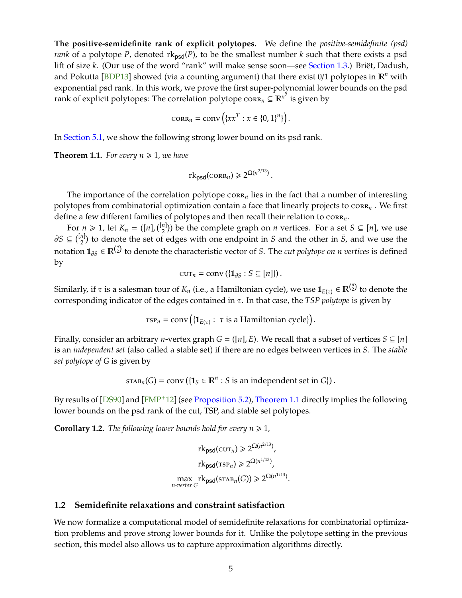<span id="page-4-2"></span>**The positive-semidefinite rank of explicit polytopes.** We define the *positive-semidefinite (psd) rank* of a polytope *P*, denoted  $rk_{psd}(P)$ , to be the smallest number *k* such that there exists a psd lift of size *k*. (Our use of the word "rank" will make sense soon—see [Section 1.3.](#page-7-0)) Briët, Dadush, and Pokutta [BDP13] showed (via a counting argument) that there exist  $0/1$  polytopes in  $\mathbb{R}^n$  with exponential psd rank. In this work, we prove the first super-polynomial lower bounds on the psd rank of explicit polytopes: The correlation polytope  $\operatorname{cora}_n \subseteq \mathbb{R}^{n^2}$  is given by

$$
\operatorname{CORR}_n = \operatorname{conv}\left(\{xx^T : x \in \{0,1\}^n\}\right).
$$

In [Section 5.1,](#page-30-1) we show the following strong lower bound on its psd rank.

<span id="page-4-1"></span>**Theorem 1.1.** For every  $n \geq 1$ , we have

 $rk_{psd}(\text{CORR}_{n}) \geq 2^{\Omega(n^{2/13})}$ .

The importance of the correlation polytope  $\cos x_n$  lies in the fact that a number of interesting polytopes from combinatorial optimization contain a face that linearly projects to corr<sub>n</sub>. We first define a few different families of polytopes and then recall their relation to  $\text{cor} \mathbf{R}_n$ .

For  $n \ge 1$ , let  $K_n = (\lfloor n \rfloor, \binom{\lfloor n \rfloor}{2})$  be the complete graph on *n* vertices. For a set  $S \subseteq [n]$ , we use  $∂S \subseteq {n \choose 2}$  to denote the set of edges with one endpoint in *S* and the other in  $\overline{S}$ , and we use the notation **<sup>1</sup>**∂*<sup>S</sup>* <sup>∈</sup> <sup>R</sup>( *n* 2 ) to denote the characteristic vector of *S*. The *cut polytope on n vertices* is defined by

$$
\operatorname{cut}_n = \operatorname{conv}\left(\{\mathbf{1}_{\partial S} : S \subseteq [n]\}\right).
$$

Similarly, if  $\tau$  is a salesman tour of  $K_n$  (i.e., a Hamiltonian cycle), we use  $\mathbf{1}_{E(\tau)}\in\mathbb{R}^{n\choose 2}$  to denote the corresponding indicator of the edges contained in τ. In that case, the *TSP polytope* is given by

$$
\text{TSP}_n = \text{conv}\left(\{\mathbf{1}_{E(\tau)}: \ \tau \text{ is a Hamiltonian cycle}\}\right).
$$

Finally, consider an arbitrary *n*-vertex graph  $G = ([n], E)$ . We recall that a subset of vertices  $S \subseteq [n]$ is an *independent set* (also called a stable set) if there are no edges between vertices in *S*. The *stable set polytope of G* is given by

 $\text{STAB}_n(G) = \text{conv}\left(\{1_S \in \mathbb{R}^n : S \text{ is an independent set in } G\}\right).$ 

By results of [\[DS90\]](#page-43-6) and [\[FMP](#page-43-2)+12] (see [Proposition 5.2\)](#page-30-2), [Theorem 1.1](#page-4-1) directly implies the following lower bounds on the psd rank of the cut, TSP, and stable set polytopes.

**Corollary 1.2.** *The following lower bounds hold for every*  $n \geq 1$ *,* 

$$
rk_{psd}(cur_n) \geq 2^{\Omega(n^{2/13})},
$$
  
\n
$$
rk_{psd}(rsr_n) \geq 2^{\Omega(n^{1/13})},
$$
  
\n
$$
\max_{n\text{-vertex }G} rk_{psd}(srAB_n(G)) \geq 2^{\Omega(n^{1/13})}.
$$

#### <span id="page-4-0"></span>**1.2 Semidefinite relaxations and constraint satisfaction**

We now formalize a computational model of semidefinite relaxations for combinatorial optimization problems and prove strong lower bounds for it. Unlike the polytope setting in the previous section, this model also allows us to capture approximation algorithms directly.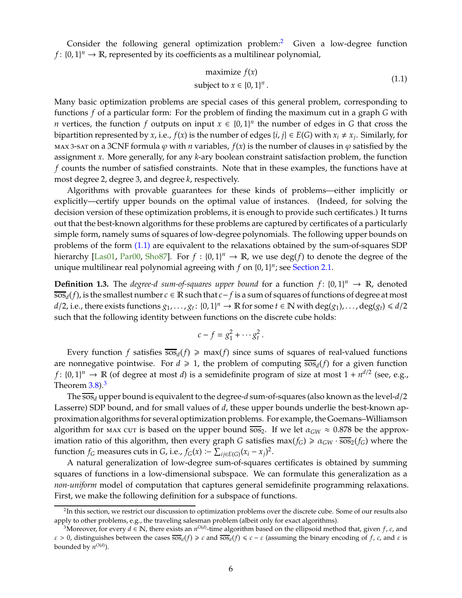<span id="page-5-3"></span>Consider the following general optimization problem:<sup>[2](#page-5-0)</sup> Given a low-degree function *f* :  $\{0, 1\}^n \to \mathbb{R}$ , represented by its coefficients as a multilinear polynomial,

<span id="page-5-1"></span>
$$
\text{maximize } f(x) \\
\text{subject to } x \in \{0, 1\}^n \,.
$$
\n
$$
\tag{1.1}
$$

Many basic optimization problems are special cases of this general problem, corresponding to functions *f* of a particular form: For the problem of finding the maximum cut in a graph *G* with *n* vertices, the function *f* outputs on input  $x \in \{0, 1\}^n$  the number of edges in *G* that cross the bipartition represented by *x*, i.e.,  $f(x)$  is the number of edges  $\{i, j\} \in E(G)$  with  $x_i \neq x_j$ . Similarly, for max 3-sat on a 3CNF formula  $\varphi$  with *n* variables,  $f(x)$  is the number of clauses in  $\varphi$  satisfied by the assignment *x*. More generally, for any *k*-ary boolean constraint satisfaction problem, the function *f* counts the number of satisfied constraints. Note that in these examples, the functions have at most degree 2, degree 3, and degree *k*, respectively.

Algorithms with provable guarantees for these kinds of problems—either implicitly or explicitly—certify upper bounds on the optimal value of instances. (Indeed, for solving the decision version of these optimization problems, it is enough to provide such certificates.) It turns out that the best-known algorithms for these problems are captured by certificates of a particularly simple form, namely sums of squares of low-degree polynomials. The following upper bounds on problems of the form [\(1.1\)](#page-5-1) are equivalent to the relaxations obtained by the sum-of-squares SDP hierarchy [\[Las01,](#page-44-4) [Par00,](#page-44-5) [Sho87\]](#page-45-3). For  $f : \{0,1\}^n \to \mathbb{R}$ , we use  $deg(f)$  to denote the degree of the unique multilinear real polynomial agreeing with  $f$  on  $\{0, 1\}^n$ ; see [Section 2.1.](#page-10-1)

**Definition 1.3.** The *degree-d sum-of-squares upper bound* for a function  $f: \{0, 1\}^n \to \mathbb{R}$ , denoted sos*<sup>d</sup>* (*f*), is the smallest number *c* ∈ R such that *c*− *f* is a sum of squares of functions of degree at most  $d/2$ , i.e., there exists functions  $g_1, \ldots, g_t$ :  $\{0, 1\}^n \to \mathbb{R}$  for some  $t \in \mathbb{N}$  with  $\deg(g_1), \ldots, \deg(g_t) \leq d/2$ such that the following identity between functions on the discrete cube holds:

$$
c-f=g_1^2+\cdots g_t^2.
$$

Every function *f* satisfies  $\overline{sos}_d(f) \geq \max(f)$  since sums of squares of real-valued functions are nonnegative pointwise. For  $d \geq 1$ , the problem of computing  $\overline{sos}_d(f)$  for a given function *f* :  $\{0,1\}^n \to \mathbb{R}$  (of degree at most *d*) is a semidefinite program of size at most  $1 + n^{d/2}$  (see, e.g., Theorem  $3.8$  $3.8$ ). $3$ 

The sos*<sup>d</sup>* upper bound is equivalent to the degree-*d* sum-of-squares (also known as the level-*d*/2 Lasserre) SDP bound, and for small values of *d*, these upper bounds underlie the best-known approximation algorithms for several optimization problems. For example, the Goemans–Williamson algorithm for max cut is based on the upper bound  $\overline{s}$ . If we let  $\alpha_{GW} \approx 0.878$  be the approximation ratio of this algorithm, then every graph *G* satisfies  $max(f_G) \ge \alpha_{GW} \cdot \overline{sos_2(f_G)}$  where the function *f<sub>G</sub>* measures cuts in *G*, i.e., *f<sub>G</sub>*(*x*) :–  $\sum_{ij \in E(G)} (x_i - x_j)^2$ .

A natural generalization of low-degree sum-of-squares certificates is obtained by summing squares of functions in a low-dimensional subspace. We can formulate this generalization as a *non-uniform* model of computation that captures general semidefinite programming relaxations. First, we make the following definition for a subspace of functions.

<span id="page-5-0"></span><sup>&</sup>lt;sup>2</sup>In this section, we restrict our discussion to optimization problems over the discrete cube. Some of our results also apply to other problems, e.g., the traveling salesman problem (albeit only for exact algorithms).

<span id="page-5-2"></span><sup>&</sup>lt;sup>3</sup>Moreover, for every  $d \in \mathbb{N}$ , there exists an  $n^{O(d)}$ -time algorithm based on the ellipsoid method that, given  $f$ ,  $c$ , and  $\varepsilon > 0$ , distinguishes between the cases  $\overline{\cos_d}(f) \ge c$  and  $\overline{\cos_d}(f) \le c - \varepsilon$  (assuming the binary encoding of *f*, *c*, and  $\varepsilon$  is bounded by  $n^{O(d)}$ ).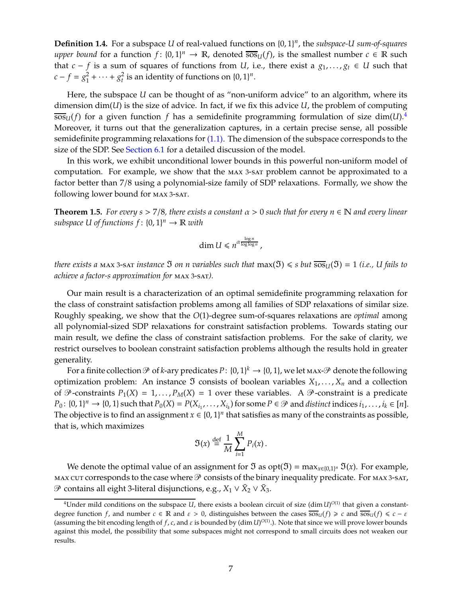**Definition 1.4.** For a subspace *U* of real-valued functions on {0, 1} *n* , the *subspace-U sum-of-squares upper bound* for a function  $f: \{0, 1\}^n \to \mathbb{R}$ , denoted  $\overline{sos}_U(f)$ , is the smallest number  $c \in \mathbb{R}$  such that *c* − *f* is a sum of squares of functions from *U*, i.e., there exist a  $g_1, \ldots, g_t \in U$  such that  $c - f = g_1^2$  $g_1^2 + \cdots + g_t^2$  is an identity of functions on  $\{0, 1\}^n$ .

Here, the subspace *U* can be thought of as "non-uniform advice" to an algorithm, where its dimension dim(*U*) is the size of advice. In fact, if we fix this advice *U*, the problem of computing  $\overline{s}$ os<sub>*U*</sub>(*f*) for a given function *f* has a semidefinite programming formulation of size dim(*U*).<sup>[4](#page-6-0)</sup> Moreover, it turns out that the generalization captures, in a certain precise sense, all possible semidefinite programming relaxations for  $(1.1)$ . The dimension of the subspace corresponds to the size of the SDP. See [Section 6.1](#page-33-1) for a detailed discussion of the model.

In this work, we exhibit unconditional lower bounds in this powerful non-uniform model of computation. For example, we show that the max <sup>3</sup>-sat problem cannot be approximated to a factor better than 7/8 using a polynomial-size family of SDP relaxations. Formally, we show the following lower bound for max <sup>3</sup>-sat.

<span id="page-6-1"></span>**Theorem 1.5.** *For every s* > 7/8*, there exists a constant*  $\alpha$  > 0 *such that for every n*  $\in \mathbb{N}$  *and every linear*  $subspace U of functions f: {0, 1}<sup>n</sup> \rightarrow \mathbb{R} with$ 

$$
\dim U \leq n^{\alpha \frac{\log n}{\log \log n}},
$$

*there exists a* max 3-sat *instance*  $\Im$  *on n variables such that*  $max(\Im) \le s$  *but*  $\overline{sos}$  $U(\Im) = 1$  *(i.e., U fails to achieve a factor-s approximation for* max <sup>3</sup>-sat*).*

Our main result is a characterization of an optimal semidefinite programming relaxation for the class of constraint satisfaction problems among all families of SDP relaxations of similar size. Roughly speaking, we show that the *O*(1)-degree sum-of-squares relaxations are *optimal* among all polynomial-sized SDP relaxations for constraint satisfaction problems. Towards stating our main result, we define the class of constraint satisfaction problems. For the sake of clarity, we restrict ourselves to boolean constraint satisfaction problems although the results hold in greater generality.

For a finite collection  $P$  of *k*-ary predicates  $P\colon \{0,1\}^k\to \{0,1\}$ , we let max- $P$  denote the following optimization problem: An instance  $\mathfrak I$  consists of boolean variables  $X_1, \ldots, X_n$  and a collection of  $\mathcal{P}$ -constraints  $P_1(X) = 1, ..., P_M(X) = 1$  over these variables. A  $\mathcal{P}$ -constraint is a predicate  $P_0: \{0,1\}^n \to \{0,1\}$  such that  $P_0(X) = P(X_{i_1},...,X_{i_k})$  for some  $P \in \mathcal{P}$  and *distinct* indices  $i_1,...,i_k \in [n]$ . The objective is to find an assignment  $x \in \{0,1\}^n$  that satisfies as many of the constraints as possible, that is, which maximizes

$$
\mathfrak{I}(x) \stackrel{\text{def}}{=} \frac{1}{M} \sum_{i=1}^{M} P_i(x).
$$

We denote the optimal value of an assignment for  $\mathfrak I$  as  $\mathrm{opt}(\mathfrak I) = \max_{x \in \{0,1\}^n} \mathfrak I(x)$ . For example, MAX CUT corresponds to the case where  $\mathcal P$  consists of the binary inequality predicate. For MAX 3-SAT,  $\mathcal{P}$  contains all eight 3-literal disjunctions, e.g., *X*<sub>1</sub> ∨ *X*<sub>2</sub> ∨ *X*<sub>3</sub>.

<span id="page-6-0"></span> $^4$ Under mild conditions on the subspace  $U$ , there exists a boolean circuit of size (dim  $U)^{O(1)}$  that given a constantdegree function *f*, and number  $c \in \mathbb{R}$  and  $\varepsilon > 0$ , distinguishes between the cases  $\overline{s\omega}u(f) \geq c$  and  $\overline{s\omega}u(f) \leq c - \varepsilon$ (assuming the bit encoding length of f, c, and  $\varepsilon$  is bounded by (dim *U*)<sup>O(1)</sup>.). Note that since we will prove lower bounds against this model, the possibility that some subspaces might not correspond to small circuits does not weaken our results.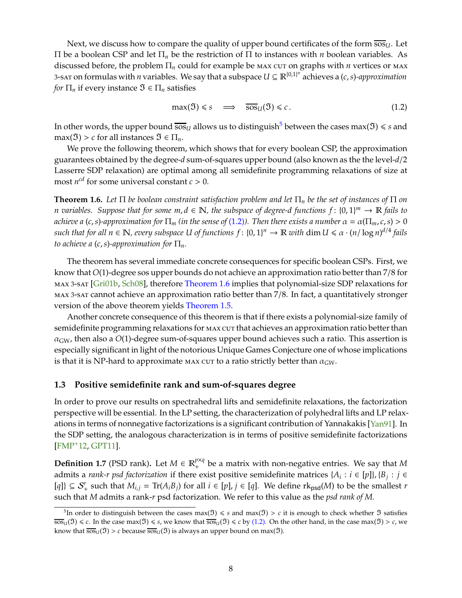<span id="page-7-4"></span>Next, we discuss how to compare the quality of upper bound certificates of the form  $\overline{s_{0}}$ . Let Π be a boolean CSP and let Π*<sup>n</sup>* be the restriction of Π to instances with *n* boolean variables. As discussed before, the problem  $\Pi_n$  could for example be max cut on graphs with *n* vertices or max 3-sat on formulas with *n* variables. We say that a subspace  $U \subseteq \mathbb{R}^{\{0,1\}^n}$  achieves a  $(c, s)$ -*approximation for*  $\Pi_n$  if every instance  $\mathfrak{I} \in \Pi_n$  satisfies

<span id="page-7-2"></span>
$$
\max(\mathfrak{I}) \leq s \quad \Longrightarrow \quad \overline{\text{sos}}_{\mathfrak{U}}(\mathfrak{I}) \leq c. \tag{1.2}
$$

In other words, the upper bound  $\overline{s_{0s}}$  allows us to distinguish<sup>[5](#page-7-1)</sup> between the cases max( $\mathfrak{I}$ )  $\leq$  *s* and  $max(\mathfrak{I}) > c$  for all instances  $\mathfrak{I} \in \Pi_n$ .

We prove the following theorem, which shows that for every boolean CSP, the approximation guarantees obtained by the degree-*d* sum-of-squares upper bound (also known as the the level-*d*/2 Lasserre SDP relaxation) are optimal among all semidefinite programming relaxations of size at most  $n^{cd}$  for some universal constant  $c > 0$ .

<span id="page-7-3"></span>**Theorem 1.6.** *Let* Π *be boolean constraint satisfaction problem and let* Π*<sup>n</sup> be the set of instances of* Π *on n variables. Suppose that for some m*, *d* ∈ N*, the subspace of degree-d functions f* : {0, 1} *<sup>m</sup>* <sup>→</sup> <sup>R</sup> *fails to achieve a* (*c*,*s*)-approximation for  $\Pi_m$  (in the sense of [\(1.2\)](#page-7-2)). Then there exists a number  $\alpha = \alpha(\Pi_m, c, s) > 0$  $such$  that for all  $n \in \mathbb{N}$ , every subspace U of functions  $f: \{0,1\}^n \to \mathbb{R}$  with  $\dim U \leq \alpha \cdot (n/\log n)^{d/4}$  fails *to achieve a*  $(c, s)$ -*approximation for*  $\Pi_n$ *.* 

The theorem has several immediate concrete consequences for specific boolean CSPs. First, we know that *O*(1)-degree sos upper bounds do not achieve an approximation ratio better than 7/8 for max <sup>3</sup>-sat [\[Gri01b,](#page-43-7) [Sch08\]](#page-45-4), therefore [Theorem 1.6](#page-7-3) implies that polynomial-size SDP relaxations for max <sup>3</sup>-sat cannot achieve an approximation ratio better than 7/8. In fact, a quantitatively stronger version of the above theorem yields [Theorem 1.5.](#page-6-1)

Another concrete consequence of this theorem is that if there exists a polynomial-size family of semidefinite programming relaxations for  $max$  cut that achieves an approximation ratio better than  $\alpha_{\rm GW}$ , then also a  $O(1)$ -degree sum-of-squares upper bound achieves such a ratio. This assertion is especially significant in light of the notorious Unique Games Conjecture one of whose implications is that it is NP-hard to approximate  $M = N \cdot \text{Cov}$  aratio strictly better than  $\alpha_{GW}$ .

#### <span id="page-7-0"></span>**1.3 Positive semidefinite rank and sum-of-squares degree**

In order to prove our results on spectrahedral lifts and semidefinite relaxations, the factorization perspective will be essential. In the LP setting, the characterization of polyhedral lifts and LP relaxations in terms of nonnegative factorizations is a significant contribution of Yannakakis [\[Yan91\]](#page-45-2). In the SDP setting, the analogous characterization is in terms of positive semidefinite factorizations [\[FMP](#page-43-2)+12, [GPT11\]](#page-43-3).

**Definition 1.7** (PSD rank). Let  $M \in \mathbb{R}^{p \times q}_+$  be a matrix with non-negative entries. We say that M admits a *rank-r psd factorization* if there exist positive semidefinite matrices { $A_i : i \in [p]$ }, { $B_j : j \in$  $[q]$ }  $\subseteq S^r_+$  such that  $M_{i,j} = \text{Tr}(A_i B_j)$  for all  $i \in [p]$ ,  $j \in [q]$ . We define  $\text{rk}_{\text{psd}}(M)$  to be the smallest *r* such that *M* admits a rank-*r* psd factorization. We refer to this value as the *psd rank of M.*

<span id="page-7-1"></span><sup>&</sup>lt;sup>5</sup>In order to distinguish between the cases max( $\mathfrak{I}$ )  $\leq$  *s* and max( $\mathfrak{I}$ )  $>$  *c* it is enough to check whether  $\mathfrak{I}$  satisfies  $\overline{\text{sos}}_U(\mathfrak{I}) \leq c$ . In the case max( $\mathfrak{I}) \leq s$ , we know that  $\overline{\text{sos}}_U(\mathfrak{I}) \leq c$  by [\(1.2\).](#page-7-2) On the other hand, in the case max( $\mathfrak{I} > c$ , we know that  $\overline{sos}_{U}(3) > c$  because  $\overline{sos}_{U}(3)$  is always an upper bound on max( $\mathfrak{I}$ ).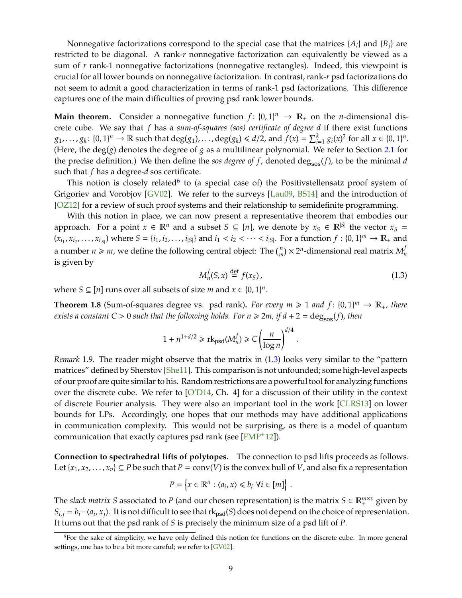<span id="page-8-3"></span>Nonnegative factorizations correspond to the special case that the matrices  ${A_i}$  and  ${B_i}$  are restricted to be diagonal. A rank-*r* nonnegative factorization can equivalently be viewed as a sum of *r* rank-1 nonnegative factorizations (nonnegative rectangles). Indeed, this viewpoint is crucial for all lower bounds on nonnegative factorization. In contrast, rank-*r* psd factorizations do not seem to admit a good characterization in terms of rank-1 psd factorizations. This difference captures one of the main difficulties of proving psd rank lower bounds.

**Main theorem.** Consider a nonnegative function  $f: \{0, 1\}^n \rightarrow \mathbb{R}_+$  on the *n*-dimensional discrete cube. We say that *f* has a *sum-of-squares (sos) certificate of degree d* if there exist functions  $g_1,\ldots,g_k\colon\{0,1\}^n\to\mathbb{R}$  such that  $\deg(g_1),\ldots,\deg(g_k)\leq d/2$ , and  $f(x)=\sum_{i=1}^k g_i(x)^2$  for all  $x\in\{0,1\}^n$ . (Here, the deg( $g$ ) denotes the degree of  $g$  as a multilinear polynomial. We refer to Section [2.1](#page-10-1) for the precise definition.) We then define the *sos degree of f*, denoted deg<sub>sos</sub>(*f*), to be the minimal *d* such that *f* has a degree-*d* sos certificate.

This notion is closely related $6$  to (a special case of) the Positivstellensatz proof system of Grigoriev and Vorobjov [\[GV02\]](#page-43-8). We refer to the surveys [\[Lau09,](#page-44-6) BS14] and the introduction of [\[OZ12\]](#page-44-7) for a review of such proof systems and their relationship to semidefinite programming.

With this notion in place, we can now present a representative theorem that embodies our approach. For a point  $x \in \mathbb{R}^n$  and a subset  $S \subseteq [n]$ , we denote by  $x_S \in \mathbb{R}^{|S|}$  the vector  $x_S =$  $(x_{i_1}, x_{i_2}, \ldots, x_{i_{|S|}})$  where  $S = \{i_1, i_2, \ldots, i_{|S|}\}$  and  $i_1 < i_2 < \cdots < i_{|S|}$ . For a function  $f : \{0, 1\}^m \to \mathbb{R}_+$  and a number  $n \geqslant m$ , we define the following central object: The  $\binom{n}{m} \times 2^n$ -dimensional real matrix  $M_n^f$ *n* is given by

<span id="page-8-1"></span>
$$
M_n^f(S, x) \stackrel{\text{def}}{=} f(x_S), \tag{1.3}
$$

.

where *S*  $\subseteq$  [*n*] runs over all subsets of size *m* and *x*  $\in$  {0, 1}<sup>*n*</sup>.

<span id="page-8-2"></span>**Theorem 1.8** (Sum-of-squares degree vs. psd rank). For every  $m \ge 1$  and  $f: \{0, 1\}^m \to \mathbb{R}_+$ , there *exists a constant C > 0 such that the following holds. For*  $n \ge 2m$ *, if*  $d + 2 = \text{deg}_{\text{sos}}(f)$ *, then* 

$$
1 + n^{1+d/2} \ge \text{rk}_{\text{psd}}(M_n^f) \ge C \left(\frac{n}{\log n}\right)^{d/4}
$$

*Remark* 1.9*.* The reader might observe that the matrix in [\(1.3\)](#page-8-1) looks very similar to the "pattern matrices" defined by Sherstov [\[She11\]](#page-45-5). This comparison is not unfounded; some high-level aspects of our proof are quite similar to his. Random restrictions are a powerful tool for analyzing functions over the discrete cube. We refer to  $\lbrack O'D14, Ch. 4\rbrack$  for a discussion of their utility in the context of discrete Fourier analysis. They were also an important tool in the work [CLRS13] on lower bounds for LPs. Accordingly, one hopes that our methods may have additional applications in communication complexity. This would not be surprising, as there is a model of quantum communication that exactly captures psd rank (see [\[FMP](#page-43-2)+12]).

**Connection to spectrahedral lifts of polytopes.** The connection to psd lifts proceeds as follows. Let  $\{x_1, x_2, \ldots, x_v\} \subseteq P$  be such that  $P = conv(V)$  is the convex hull of *V*, and also fix a representation

$$
P = \left\{ x \in \mathbb{R}^n : \langle a_i, x \rangle \leq b_i \ \forall i \in [m] \right\}.
$$

The *slack matrix S* associated to *P* (and our chosen representation) is the matrix  $S \in \mathbb{R}_{+}^{m \times v}$  given by  $S_{i,j} = b_i - \langle a_i, x_j \rangle$ . It is not difficult to see that rk<sub>psd</sub>(*S*) does not depend on the choice of representation. It turns out that the psd rank of *S* is precisely the minimum size of a psd lift of *P*.

<span id="page-8-0"></span> $6$ For the sake of simplicity, we have only defined this notion for functions on the discrete cube. In more general settings, one has to be a bit more careful; we refer to [\[GV02\]](#page-43-8).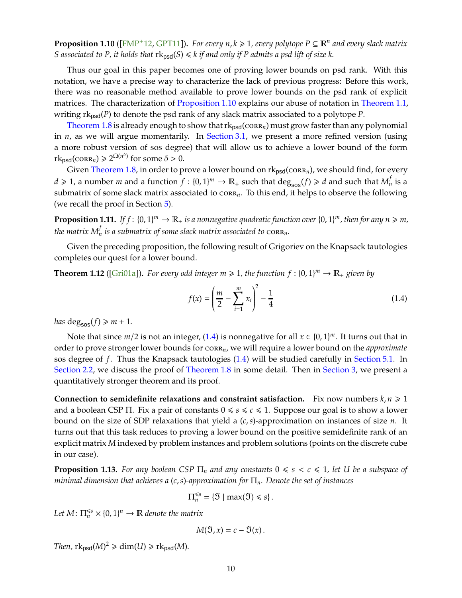<span id="page-9-5"></span><span id="page-9-0"></span>**Proposition 1.10** ([\[FMP](#page-43-2)<sup>+</sup>12, [GPT11\]](#page-43-3)). *For every n, k*  $\geq$  1, every polytope  $P \subseteq \mathbb{R}^n$  and every slack matrix *S* associated to P, it holds that  $rk_{psd}(S) \le k$  if and only if P admits a psd lift of size k.

Thus our goal in this paper becomes one of proving lower bounds on psd rank. With this notation, we have a precise way to characterize the lack of previous progress: Before this work, there was no reasonable method available to prove lower bounds on the psd rank of explicit matrices. The characterization of [Proposition 1.10](#page-9-0) explains our abuse of notation in [Theorem 1.1,](#page-4-1) writing  $rk_{psd}(P)$  to denote the psd rank of any slack matrix associated to a polytope  $P$ .

[Theorem 1.8](#page-8-2) is already enough to show that  $rk_{psd}(corr_n)$  must grow faster than any polynomial in *n*, as we will argue momentarily. In [Section 3.1,](#page-16-1) we present a more refined version (using a more robust version of sos degree) that will allow us to achieve a lower bound of the form  $rk_{psd}(corR_n) \geq 2^{\Omega(n^{\delta})}$  for some  $\delta > 0$ .

Given [Theorem 1.8,](#page-8-2) in order to prove a lower bound on  $rk_{psd}(corra_n)$ , we should find, for every  $d \ge 1$ , a number *m* and a function  $f : \{0,1\}^m \to \mathbb{R}_+$  such that  $\deg_{sos}(f) \ge d$  and such that  $M_n^f$  $_n^j$  is a submatrix of some slack matrix associated to corr<sub>n</sub>. To this end, it helps to observe the following (we recall the proof in Section [5\)](#page-30-0).

<span id="page-9-4"></span>**Proposition 1.11.** If  $f: \{0, 1\}^m \to \mathbb{R}_+$  is a nonnegative quadratic function over  $\{0, 1\}^m$ , then for any  $n \geq m$ , the matrix  $M_n^f$  is a submatrix of some slack matrix associated to  $\operatorname{corr}_n$ .

Given the preceding proposition, the following result of Grigoriev on the Knapsack tautologies completes our quest for a lower bound.

<span id="page-9-3"></span>**Theorem 1.12** ([Gri01a]). For every odd integer  $m \geq 1$ , the function  $f : \{0, 1\}^m \to \mathbb{R}_+$  given by

<span id="page-9-1"></span>
$$
f(x) = \left(\frac{m}{2} - \sum_{i=1}^{m} x_i\right)^2 - \frac{1}{4}
$$
 (1.4)

*has* deg<sub>sos</sub> $(f) \ge m + 1$ *.* 

Note that since  $m/2$  is not an integer, [\(1.4\)](#page-9-1) is nonnegative for all  $x \in \{0, 1\}^m$ . It turns out that in order to prove stronger lower bounds for corr*n*, we will require a lower bound on the *approximate* sos degree of *f*. Thus the Knapsack tautologies [\(1.4\)](#page-9-1) will be studied carefully in [Section 5.1.](#page-30-1) In [Section 2.2,](#page-11-0) we discuss the proof of [Theorem 1.8](#page-8-2) in some detail. Then in [Section 3,](#page-16-0) we present a quantitatively stronger theorem and its proof.

**Connection to semidefinite relaxations and constraint satisfaction.** Fix now numbers  $k, n \geq 1$ and a boolean CSP  $\Pi$ . Fix a pair of constants  $0 \le s \le c \le 1$ . Suppose our goal is to show a lower bound on the size of SDP relaxations that yield a (*c*,*s*)-approximation on instances of size *n*. It turns out that this task reduces to proving a lower bound on the positive semidefinite rank of an explicit matrix *M* indexed by problem instances and problem solutions (points on the discrete cube in our case).

<span id="page-9-2"></span>**Proposition 1.13.** *For any boolean CSP*  $\Pi_n$  *and any constants*  $0 \le s \le c \le 1$ *, let U be a subspace of minimal dimension that achieves a* (*c*,*s*)*-approximation for* Π*n. Denote the set of instances*

$$
\Pi_n^{\leq s} = \{\mathfrak{I} \mid \max(\mathfrak{I}) \leq s\}.
$$

Let  $M$ :  $\prod_{n}^{\leq s} \times \{0, 1\}^n \to \mathbb{R}$  *denote the matrix* 

$$
M(\mathfrak{I},x)=c-\mathfrak{I}(x).
$$

*Then,*  $\text{rk}_{\text{psd}}(M)^2 \geq \dim(U) \geq \text{rk}_{\text{psd}}(M)$ *.*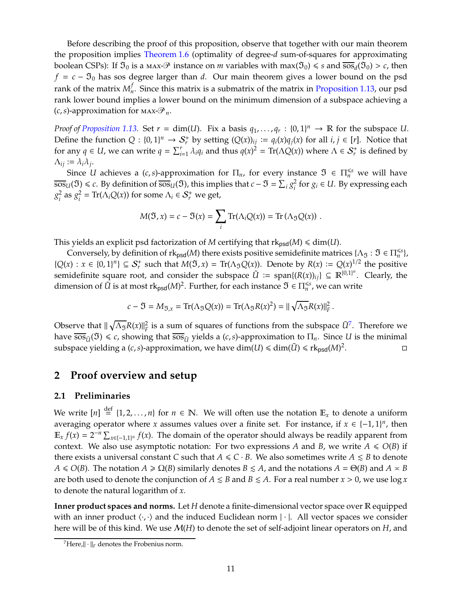Before describing the proof of this proposition, observe that together with our main theorem the proposition implies [Theorem 1.6](#page-7-3) (optimality of degree-*d* sum-of-squares for approximating boolean CSPs): If  $\mathfrak{I}_0$  is a max- $\mathfrak{P}$  instance on *m* variables with  $\max(\mathfrak{I}_0) \le s$  and  $\overline{\cos}_d(\mathfrak{I}_0) > c$ , then  $f = c - \mathfrak{I}_0$  has sos degree larger than *d*. Our main theorem gives a lower bound on the psd rank of the matrix  $M_n^f$ *n* . Since this matrix is a submatrix of the matrix in [Proposition 1.13,](#page-9-2) our psd rank lower bound implies a lower bound on the minimum dimension of a subspace achieving a  $(c, s)$ -approximation for  $\text{max-} \mathcal{P}_n$ .

*Proof of [Proposition 1.13.](#page-9-2)* Set  $r = \dim(U)$ . Fix a basis  $q_1, \ldots, q_r : \{0, 1\}^n \to \mathbb{R}$  for the subspace U. Define the function  $Q: \{0, 1\}^n \to S_r^+$  by setting  $(Q(x))_{ij} := q_i(x)q_j(x)$  for all  $i, j \in [r]$ . Notice that for any  $q \in U$ , we can write  $q = \sum_{i=1}^{r} \lambda_i q_i$  and thus  $q(x)^2 = \text{Tr}(\Lambda Q(x))$  where  $\Lambda \in S_r^+$  is defined by  $\Lambda_{ij} := \lambda_i \lambda_j$ .

Since *U* achieves a  $(c, s)$ -approximation for  $\Pi_n$ , for every instance  $\mathfrak{I} \in \Pi_n^{\leq s}$  we will have  $\overline{sos}_U(\mathfrak{I}) \leq c$ . By definition of  $\overline{sos}_U(\mathfrak{I})$ , this implies that  $c - \mathfrak{I} = \sum_i g_i^2$  $\frac{2}{i}$  for  $g_i$  ∈ *U*. By expressing each *g* 2  $\frac{2}{i}$  as  $g_i^2$  $\Omega_i^2 = \text{Tr}(\Lambda_i Q(x))$  for some  $\Lambda_i \in \mathcal{S}_r^+$  we get,

$$
M(\mathfrak{I},x)=c-\mathfrak{I}(x)=\sum_i \text{Tr}(\Lambda_i Q(x))=\text{Tr}(\Lambda_{\mathfrak{I}} Q(x))\ .
$$

This yields an explicit psd factorization of *M* certifying that  $rk_{psd}(M) \leq dim(U)$ .

Conversely, by definition of  $rk_{psd}(M)$  there exists positive semidefinite matrices  $\{\Lambda_{\mathfrak{I}} : \mathfrak{I} \in \Pi_n^{\leqslant s}\}$ ,  ${Q(x) : x \in {0,1}^n} \subseteq S_r^+$  such that  $M(\mathfrak{I},x) = \text{Tr}(\Lambda_{\mathfrak{I}}Q(x))$ . Denote by  $R(x) := Q(x)^{1/2}$  the positive semidefinite square root, and consider the subspace  $\tilde{U} := \text{span}\{(R(x))_{ij}\} \subseteq \mathbb{R}^{\{0,1\}^n}$ . Clearly, the dimension of  $\tilde{U}$  is at most  $rk_{psd}(M)^2$ . Further, for each instance  $\mathfrak{I} \in \Pi_n^{\leqslant s}$ , we can write

$$
c-\mathfrak{I}=M_{\mathfrak{I},x}=\text{Tr}(\Lambda_{\mathfrak{I}}Q(x))=\text{Tr}(\Lambda_{\mathfrak{I}}R(x)^2)=||\sqrt{\Lambda_{\mathfrak{I}}}R(x)||_F^2\,.
$$

Observe that  $\|\sqrt{\Lambda_{\mathfrak{I}}}R(x)\|_{F}^{2}$  $\tilde{\mu}_F^2$  is a sum of squares of functions from the subspace  $\tilde{U}^7$  $\tilde{U}^7$ . Therefore we have  $\overline{sos}_{\tilde{U}}(\mathfrak{I}) \leq c$ , showing that  $\overline{sos}_{\tilde{U}}$  yields a (*c*, *s*)-approximation to  $\Pi_n$ . Since *U* is the minimal subspace yielding a (*c, s*)-approximation, we have  $\dim(U) \leqslant \dim(\tilde{U}) \leqslant \mathrm{rk}_{\text{psd}}(M)^2$ . — Первой Станингии <mark>П</mark>

## <span id="page-10-0"></span>**2 Proof overview and setup**

## <span id="page-10-1"></span>**2.1 Preliminaries**

We write  $[n] \stackrel{\text{def}}{=} \{1, 2, ..., n\}$  for  $n \in \mathbb{N}$ . We will often use the notation  $\mathbb{E}_x$  to denote a uniform averaging operator where *x* assumes values over a finite set. For instance, if  $x \in \{-1, 1\}^n$ , then  $\mathbb{E}_x f(x) = 2^{-n} \sum_{x \in \{-1,1\}^n} f(x)$ . The domain of the operator should always be readily apparent from context. We also use asymptotic notation: For two expressions *A* and *B*, we write  $A \le O(B)$  if there exists a universal constant *C* such that  $A \leq C \cdot B$ . We also sometimes write  $A \leq B$  to denote *A*  $\leq$  *O*(*B*). The notation *A*  $\geq$  *Q*(*B*) similarly denotes *B*  $\leq$  *A*, and the notations *A* =  $\Theta$ (*B*) and *A*  $\leq$  *B* are both used to denote the conjunction of  $A \leq B$  and  $B \leq A$ . For a real number  $x > 0$ , we use  $\log x$ to denote the natural logarithm of *x*.

**Inner product spaces and norms.** Let *H* denote a finite-dimensional vector space over R equipped with an inner product  $\langle \cdot, \cdot \rangle$  and the induced Euclidean norm  $|\cdot|$ . All vector spaces we consider here will be of this kind. We use M(*H*) to denote the set of self-adjoint linear operators on *H*, and

<span id="page-10-2"></span><sup>&</sup>lt;sup>7</sup>Here, $\|\cdot\|_F$  denotes the Frobenius norm.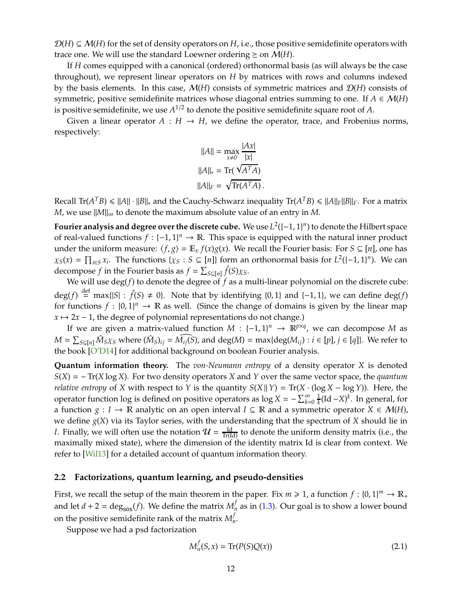<span id="page-11-2"></span> $\mathcal{D}(H) \subseteq \mathcal{M}(H)$  for the set of density operators on H, i.e., those positive semidefinite operators with trace one. We will use the standard Loewner ordering  $\geq$  on  $\mathcal{M}(H)$ .

If *H* comes equipped with a canonical (ordered) orthonormal basis (as will always be the case throughout), we represent linear operators on *H* by matrices with rows and columns indexed by the basis elements. In this case, M(*H*) consists of symmetric matrices and D(*H*) consists of symmetric, positive semidefinite matrices whose diagonal entries summing to one. If  $A \in \mathcal{M}(H)$ is positive semidefinite, we use  $A^{1/2}$  to denote the positive semidefinite square root of  $A$ .

Given a linear operator  $A : H \to H$ , we define the operator, trace, and Frobenius norms, respectively:

$$
||A|| = \max_{x \neq 0} \frac{|Ax|}{|x|}
$$

$$
||A||_* = \text{Tr}(\sqrt{A^T A})
$$

$$
||A||_F = \sqrt{\text{Tr}(A^T A)}.
$$

 $Recall Tr(A^T B) \le ||A|| \cdot ||B||_*$  and the Cauchy-Schwarz inequality  $Tr(A^T B) \le ||A||_F ||B||_F$ . For a matrix *M*, we use  $||M||_{\infty}$  to denote the maximum absolute value of an entry in *M*.

**Fourier analysis and degree over the discrete cube.** We use  $L^2([-1, 1]^n)$  to denote the Hilbert space of real-valued functions  $f: \{-1, 1\}^n \to \mathbb{R}$ . This space is equipped with the natural inner product under the uniform measure:  $\langle f, g \rangle = \mathbb{E}_x f(x)g(x)$ . We recall the Fourier basis: For  $S \subseteq [n]$ , one has  $\chi_S(x) = \prod_{i \in S} x_i$ . The functions  $\{\chi_S : S \subseteq [n]\}$  form an orthonormal basis for  $L^2([-1, 1]^n)$ . We can decompose *f* in the Fourier basis as  $f = \sum_{S \subseteq [n]} \hat{f}(S) \chi_S$ .

We will use deg(*f*) to denote the degree of *f* as a multi-linear polynomial on the discrete cube: deg(*f*)  $\stackrel{\text{def}}{=} \max\{|S| : \hat{f}(S) \neq 0\}$ . Note that by identifying {0, 1} and {−1, 1}, we can define deg(*f*) for functions  $f : \{0,1\}^n \to \mathbb{R}$  as well. (Since the change of domains is given by the linear map  $x \mapsto 2x - 1$ , the degree of polynomial representations do not change.)

If we are given a matrix-valued function  $M : \{-1,1\}^n \to \mathbb{R}^{p \times q}$ , we can decompose M as  $M = \sum_{S \subseteq [n]} \hat{M}_S \chi_S$  where  $(\hat{M}_S)_{ij} = \widehat{M_{ij}(S)}$ , and  $\deg(M) = \max\{\deg(M_{ij}) : i \in [p], j \in [q]\}.$  We refer to the book [\[O'D14\]](#page-44-8) for additional background on boolean Fourier analysis.

**Quantum information theory.** The *von-Neumann entropy* of a density operator *X* is denoted *S*(*X*) = −Tr(*X* log *X*). For two density operators *X* and *Y* over the same vector space, the *quantum relative entropy* of *X* with respect to *Y* is the quantity  $S(X||Y) = Tr(X \cdot (\log X - \log Y))$ . Here, the operator function log is defined on positive operators as  $\log X = -\sum_{k=0}^{\infty} \frac{1}{k}$  $\frac{1}{k}$ (Id −*X*)<sup> $k$ </sup>. In general, for a function *g* : *I* → **R** analytic on an open interval *I* ⊆ **R** and a symmetric operator *X* ∈ *M*(*H*), we define *g*(*X*) via its Taylor series, with the understanding that the spectrum of *X* should lie in *I*. Finally, we will often use the notation  $\mathcal{U} = \frac{Id}{Tr(Id)}$  to denote the uniform density matrix (i.e., the maximally mixed state), where the dimension of the identity matrix Id is clear from context. We refer to [\[Wil13\]](#page-45-6) for a detailed account of quantum information theory.

#### <span id="page-11-0"></span>**2.2 Factorizations, quantum learning, and pseudo-densities**

First, we recall the setup of the main theorem in the paper. Fix  $m \ge 1$ , a function  $f : \{0,1\}^m \to \mathbb{R}_+$ and let  $d + 2 = \text{deg}_{sos}(f)$ . We define the matrix  $M_n^f$  as in [\(1.3\)](#page-8-1). Our goal is to show a lower bound on the positive semidefinite rank of the matrix  $M_n^f$ *n* .

Suppose we had a psd factorization

<span id="page-11-1"></span>
$$
M_n^f(S, x) = \text{Tr}(P(S)Q(x))
$$
\n(2.1)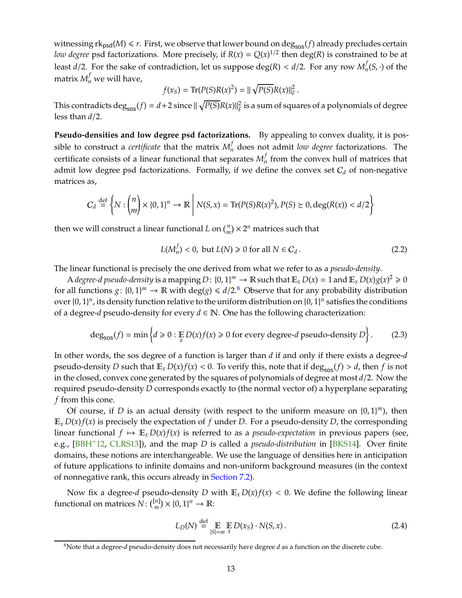<span id="page-12-3"></span>witnessing  $rk_{psd}(M) \leq r$ . First, we observe that lower bound on deg<sub>sos</sub>(*f*) already precludes certain *low degree* psd factorizations. More precisely, if  $R(x) = Q(x)^{1/2}$  then deg(*R*) is constrained to be at least *d*/2. For the sake of contradiction, let us suppose deg(*R*) < *d*/2. For any row *M f*  $\int_n^J$  $(S, \cdot)$  of the matrix  $M_n^f$  we will have,

$$
f(x_S) = \text{Tr}(P(S)R(x)^2) = ||\sqrt{P(S)}R(x)||_F^2.
$$

This contradicts  $\deg_{sos}(f) = d + 2$  since  $\|\sqrt{P(S)}R(x)\|_F^2$  is a sum of squares of a polynomials of degree less than *d*/2.

**Pseudo-densities and low degree psd factorizations.** By appealing to convex duality, it is possible to construct a *certificate* that the matrix  $M_n^f$  does not admit *low degree* factorizations. The certificate consists of a linear functional that separates *M f*  $\frac{1}{n}$  from the convex hull of matrices that admit low degree psd factorizations. Formally, if we define the convex set  $C_d$  of non-negative matrices as,

$$
C_d \stackrel{\text{def}}{=} \left\{ N : \binom{n}{m} \times \{0, 1\}^n \to \mathbb{R} \; \middle| \; N(S, x) = \text{Tr}(P(S)R(x)^2), P(S) \ge 0, \text{deg}(R(x)) < d/2 \right\}
$$

then we will construct a linear functional *L* on  $\binom{n}{m} \times 2^n$  matrices such that

$$
L(M_n^f) < 0, \text{ but } L(N) \geq 0 \text{ for all } N \in C_d \,. \tag{2.2}
$$

The linear functional is precisely the one derived from what we refer to as a *pseudo-density*.

A degree-d pseudo-density is a mapping  $D: \{0,1\}^m \to \mathbb{R}$  such that  $\mathbb{E}_x D(x) = 1$  and  $\mathbb{E}_x D(x) g(x)^2 \ge 0$ for all functions  $g: \{0, 1\}^m \to \mathbb{R}$  with  $\deg(g) \leq d/2.8$  $\deg(g) \leq d/2.8$  Observe that for any probability distribution over  $\{0, 1\}^n$ , its density function relative to the uniform distribution on  $\{0, 1\}^n$  satisfies the conditions of a degree-*d* pseudo-density for every  $d \in \mathbb{N}$ . One has the following characterization:

<span id="page-12-2"></span>
$$
\deg_{\text{sos}}(f) = \min \left\{ d \geq 0 : \mathop{\mathbb{E}}_{x} D(x)f(x) \geq 0 \text{ for every degree-}d \text{ pseudo-density } D \right\}.
$$
 (2.3)

In other words, the sos degree of a function is larger than *d* if and only if there exists a degree-*d* pseudo-density *D* such that  $\mathbb{E}_x D(x) f(x) < 0$ . To verify this, note that if deg<sub>sos</sub>(*f*) > *d*, then *f* is not in the closed, convex cone generated by the squares of polynomials of degree at most *d*/2. Now the required pseudo-density *D* corresponds exactly to (the normal vector of) a hyperplane separating *f* from this cone.

Of course, if *D* is an actual density (with respect to the uniform measure on  $\{0, 1\}^m$ ), then  $\mathbb{E}_x D(x) f(x)$  is precisely the expectation of f under *D*. For a pseudo-density *D*, the corresponding linear functional  $f \mapsto \mathbb{E}_x D(x) f(x)$  is referred to as a *pseudo-expectation* in previous papers (see, e.g., [BBH+12, CLRS13]), and the map *D* is called a *pseudo-distribution* in [\[BKS14\]](#page-42-3). Over finite domains, these notions are interchangeable. We use the language of densities here in anticipation of future applications to infinite domains and non-uniform background measures (in the context of nonnegative rank, this occurs already in [Section 7.2\)](#page-39-0).

Now fix a degree-*d* pseudo-density *D* with  $\mathbb{E}_x D(x) f(x) < 0$ . We define the following linear functional on matrices  $N: \binom{[n]}{m}$  $_{m}^{[n]}) \times \{0,1\}^{n} \rightarrow \mathbb{R}$ 

<span id="page-12-1"></span>
$$
L_D(N) \stackrel{\text{def}}{=} \mathop{\mathbb{E}}_{|S|=m} \mathop{\mathbb{E}}_{x} D(x_S) \cdot N(S, x). \tag{2.4}
$$

<span id="page-12-0"></span><sup>8</sup>Note that a degree-*d* pseudo-density does not necessarily have degree *d* as a function on the discrete cube.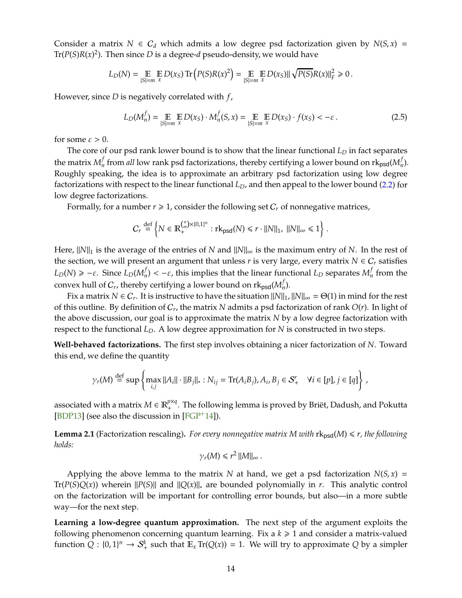<span id="page-13-1"></span>Consider a matrix  $N \in C_d$  which admits a low degree psd factorization given by  $N(S, x) =$ Tr( $P(S)R(x)^2$ ). Then since  $D$  is a degree- $d$  pseudo-density, we would have

$$
L_D(N)=\mathop{\mathbb{E}}_{|S|=m}\mathop{\mathbb{E}}_{x}D(x_S)\mathop{\rm Tr}\left(P(S)R(x)^2\right)=\mathop{\mathbb{E}}_{|S|=m}\mathop{\mathbb{E}}_{x}D(x_S)\|\sqrt{P(S)}R(x)\|_F^2\geq 0\,.
$$

However, since *D* is negatively correlated with *f*,

$$
L_D(M_n^f) = \mathop{\mathbb{E}}_{|S| = m} \mathop{\mathbb{E}}_{x} D(x_S) \cdot M_n^f(S, x) = \mathop{\mathbb{E}}_{|S| = m} \mathop{\mathbb{E}}_{x} D(x_S) \cdot f(x_S) < -\varepsilon.
$$
 (2.5)

for some  $\varepsilon > 0$ .

The core of our psd rank lower bound is to show that the linear functional *L<sup>D</sup>* in fact separates the matrix  $M_n^f$  $f\atop n$  from *all* low rank psd factorizations, thereby certifying a lower bound on rk<sub>psd</sub>( $M_n^f$  $\binom{n}{n}$ . Roughly speaking, the idea is to approximate an arbitrary psd factorization using low degree factorizations with respect to the linear functional *LD*, and then appeal to the lower bound [\(2.2\)](#page-12-1) for low degree factorizations.

Formally, for a number  $r \geq 1$ , consider the following set  $C_r$  of nonnegative matrices,

$$
C_r \stackrel{\text{def}}{=} \left\{ N \in \mathbb{R}_+^{\binom{n}{m} \times \{0,1\}^n} : \text{rk}_{\text{psd}}(N) \leq r \cdot ||N||_1, ||N||_{\infty} \leq 1 \right\}.
$$

Here,  $||N||_1$  is the average of the entries of *N* and  $||N||_{\infty}$  is the maximum entry of *N*. In the rest of the section, we will present an argument that unless  $r$  is very large, every matrix  $N \in C_r$  satisfies  $L_D(N) \ge -\varepsilon$ . Since  $L_D(M_n^f)$ *f*<sub>*n*</sub>) <  $-\varepsilon$ , this implies that the linear functional *L<sub>D</sub>* separates *M<sub>n</sub>*  $n \nmid n$  from the convex hull of  $C_r$ , thereby certifying a lower bound on  $\mathrm{rk}_{\textsf{psd}}(M_n^f)$  $\binom{n}{n}$ .

Fix a matrix  $N \in C_r$ . It is instructive to have the situation  $||N||_1$ ,  $||N||_{\infty} = \Theta(1)$  in mind for the rest of this outline. By definition of C*<sup>r</sup>* , the matrix *N* admits a psd factorization of rank *O*(*r*). In light of the above discussion, our goal is to approximate the matrix *N* by a low degree factorization with respect to the functional *LD*. A low degree approximation for *N* is constructed in two steps.

**Well-behaved factorizations.** The first step involves obtaining a nicer factorization of *N*. Toward this end, we define the quantity

$$
\gamma_r(M) \stackrel{\text{def}}{=} \sup \left\{ \max_{i,j} ||A_i|| \cdot ||B_j||_* : N_{ij} = \text{Tr}(A_iB_j), A_i, B_j \in \mathcal{S}_+' \quad \forall i \in [p], j \in [q] \right\} \,,
$$

associated with a matrix  $M \in \mathbb{R}_+^{p \times q}$ . The following lemma is proved by Briët, Dadush, and Pokutta [BDP13] (see also the discussion in  $[FGP^+14]$ ).

<span id="page-13-0"></span>**Lemma 2.1** (Factorization rescaling). For every nonnegative matrix M with  $\text{rk}_{\text{psd}}(M) \leq r$ , the following *holds:*

$$
\gamma_r(M) \leq r^2 ||M||_{\infty}.
$$

Applying the above lemma to the matrix *N* at hand, we get a psd factorization  $N(S, x) =$ Tr( $P(S)Q(x)$ ) wherein  $||P(S)||$  and  $||Q(x)||_*$  are bounded polynomially in *r*. This analytic control on the factorization will be important for controlling error bounds, but also—in a more subtle way—for the next step.

**Learning a low-degree quantum approximation.** The next step of the argument exploits the following phenomenon concerning quantum learning. Fix a  $k \geq 1$  and consider a matrix-valued function  $Q: \{0,1\}^n \to S^k_+$  such that  $\mathbb{E}_x \text{Tr}(Q(x)) = 1$ . We will try to approximate  $Q$  by a simpler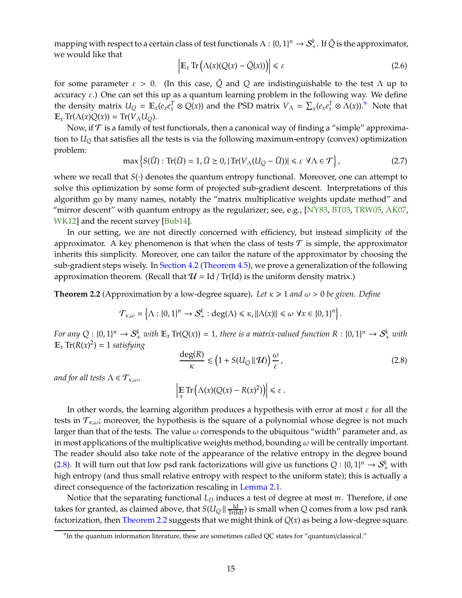<span id="page-14-3"></span>mapping with respect to a certain class of test functionals  $\Lambda: \{0,1\}^n \to \mathcal{S}_+^k$ . If  $\tilde{Q}$  is the approximator, we would like that

$$
\left| \mathbb{E}_x \operatorname{Tr} \left( \Lambda(x) (Q(x) - \tilde{Q}(x)) \right) \right| \le \varepsilon \tag{2.6}
$$

for some parameter  $\varepsilon > 0$ . (In this case,  $\tilde{Q}$  and  $Q$  are indistinguishable to the test  $\Lambda$  up to accuracy  $\varepsilon$ .) One can set this up as a quantum learning problem in the following way. We define the density matrix  $U_Q = \mathbb{E}_x(e_x e_x^T \otimes Q(x))$  and the PSD matrix  $V_\Lambda = \sum_x (e_x e_x^T \otimes \Lambda(x))$ .<sup>[9](#page-14-0)</sup> Note that  $\mathbb{E}_x$  Tr( $\Lambda(x)Q(x)$ ) = Tr( $V_\Lambda U_Q$ ).

Now, if  $\mathcal T$  is a family of test functionals, then a canonical way of finding a "simple" approximation to *U<sup>Q</sup>* that satisfies all the tests is via the following maximum-entropy (convex) optimization problem:

$$
\max\left\{S(\tilde{U}) : \text{Tr}(\tilde{U}) = 1, \tilde{U} \ge 0, |\text{Tr}(V_{\Lambda}(U_{Q} - \tilde{U}))| \le \varepsilon \ \forall \Lambda \in \mathcal{T}\right\},\tag{2.7}
$$

where we recall that *S*(·) denotes the quantum entropy functional. Moreover, one can attempt to solve this optimization by some form of projected sub-gradient descent. Interpretations of this algorithm go by many names, notably the "matrix multiplicative weights update method" and "mirror descent" with quantum entropy as the regularizer; see, e.g., [\[NY83,](#page-44-9) [BT03,](#page-43-9) [TRW05,](#page-45-7) AK07, [WK12\]](#page-45-8) and the recent survey [\[Bub14\]](#page-43-10).

In our setting, we are not directly concerned with efficiency, but instead simplicity of the approximator. A key phenomenon is that when the class of tests  $\mathcal T$  is simple, the approximator inherits this simplicity. Moreover, one can tailor the nature of the approximator by choosing the sub-gradient steps wisely. In [Section 4.2](#page-25-0) [\(Theorem 4.5\)](#page-25-1), we prove a generalization of the following approximation theorem. (Recall that  $\mathcal{U} = Id / Tr(Id)$  is the uniform density matrix.)

<span id="page-14-2"></span>**Theorem 2.2** (Approximation by a low-degree square). Let  $\kappa \ge 1$  and  $\omega > 0$  be given. Define

$$
\mathcal{T}_{\kappa,\omega} = \left\{\Lambda : \{0,1\}^n \to \mathcal{S}^k_+ : \deg(\Lambda) \leq \kappa, \|\Lambda(x)\| \leq \omega \,\,\forall x \in \{0,1\}^n\right\}.
$$

*For any*  $Q: \{0,1\}^n \to S^k_+$  *with*  $\mathbb{E}_x \text{Tr}(Q(x)) = 1$ , there is a matrix-valued function  $R: \{0,1\}^n \to S^k_+$  with  $\mathbb{E}_x \operatorname{Tr}(R(x)^2) = 1$  *satisfying* 

<span id="page-14-1"></span>
$$
\frac{\deg(R)}{\kappa} \lesssim \left(1 + S(U_Q \,||\, \mathcal{U})\right) \frac{\omega}{\varepsilon},\tag{2.8}
$$

*and for all tests*  $\Lambda \in \mathcal{T}_{\kappa,\omega}$ *,* 

 $\left| \mathop{\mathbb{E}}_{x} \text{Tr} \left( \Lambda(x) (Q(x) - R(x)^{2}) \right) \right| \leq \varepsilon.$ 

In other words, the learning algorithm produces a hypothesis with error at most  $\varepsilon$  for all the tests in  $\mathcal{T}_{\kappa,\omega}$ ; moreover, the hypothesis is the square of a polynomial whose degree is not much larger than that of the tests. The value  $\omega$  corresponds to the ubiquitous "width" parameter and, as in most applications of the multiplicative weights method, bounding  $\omega$  will be centrally important. The reader should also take note of the appearance of the relative entropy in the degree bound [\(2.8\)](#page-14-1). It will turn out that low psd rank factorizations will give us functions  $Q: \{0,1\}^n \to S^k_+$  with high entropy (and thus small relative entropy with respect to the uniform state); this is actually a direct consequence of the factorization rescaling in [Lemma 2.1.](#page-13-0)

Notice that the separating functional *L<sup>D</sup>* induces a test of degree at most *m*. Therefore, if one takes for granted, as claimed above, that  $S(U_Q \parallel \frac{\text{Id}}{\text{Tr}(\text{Id})})$  is small when  $Q$  comes from a low psd rank factorization, then [Theorem 2.2](#page-14-2) suggests that we might think of *Q*(*x*) as being a low-degree square.

<span id="page-14-0"></span> $^9$ In the quantum information literature, these are sometimes called QC states for "quantum/classical."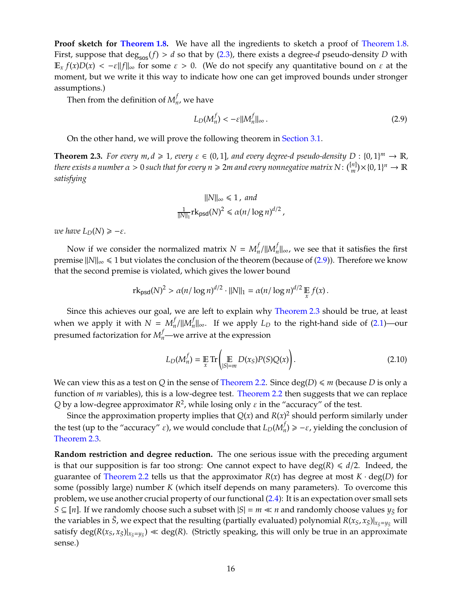**Proof sketch for [Theorem 1.8.](#page-8-2)** We have all the ingredients to sketch a proof of [Theorem 1.8.](#page-8-2) First, suppose that  $deg_{sos}(f) > d$  so that by [\(2.3\)](#page-12-2), there exists a degree-*d* pseudo-density *D* with  $\mathbb{E}_x f(x)D(x) < -\varepsilon ||f||_{\infty}$  for some  $\varepsilon > 0$ . (We do not specify any quantitative bound on  $\varepsilon$  at the moment, but we write it this way to indicate how one can get improved bounds under stronger assumptions.)

Then from the definition of  $M_n^f$  $n'$ , we have

<span id="page-15-0"></span>
$$
L_D(M_n^f) < -\varepsilon \|M_n^f\|_{\infty} \,. \tag{2.9}
$$

On the other hand, we will prove the following theorem in [Section 3.1.](#page-16-1)

<span id="page-15-1"></span>**Theorem 2.3.** For every  $m, d \ge 1$ , every  $\varepsilon \in (0, 1]$ , and every degree-d pseudo-density  $D : \{0, 1\}^m \to \mathbb{R}$ , *there exists a number*  $\alpha > 0$  *such that for every*  $n \geqslant 2$ *m and every nonnegative matrix*  $N$  *:*  $\binom{[n]}{m}$  $_{m}^{[n]}) \times \{0,1\}^{n} \rightarrow \mathbb{R}$ *satisfying*

$$
||N||_{\infty} \le 1, and
$$
  

$$
\frac{1}{||N||_1} \text{rk}_{\text{psd}}(N)^2 \le \alpha (n/\log n)^{d/2},
$$

*we have*  $L_D(N) \geq -\varepsilon$ *.* 

Now if we consider the normalized matrix  $N = M_n^f$  $f_n$ /|| $M_n^f$ *n* k∞, we see that it satisfies the first premise  $||N||_{\infty}$  ≤ 1 but violates the conclusion of the theorem (because of [\(2.9\)](#page-15-0)). Therefore we know that the second premise is violated, which gives the lower bound

$$
\mathrm{rk}_{\mathrm{psd}}(N)^2 > \alpha (n/\log n)^{d/2} \cdot ||N||_1 = \alpha (n/\log n)^{d/2} \mathop{\mathbb{E}}_{x} f(x).
$$

Since this achieves our goal, we are left to explain why [Theorem 2.3](#page-15-1) should be true, at least when we apply it with  $N = M_n^f$  $f_n$ /|| $M_n^f$ *n* k∞. If we apply *L<sup>D</sup>* to the right-hand side of [\(2.1\)](#page-11-1)—our presumed factorization for  $M_n^f$ —we arrive at the expression

$$
L_D(M_n^f) = \mathop{\mathbb{E}}_x \text{Tr}\left(\mathop{\mathbb{E}}_{|S|=m} D(x_S)P(S)Q(x)\right). \tag{2.10}
$$

We can view this as a test on *Q* in the sense of [Theorem 2.2.](#page-14-2) Since  $deg(D) \le m$  (because *D* is only a function of *m* variables), this is a low-degree test. [Theorem 2.2](#page-14-2) then suggests that we can replace Q by a low-degree approximator  $R^2$ , while losing only  $\varepsilon$  in the "accuracy" of the test.

Since the approximation property implies that  $Q(x)$  and  $R(x)^2$  should perform similarly under the test (up to the "accuracy" *ε*), we would conclude that  $L_D(M_n^f$  $\mathcal{P}_n^J$ )  $\geq -\varepsilon$ , yielding the conclusion of [Theorem 2.3.](#page-15-1)

**Random restriction and degree reduction.** The one serious issue with the preceding argument is that our supposition is far too strong: One cannot expect to have  $deg(R) \le d/2$ . Indeed, the guarantee of [Theorem 2.2](#page-14-2) tells us that the approximator  $R(x)$  has degree at most  $K \cdot deg(D)$  for some (possibly large) number *K* (which itself depends on many parameters). To overcome this problem, we use another crucial property of our functional [\(2.4\)](#page-12-1): It is an expectation over small sets *S* ⊆ [*n*]. If we randomly choose such a subset with  $|S| = m \ll n$  and randomly choose values  $y_{\bar{S}}$  for the variables in  $\bar{S}$ , we expect that the resulting (partially evaluated) polynomial  $R(x_S, x_{\bar{S}})|_{x_{\bar{S}}=y_{\bar{S}}}$  will satisfy  $\deg(R(x_S, x_{\bar S})|_{x_{\bar S}=y_{\bar S}})\ll \deg(R)$ . (Strictly speaking, this will only be true in an approximate sense.)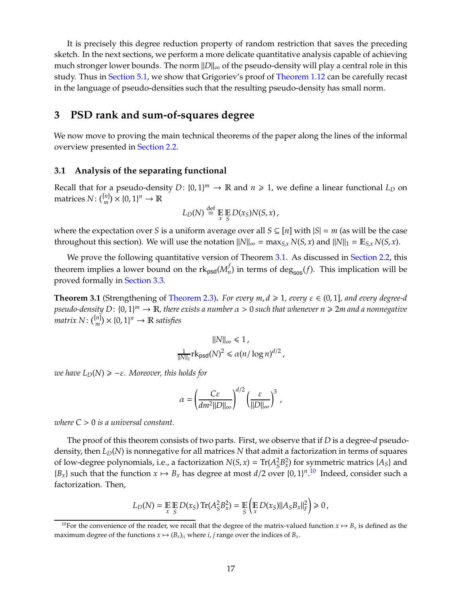It is precisely this degree reduction property of random restriction that saves the preceding sketch. In the next sections, we perform a more delicate quantitative analysis capable of achieving much stronger lower bounds. The norm  $||D||_{\infty}$  of the pseudo-density will play a central role in this study. Thus in [Section 5.1,](#page-30-1) we show that Grigoriev's proof of [Theorem 1.12](#page-9-3) can be carefully recast in the language of pseudo-densities such that the resulting pseudo-density has small norm.

## <span id="page-16-0"></span>**3 PSD rank and sum-of-squares degree**

We now move to proving the main technical theorems of the paper along the lines of the informal overview presented in [Section 2.2.](#page-11-0)

#### <span id="page-16-1"></span>**3.1 Analysis of the separating functional**

Recall that for a pseudo-density  $D: \{0, 1\}^m \to \mathbb{R}$  and  $n \ge 1$ , we define a linear functional  $L_D$  on matrices  $N: \binom{[n]}{m} \times \{0,1\}^n \to \mathbb{R}$ 

$$
L_D(N) \stackrel{\text{def}}{=} \mathop{\mathbb{E}}_{x} \mathop{\mathbb{E}}_{S} D(x_S) N(S, x),
$$

where the expectation over *S* is a uniform average over all  $S \subseteq [n]$  with  $|S| = m$  (as will be the case throughout this section). We will use the notation  $||N||_{\infty} = \max_{S,x} N(S,x)$  and  $||N||_1 = \mathbb{E}_{S,x} N(S,x)$ .

We prove the following quantitative version of Theorem [3.1.](#page-16-2) As discussed in [Section 2.2,](#page-11-0) this theorem implies a lower bound on the rk<sub>psd</sub>( $M_{\scriptscriptstyle R}^f$  $\mathcal{L}_n^{\prime}$ ) in terms of deg<sub>sos</sub>(*f*). This implication will be proved formally in [Section 3.3.](#page-22-0)

<span id="page-16-2"></span>**Theorem 3.1** (Strengthening of [Theorem 2.3\)](#page-15-1). *For every m,*  $d \ge 1$ *, every*  $\varepsilon \in (0,1]$ *, and every degree-d pseudo-density D*: {0, 1} *<sup>m</sup>* <sup>→</sup> <sup>R</sup>*, there exists a number* α > <sup>0</sup> *such that whenever n* <sup>&</sup>gt; <sup>2</sup>*m and a nonnegative*  $matrix N: \binom{[n]}{m} \times \{0, 1\}^n \rightarrow \mathbb{R}$  *satisfies* 

$$
||N||_{\infty} \le 1,
$$
  

$$
\frac{1}{||N||_1} \text{rk}_{\text{psd}}(N)^2 \le \alpha (n/\log n)^{d/2},
$$

*we have*  $L_D(N) \geq -\varepsilon$ *. Moreover, this holds for* 

$$
\alpha = \left(\frac{C\varepsilon}{dm^2||D||_{\infty}}\right)^{d/2} \left(\frac{\varepsilon}{||D||_{\infty}}\right)^3,
$$

*where C* > 0 *is a universal constant.*

The proof of this theorem consists of two parts. First, we observe that if *D* is a degree-*d* pseudodensity, then *LD*(*N*) is nonnegative for all matrices *N* that admit a factorization in terms of squares of low-degree polynomials, i.e., a factorization  $N(S, x) = \text{Tr}(A_S^2)$  $\binom{2}{S}$ *B*<sup>2</sup><sub>*x*</sub></sub>) for symmetric matrics {*As*} and  ${B_x}$  such that the function  $x \mapsto B_x$  has degree at most  $d/2$  over  ${0, 1}^n$ .<sup>[10](#page-16-3)</sup> Indeed, consider such a factorization. Then,

$$
L_D(N) = \mathop{\mathbb{E}}_x \mathop{\mathbb{E}}_S D(x_S) \operatorname{Tr}(A_S^2 B_x^2) = \mathop{\mathbb{E}}_S \left( \mathop{\mathbb{E}}_x D(x_S) ||A_S B_x||_F^2 \right) \geq 0,
$$

<span id="page-16-3"></span><sup>&</sup>lt;sup>10</sup>For the convenience of the reader, we recall that the degree of the matrix-valued function  $x \mapsto B_x$  is defined as the maximum degree of the functions  $x \mapsto (B_x)_{ij}$  where *i*, *j* range over the indices of  $B_x$ .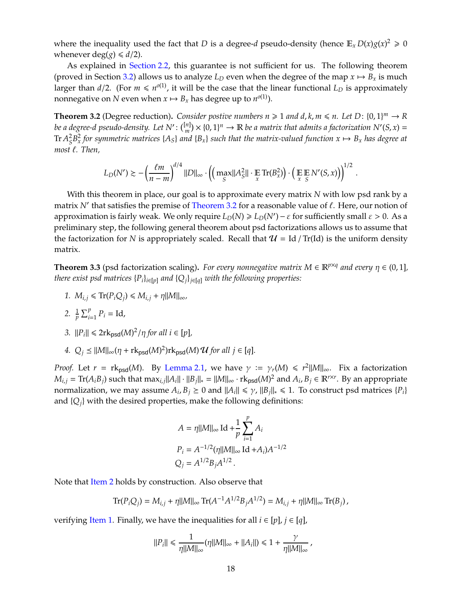where the inequality used the fact that *D* is a degree-*d* pseudo-density (hence  $\mathbb{E}_x D(x)g(x)^2 \geq 0$ whenever deg( $g$ )  $\leq d/2$ ).

As explained in [Section 2.2,](#page-11-0) this guarantee is not sufficient for us. The following theorem (proved in Section [3.2\)](#page-20-0) allows us to analyze  $L_D$  even when the degree of the map  $x \mapsto B_x$  is much larger than  $d/2$ . (For  $m \leqslant n^{o(1)}$ , it will be the case that the linear functional  $L_D$  is approximately nonnegative on *N* even when  $x \mapsto B_x$  has degree up to  $n^{o(1)}$ ).

<span id="page-17-0"></span>**Theorem 3.2** (Degree reduction). *Consider postive numbers*  $n \ge 1$  *and d, k, m*  $\le n$ . Let D:  $\{0, 1\}^m \to R$ *be a degree-d pseudo-density. Let N*′ : [*n*]  $\binom{n}{m}$   $\times$  {0, 1}<sup>*n*</sup>  $\rightarrow$  **R** *be a matrix that admits a factorization N'*(*S*, *x*) =  ${\rm Tr}\, A^2_\varsigma$  $^2_S B_x^2$  *for symmetric matrices* { $A_S$ } *and* { $B_x$ } *such that the matrix-valued function*  $x \mapsto B_x$  *has degree at most* ℓ*. Then,*

$$
L_D(N') \gtrsim -\left(\frac{\ell m}{n-m}\right)^{d/4} ||D||_{\infty} \cdot \left( \left(\max_{S} ||A_S^2|| \cdot \underset{x}{\mathbb{E}} \operatorname{Tr}(B_x^2) \right) \cdot \left(\underset{x}{\mathbb{E}} \underset{S}{\mathbb{E}} N'(S,x) \right) \right)^{1/2}
$$

.

With this theorem in place, our goal is to approximate every matrix *N* with low psd rank by a matrix *N'* that satisfies the premise of [Theorem 3.2](#page-17-0) for a reasonable value of ℓ. Here, our notion of approximation is fairly weak. We only require  $L_D(N) \ge L_D(N') - \varepsilon$  for sufficiently small  $\varepsilon > 0$ . As a preliminary step, the following general theorem about psd factorizations allows us to assume that the factorization for *N* is appropriately scaled. Recall that  $\mathcal{U} =$  Id / Tr(Id) is the uniform density matrix.

<span id="page-17-5"></span><span id="page-17-2"></span>**Theorem 3.3** (psd factorization scaling). *For every nonnegative matrix*  $M \in \mathbb{R}^{p \times q}$  and every  $\eta \in (0,1]$ , *there exist psd matrices*  ${P_i}_{i \in [p]}$  *and*  ${Q_i}_{i \in [q]}$  *with the following properties:* 

- <span id="page-17-1"></span>*1.*  $M_{i,j} \leq \text{Tr}(P_i Q_j) \leq M_{i,j} + \eta ||M||_{\infty}$ ,
- <span id="page-17-3"></span>2.  $\frac{1}{p} \sum_{i=1}^{p} P_i = \text{Id}$ ,

<span id="page-17-4"></span>3. 
$$
||P_i|| \leq 2\text{rk}_{\text{psd}}(M)^2/\eta
$$
 for all  $i \in [p]$ ,

4.  $Q_j \leq ||M||_{\infty} (\eta + \text{rk}_{\text{psd}}(M)^2) \text{rk}_{\text{psd}}(M) \mathcal{U}$  for all  $j \in [q]$ *.* 

*Proof.* Let  $r = r k_{psd}(M)$ . By [Lemma 2.1,](#page-13-0) we have  $\gamma := \gamma_r(M) \leq r^2 ||M||_{\infty}$ . Fix a factorization  $M_{i,j} = \text{Tr}(A_iB_j)$  such that  $\max_{i,j} ||A_i|| \cdot ||B_j||_* = ||M||_{\infty} \cdot \text{rk}_{\text{psd}}(M)^2$  and  $A_i$ ,  $B_j \in \mathbb{R}^{r \times r}$ . By an appropriate normalization, we may assume  $A_i$ ,  $B_j \ge 0$  and  $||A_i|| \le \gamma$ ,  $||B_j||_* \le 1$ . To construct psd matrices  $\{P_i\}$ and  $\{Q_i\}$  with the desired properties, make the following definitions:

$$
A = \eta ||M||_{\infty} \operatorname{Id} + \frac{1}{p} \sum_{i=1}^{p} A_{i}
$$
  
\n
$$
P_{i} = A^{-1/2} (\eta ||M||_{\infty} \operatorname{Id} + A_{i}) A^{-1/2}
$$
  
\n
$$
Q_{j} = A^{1/2} B_{j} A^{1/2}.
$$

Note that [Item 2](#page-17-1) holds by construction. Also observe that

$$
\text{Tr}(P_iQ_j) = M_{i,j} + \eta ||M||_{\infty} \text{Tr}(A^{-1}A^{1/2}B_jA^{1/2}) = M_{i,j} + \eta ||M||_{\infty} \text{Tr}(B_j),
$$

verifying [Item 1.](#page-17-2) Finally, we have the inequalities for all  $i \in [p]$ ,  $j \in [q]$ ,

$$
||P_i|| \leq \frac{1}{\eta ||M||_{\infty}}(\eta ||M||_{\infty} + ||A_i||) \leq 1 + \frac{\gamma}{\eta ||M||_{\infty}},
$$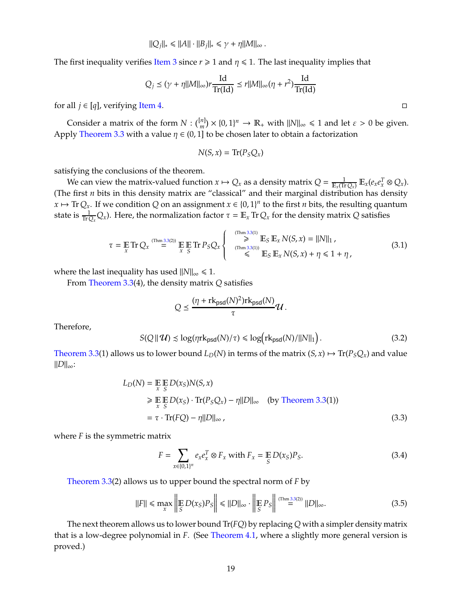$$
||Q_j||_* \le ||A|| \cdot ||B_j||_* \le \gamma + \eta ||M||_{\infty}.
$$

The first inequality verifies [Item 3](#page-17-3) since  $r \geq 1$  and  $\eta \leq 1$ . The last inequality implies that

$$
Q_j \le (\gamma + \eta ||M||_{\infty}) r \frac{\mathrm{Id}}{\mathrm{Tr}(\mathrm{Id})} \le r ||M||_{\infty} (\eta + r^2) \frac{\mathrm{Id}}{\mathrm{Tr}(\mathrm{Id})}
$$

for all  $j \in [q]$ , verifying [Item 4.](#page-17-4)

Consider a matrix of the form  $N: \binom{[n]}{m} \times \{0,1\}^n \to \mathbb{R}_+$  with  $||N||_{\infty} \le 1$  and let  $\varepsilon > 0$  be given. Apply [Theorem 3.3](#page-17-5) with a value  $\eta \in (0,1]$  to be chosen later to obtain a factorization

$$
N(S, x) = \text{Tr}(P_S Q_x)
$$

satisfying the conclusions of the theorem.

We can view the matrix-valued function  $x \mapsto Q_x$  as a density matrix  $Q = \frac{1}{\mathbb{E}_x(\text{Tr}\,Q_x)} \mathbb{E}_x(e_x e_x^T \otimes Q_x)$ . (The first *n* bits in this density matrix are "classical" and their marginal distribution has density  $x \mapsto \text{Tr} Q_x$ . If we condition *Q* on an assignment  $x \in \{0, 1\}^n$  to the first *n* bits, the resulting quantum state is  $\frac{1}{\text{Tr}Q_x}Q_x$ ). Here, the normalization factor  $\tau = \mathbb{E}_x \text{Tr} Q_x$  for the density matrix *Q* satisfies

<span id="page-18-1"></span>
$$
\tau = \mathop{\mathbb{E}}_{x} \text{Tr} Q_{x} \stackrel{\text{(Thm 3.3(2))}}{=} \mathop{\mathbb{E}}_{x} \mathop{\mathbb{E}}_{S} \text{Tr} P_{S} Q_{x} \begin{cases} \stackrel{\text{(Thm 3.3(1))}}{=} \mathop{\mathbb{E}}_{S} \mathop{\mathbb{E}}_{x} N(S, x) = ||N||_{1}, \\ \stackrel{\text{(Thm 3.3(1))}}{=} \mathop{\mathbb{E}}_{S} \mathop{\mathbb{E}}_{x} N(S, x) + \eta \leq 1 + \eta, \end{cases} \tag{3.1}
$$

where the last inequality has used  $||N||_{\infty} \le 1$ .

From [Theorem 3.3\(](#page-17-5)4), the density matrix *Q* satisfies

$$
Q \leq \frac{(\eta + \mathrm{rk}_{\mathrm{psd}}(N)^2) \mathrm{rk}_{\mathrm{psd}}(N)}{\tau} \mathcal{U}.
$$

Therefore,

<span id="page-18-3"></span>
$$
S(Q \parallel \mathcal{U}) \lesssim \log(\eta \mathrm{rk}_{\text{psd}}(N)/\tau) \leq \log(\mathrm{rk}_{\text{psd}}(N)/||N||_1). \tag{3.2}
$$

[Theorem 3.3\(](#page-17-5)1) allows us to lower bound  $L_D(N)$  in terms of the matrix  $(S, x) \mapsto Tr(P_S Q_x)$  and value  $||D||_{∞}$ :

$$
L_D(N) = \mathop{\mathbb{E}}_{x} \mathop{\mathbb{E}}_{S} D(x_S) N(S, x)
$$
  
\n
$$
\geq \mathop{\mathbb{E}}_{x} \mathop{\mathbb{E}}_{S} D(x_S) \cdot \text{Tr}(P_S Q_x) - \eta ||D||_{\infty} \quad \text{(by Theorem 3.3(1))}
$$
  
\n
$$
= \tau \cdot \text{Tr}(FQ) - \eta ||D||_{\infty}, \qquad (3.3)
$$

where *F* is the symmetric matrix

<span id="page-18-0"></span>
$$
F = \sum_{x \in \{0,1\}^n} e_x e_x^T \otimes F_x \text{ with } F_x = \mathop{\mathbb{E}}_{S} D(x_S) P_S. \tag{3.4}
$$

[Theorem 3.3\(](#page-17-5)2) allows us to upper bound the spectral norm of *F* by

<span id="page-18-2"></span>
$$
||F|| \le \max_{x} \left\| \mathop{\mathbb{E}}_{S} D(x_{S}) P_{S} \right\| \le ||D||_{\infty} \cdot \left\| \mathop{\mathbb{E}}_{S} P_{S} \right\| \stackrel{\text{(Thm 3.3(2))}}{=} ||D||_{\infty}.
$$
 (3.5)

The next theorem allows us to lower bound Tr(*FQ*) by replacing *Q* with a simpler density matrix that is a low-degree polynomial in *F*. (See [Theorem 4.1,](#page-23-2) where a slightly more general version is proved.)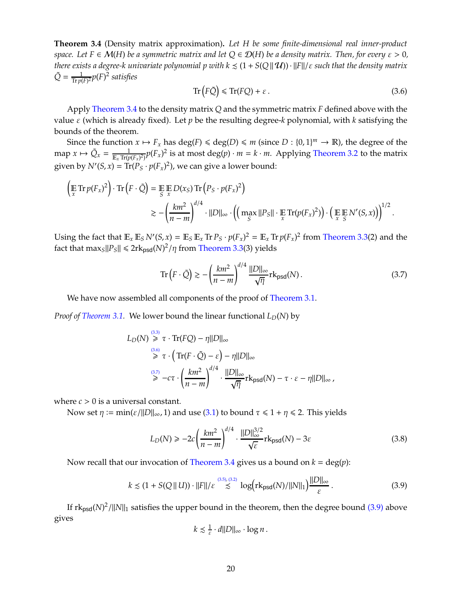<span id="page-19-0"></span>**Theorem 3.4** (Density matrix approximation)**.** *Let H be some finite-dimensional real inner-product space.* Let  $F \in \mathcal{M}(H)$  *be a symmetric matrix and let*  $Q \in \mathcal{D}(H)$  *be a density matrix. Then, for every*  $\varepsilon > 0$ *, there exists a degree-k univariate polynomial p with*  $k \leq (1 + S(Q||\mathcal{U})) \cdot ||F||/ \varepsilon$  *such that the density matrix*  $\tilde{Q} = \frac{1}{\text{Tr} n(1)}$ Tr *p*(*F*) <sup>2</sup> *p*(*F*) 2 *satisfies*

<span id="page-19-1"></span>
$$
\operatorname{Tr}\left(F\tilde{Q}\right) \leqslant \operatorname{Tr}(FQ) + \varepsilon\,. \tag{3.6}
$$

Apply [Theorem 3.4](#page-19-0) to the density matrix *Q* and the symmetric matrix *F* defined above with the value ε (which is already fixed). Let *p* be the resulting degree-*k* polynomial, with *k* satisfying the bounds of the theorem.

Since the function  $x \mapsto F_x$  has deg(*F*)  $\leq$  deg(*D*)  $\leq$  *m* (since *D* : {0, 1}<sup>*m*</sup>  $\rightarrow$  **R**), the degree of the map  $x \mapsto \tilde{Q}_x = \frac{1}{\mathbb{E}_x \operatorname{Tr}(p)}$  $\frac{1}{\mathbb{E}_x \text{Tr}(p(F_x)^2)} p(F_x)^2$  is at most deg $(p) \cdot m = k \cdot m$ . Applying [Theorem 3.2](#page-17-0) to the matrix given by  $N'(S, x) = \text{Tr}(P_S \cdot p(F_x)^2)$ , we can give a lower bound:

$$
\left(\mathop{\mathbb{E}}_{x} \operatorname{Tr} p(F_{x})^{2}\right) \cdot \operatorname{Tr}\left(F \cdot \tilde{Q}\right) = \mathop{\mathbb{E}}_{S} \mathop{\mathbb{E}}_{x} D(x_{S}) \operatorname{Tr}\left(P_{S} \cdot p(F_{x})^{2}\right)
$$
\n
$$
\geq -\left(\frac{km^{2}}{n-m}\right)^{d/4} \cdot ||D||_{\infty} \cdot \left(\left(\max_{S} ||P_{S}|| \cdot \mathop{\mathbb{E}}_{x} \operatorname{Tr}(p(F_{x})^{2})\right) \cdot \left(\mathop{\mathbb{E}}_{x} \mathop{\mathbb{E}}_{S} N'(S, x)\right)\right)^{1/2}.
$$

Using the fact that  $\mathbb{E}_x \mathbb{E}_S N'(S, x) = \mathbb{E}_S \mathbb{E}_x \text{Tr } P_S \cdot p(F_x)^2 = \mathbb{E}_x \text{Tr } p(F_x)^2$  from [Theorem 3.3\(](#page-17-5)2) and the fact that  $\max_{S} ||P_{S}|| \leq 2r k_{psd}(N)^{2}/\eta$  from [Theorem 3.3\(](#page-17-5)3) yields

<span id="page-19-2"></span>
$$
\operatorname{Tr}\left(F \cdot \tilde{Q}\right) \gtrsim -\left(\frac{km^2}{n-m}\right)^{d/4} \frac{\|D\|_{\infty}}{\sqrt{\eta}} \operatorname{rk}_{\text{psd}}(N). \tag{3.7}
$$

We have now assembled all components of the proof of [Theorem 3.1.](#page-16-2)

*Proof of [Theorem 3.1.](#page-16-2)* We lower bound the linear functional  $L_D(N)$  by

$$
L_D(N) \overset{\text{(3.3)}}{\geq} \tau \cdot \text{Tr}(FQ) - \eta ||D||_{\infty}
$$
\n
$$
\overset{\text{(3.6)}}{\geq} \tau \cdot \left( \text{Tr}(F \cdot \tilde{Q}) - \varepsilon \right) - \eta ||D||_{\infty}
$$
\n
$$
\overset{\text{(3.7)}}{\geq} -c\tau \cdot \left( \frac{km^2}{n-m} \right)^{d/4} \cdot \frac{||D||_{\infty}}{\sqrt{\eta}} \text{rk}_{\text{psd}}(N) - \tau \cdot \varepsilon - \eta ||D||_{\infty},
$$

where  $c > 0$  is a universal constant.

Now set  $\eta := \min(\varepsilon / ||D||_{\infty}, 1)$  and use [\(3.1\)](#page-18-1) to bound  $\tau \leq 1 + \eta \leq 2$ . This yields

<span id="page-19-4"></span>
$$
L_D(N) \ge -2c \left(\frac{km^2}{n-m}\right)^{d/4} \cdot \frac{\|D\|_{\infty}^{3/2}}{\sqrt{\varepsilon}} r k_{\text{psd}}(N) - 3\varepsilon
$$
\n(3.8)

Now recall that our invocation of [Theorem 3.4](#page-19-0) gives us a bound on  $k = \deg(p)$ :

<span id="page-19-3"></span>
$$
k \lesssim (1 + S(Q||U)) \cdot ||F|| / \varepsilon \stackrel{(3.5), (3.2)}{\lesssim} \log(r k_{\text{psd}}(N) / ||N||_1) \frac{||D||_{\infty}}{\varepsilon} \,. \tag{3.9}
$$

If  $\text{rk}_{\text{psd}}(N)^2/\|N\|_1$  satisfies the upper bound in the theorem, then the degree bound [\(3.9\)](#page-19-3) above gives

$$
k \lesssim \frac{1}{\varepsilon} \cdot d||D||_{\infty} \cdot \log n.
$$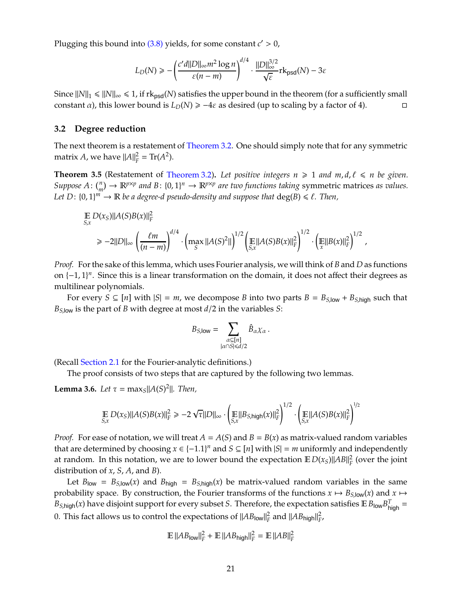Plugging this bound into [\(3.8\)](#page-19-4) yields, for some constant *c* ′ > 0,

$$
L_D(N) \ge -\left(\frac{c'd||D||_{\infty}m^2\log n}{\varepsilon(n-m)}\right)^{d/4} \cdot \frac{||D||_{\infty}^{3/2}}{\sqrt{\varepsilon}}\mathrm{rk}_{\mathrm{psd}}(N) - 3\varepsilon
$$

Since  $||N||_1 \le ||N||_{\infty} \le 1$ , if  $rk_{psd}(N)$  satisfies the upper bound in the theorem (for a sufficiently small constant *a*), this lower bound is  $L_D(N) \ge -4\varepsilon$  as desired (up to scaling by a factor of 4).

#### <span id="page-20-0"></span>**3.2 Degree reduction**

The next theorem is a restatement of [Theorem 3.2.](#page-17-0) One should simply note that for any symmetric matrix *A*, we have  $||A||_F^2 = \text{Tr}(A^2)$ .

**Theorem 3.5** (Restatement of [Theorem 3.2\)](#page-17-0). Let positive integers  $n \geq 1$  and  $m, d, \ell \leq n$  be given. *Suppose*  $A: \binom{n}{m} \to \mathbb{R}^{p \times p}$  and  $B: \{0, 1\}^n \to \mathbb{R}^{p \times p}$  are two functions taking symmetric matrices as values. Let  $D: \{0,1\}^m \to \mathbb{R}$  be a degree-d pseudo-density and suppose that  $\deg(B) \leq \ell$ . Then,

$$
\begin{split} &\mathbb{E}\,D(x_S)\|A(S)B(x)\|_F^2\\ &\geq -2\|D\|_\infty\left(\frac{\ell m}{(n-m)}\right)^{d/4}\cdot\left(\max_S\|A(S)^2\|\right)^{1/2}\left(\mathbb{E}\|A(S)B(x)\|_F^2\right)^{1/2}\cdot\left(\mathbb{E}\|B(x)\|_F^2\right)^{1/2}\,, \end{split}
$$

*Proof.* For the sake of this lemma, which uses Fourier analysis, we will think of *B* and *D* as functions on  $\{-1, 1\}$ <sup>n</sup>. Since this is a linear transformation on the domain, it does not affect their degrees as multilinear polynomials.

For every  $S \subseteq [n]$  with  $|S| = m$ , we decompose *B* into two parts  $B = B_{S,low} + B_{S,high}$  such that  $B_{S,low}$  is the part of *B* with degree at most  $d/2$  in the variables *S*:

$$
B_{S,\mathsf{low}} = \sum_{\substack{\alpha \subseteq [n] \\ |\alpha \cap S| \leq d/2}} \hat{B}_{\alpha} \chi_{\alpha} \, .
$$

(Recall [Section 2.1](#page-10-1) for the Fourier-analytic definitions.)

The proof consists of two steps that are captured by the following two lemmas.

<span id="page-20-1"></span>**Lemma 3.6.** *Let*  $\tau = \max_{S} |A(S)^{2}|$ *. Then,* 

$$
\mathop{\mathbb{E}}_{S,x} D(x_S) ||A(S)B(x)||_F^2 \ge -2 \sqrt{\tau} ||D||_{\infty} \cdot \left( \mathop{\mathbb{E}}_{S,x} ||B_{S,\text{high}}(x)||_F^2 \right)^{1/2} \cdot \left( \mathop{\mathbb{E}}_{S,x} ||A(S)B(x)||_F^2 \right)^{1/2}
$$

*Proof.* For ease of notation, we will treat  $A = A(S)$  and  $B = B(x)$  as matrix-valued random variables that are determined by choosing  $x \in \{-1.1\}^n$  and  $S \subseteq [n]$  with  $|S| = m$  uniformly and independently at random. In this notation, we are to lower bound the expectation  $E D(x_S)||AB||_F^2$  $\frac{2}{F}$  (over the joint distribution of *x*, *S*, *A*, and *B*).

Let  $B_{\text{low}} = B_{S,\text{low}}(x)$  and  $B_{\text{high}} = B_{S,\text{high}}(x)$  be matrix-valued random variables in the same probability space. By construction, the Fourier transforms of the functions  $x \mapsto B_{S,low}(x)$  and  $x \mapsto$  $B_{S,high}(x)$  have disjoint support for every subset *S*. Therefore, the expectation satisfies  $\mathbb{E}\,B_{\sf low}B_{\sf high}^T =$ 0. This fact allows us to control the expectations of  $\|AB_{\mathsf{low}}\|_F^2$  and  $\|AB_{\mathsf{high}}\|_F^2$ ,

$$
\mathbb{E} \left| \left| AB_{\text{low}} \right| \right|_F^2 + \mathbb{E} \left| \left| AB_{\text{high}} \right| \right|_F^2 = \mathbb{E} \left| \left| AB \right| \right|_F^2
$$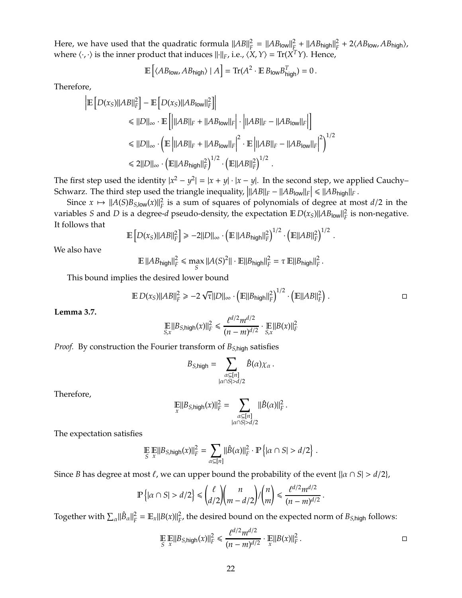Here, we have used that the quadratic formula  $\|AB\|_F^2$  $E_F^2 = ||AB_{\text{low}}||_F^2$  $\frac{2}{L}$  +  $||AB_{\text{high}}||_F^2$  $P_F^2 + 2\langle AB_{\text{low}}, AB_{\text{high}}\rangle$ , where  $\langle \cdot, \cdot \rangle$  is the inner product that induces  $\|\cdot\|_F$ , i.e.,  $\langle X, Y \rangle = \text{Tr}(X^T Y)$ . Hence,

$$
\mathbb{E}\left[ \langle AB_{\mathsf{low}}, AB_{\mathsf{high}} \rangle \mid A \right] = \text{Tr}(A^2 \cdot \mathbb{E} \, B_{\mathsf{low}} B_{\mathsf{high}}^T) = 0 \, .
$$

Therefore,

$$
\begin{aligned} \left| \mathbb{E} \left[ D(x_S) ||AB||_F^2 \right] - \mathbb{E} \left[ D(x_S) ||AB_{\text{low}}||_F^2 \right] \right| \\ &\leq ||D||_{\infty} \cdot \mathbb{E} \left[ \left| ||AB||_F + ||AB_{\text{low}}||_F \right| \cdot \left| ||AB||_F - ||AB_{\text{low}}||_F \right| \right] \\ &\leq ||D||_{\infty} \cdot \left( \mathbb{E} \left| ||AB||_F + ||AB_{\text{low}}||_F \right|^2 \cdot \mathbb{E} \left| ||AB||_F - ||AB_{\text{low}}||_F \right|^2 \right)^{1/2} \\ &\leq 2||D||_{\infty} \cdot \left( \mathbb{E} ||AB_{\text{high}}||_F^2 \right)^{1/2} \cdot \left( \mathbb{E} ||AB||_F^2 \right)^{1/2} . \end{aligned}
$$

The first step used the identity  $|x^2 - y^2| = |x + y| \cdot |x - y|$ . In the second step, we applied Cauchy– Schwarz. The third step used the triangle inequality,  $\left|\|AB\|_F - \|AB_{\text{low}}\|_F\right| \leq \|AB_{\text{high}}\|_F$ .

Since  $x \mapsto ||A(S)B_{S,low}(x)||_F^2$  is a sum of squares of polynomials of degree at most  $d/2$  in the variables *S* and *D* is a degree-*d* pseudo-density, the expectation  $E D(x_S)||AB_{low}||_F^2$  is non-negative. It follows that

$$
\mathbb{E}\left[D(x_S)||AB||_F^2\right] \ge -2||D||_{\infty} \cdot \left(\mathbb{E}||AB_{\text{high}}||_F^2\right)^{1/2} \cdot \left(\mathbb{E}||AB||_F^2\right)^{1/2}.
$$

We also have

 $\mathbb{E} \left\|AB_{\text{high}}\right\|_{F}^{2} \leqslant \max_{S} \left\|A(S)^{2}\right\| \cdot \mathbb{E} \left\|B_{\text{high}}\right\|_{F}^{2} = \tau \left\|B_{\text{high}}\right\|_{F}^{2}$ *F* .

This bound implies the desired lower bound

$$
\mathbb{E} D(x_S) ||AB||_F^2 \ge -2 \sqrt{\tau} ||D||_{\infty} \cdot \left( \mathbb{E} ||B_{\mathsf{high}}||_F^2 \right)^{1/2} \cdot \left( \mathbb{E} ||AB||_F^2 \right) . \qquad \qquad \Box
$$

<span id="page-21-0"></span>**Lemma 3.7.**

$$
\mathbb{E}||B_{S,\text{high}}(x)||_F^2 \leq \frac{\ell^{d/2}m^{d/2}}{(n-m)^{d/2}} \cdot \mathbb{E}||B(x)||_F^2
$$

*Proof.* By construction the Fourier transform of *BS*,high satisfies

$$
B_{S,\mathsf{high}} = \sum_{\substack{\alpha \subseteq [n] \\ |\alpha \cap S| > d/2}} \hat{B}(\alpha) \chi_{\alpha} \, .
$$

Therefore,

$$
\mathop{\mathbb{E}}_{x} ||B_{S,\mathsf{high}}(x)||_{F}^2 = \sum_{\substack{\alpha \subseteq [n] \\ |\alpha \cap S| > d/2}} ||\hat{B}(\alpha)||_{F}^2.
$$

The expectation satisfies

$$
\mathop{\mathbb{E}}_{S} \mathop{\mathbb{E}}_{x} ||B_{S,\text{high}}(x)||_{F}^{2} = \sum_{\alpha \subseteq [n]} ||\hat{B}(\alpha)||_{F}^{2} \cdot \mathop{\mathbb{P}} \left\{ |\alpha \cap S| > d/2 \right\}
$$

Since *B* has degree at most  $\ell$ , we can upper bound the probability of the event { $|\alpha \cap S| > d/2$ },

$$
\mathbb{P}\left\{|\alpha \cap S| > d/2\right\} \leq \binom{\ell}{d/2}\binom{n}{m-d/2}/\binom{n}{m} \leq \frac{\ell^{d/2}m^{d/2}}{(n-m)^{d/2}}\,.
$$

Together with  $\sum_{\alpha} ||\hat{B}_{\alpha}||_F^2$  $E_F^2 = \mathbb{E}_x ||B(x)||_F^2$  $F_F^2$ , the desired bound on the expected norm of  $B_{S,high}$  follows:

$$
\mathbb{E}_{S} \mathbb{E} ||B_{S,\text{high}}(x)||_{F}^{2} \leq \frac{\ell^{d/2} m^{d/2}}{(n-m)^{d/2}} \cdot \mathbb{E} ||B(x)||_{F}^{2}.
$$

.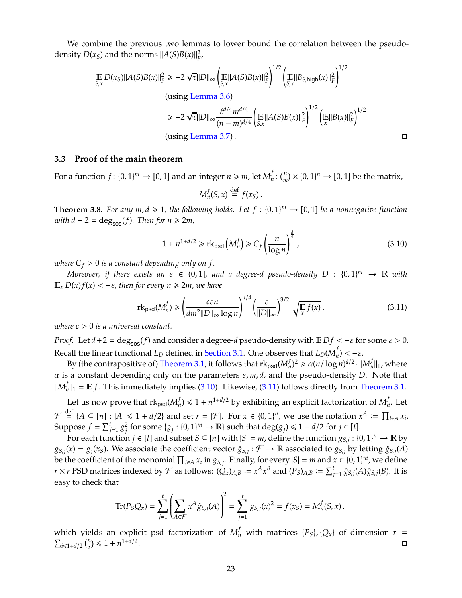We combine the previous two lemmas to lower bound the correlation between the pseudodensity  $D(x_S)$  and the norms  $||A(S)B(x)||_F^2$ *F* ,

$$
\mathbb{E} D(x_S) ||A(S)B(x)||_F^2 \ge -2 \sqrt{\tau} ||D||_{\infty} \left( \mathbb{E} ||A(S)B(x)||_F^2 \right)^{1/2} \left( \mathbb{E} ||B_{S,\text{high}}(x)||_F^2 \right)^{1/2}
$$
\n
$$
\text{(using Lemma 3.6)}
$$
\n
$$
\ge -2 \sqrt{\tau} ||D||_{\infty} \frac{\ell^{d/4} m^{d/4}}{(n-m)^{d/4}} \left( \mathbb{E} ||A(S)B(x)||_F^2 \right)^{1/2} \left( \mathbb{E} ||B(x)||_F^2 \right)^{1/2}
$$
\n
$$
\text{(using Lemma 3.7)}.
$$

#### <span id="page-22-0"></span>**3.3 Proof of the main theorem**

For a function  $f: \{0, 1\}^m \to [0, 1]$  and an integer  $n \ge m$ , let  $M_n^f$  $\psi_n^f: \binom{n}{m} \times \{0,1\}^n \to [0,1]$  be the matrix,

$$
M_n^f(S,x) \stackrel{\text{def}}{=} f(x_S).
$$

<span id="page-22-1"></span>**Theorem 3.8.** For any  $m, d \ge 1$ , the following holds. Let  $f : \{0, 1\}^m \to [0, 1]$  be a nonnegative function *with*  $d + 2 = \text{deg}_{\text{sos}}(f)$ *. Then for*  $n \ge 2m$ *,* 

<span id="page-22-2"></span>
$$
1 + n^{1+d/2} \geqslant \mathrm{rk}_{\mathrm{psd}}\left(M_n^f\right) \geqslant C_f \left(\frac{n}{\log n}\right)^{\frac{d}{4}},\tag{3.10}
$$

*where*  $C_f > 0$  *is a constant depending only on f.* 

*Moreover, if there exists an*  $\varepsilon \in (0,1]$ *, and a degree-d pseudo-density*  $D$  :  $\{0,1\}^m$   $\rightarrow \mathbb{R}$  with  $\mathbb{E}_x D(x) f(x) < -\varepsilon$ , then for every  $n \geq 2m$ , we have

<span id="page-22-3"></span>
$$
\mathrm{rk}_{\mathrm{psd}}(M_n^f) \ge \left(\frac{c\epsilon n}{dm^2||D||_{\infty}\log n}\right)^{d/4} \left(\frac{\epsilon}{||D||_{\infty}}\right)^{3/2} \sqrt{\mathbb{E} f(x)},\tag{3.11}
$$

*where c* > 0 *is a universal constant.*

*Proof.* Let  $d + 2 = \deg_{\text{SOS}}(f)$  and consider a degree- $d$  pseudo-density with  $E Df < -\varepsilon$  for some  $\varepsilon > 0$ . Recall the linear functional *L<sup>D</sup>* defined in [Section 3.1.](#page-16-1) One observes that *LD*(*M f*  $\binom{J}{n} < -\varepsilon$ .

By (the contrapositive of) [Theorem 3.1,](#page-16-2) it follows that  $\mathrm{rk}_{\texttt{psd}}(M_n^f)$  $\int_{n}^{f}$ )<sup>2</sup>  $\geq \alpha (n/\log n)^{d/2} \cdot ||M_n^f$  $\frac{d}{n}$ ||<sub>1</sub>, where  $\alpha$  is a constant depending only on the parameters  $\varepsilon$ ,  $m$ ,  $d$ , and the pseudo-density *D*. Note that  $\mathcal{M}^{f}_{n}$  $\|f\|_1 = \mathbb{E} f$ . This immediately implies [\(3.10\)](#page-22-2). Likewise, [\(3.11\)](#page-22-3) follows directly from [Theorem 3.1.](#page-16-2)

Let us now prove that  $\mathrm{rk}_{\mathsf{psd}}(M_n^f)$  $f_n$ )  $\leqslant 1 + n^{1+d/2}$  by exhibiting an explicit factorization of  $M_n^f$  $_n^{\prime}$ . Let  $\mathcal{F} \stackrel{\text{def}}{=} \{A \subseteq [n] : |A| \leq 1 + d/2\}$  and set  $r = |\mathcal{F}|$ . For  $x \in \{0, 1\}^n$ , we use the notation  $x^A := \prod_{i \in A} x_i$ . Suppose  $f = \sum_{j=1}^{t} g_j^2$  $\frac{1}{j}$  for some  $\{g_j: \{0,1\}^m \to \mathbb{R}\}$  such that  $\deg(g_j) \leq 1 + d/2$  for  $j \in [t]$ .

For each function  $j \in [t]$  and subset  $S \subseteq [n]$  with  $|S| = m$ , define the function  $g_{S,j} : \{0,1\}^n \to \mathbb{R}$  by  $g_{S,j}(x) = g_j(x_S)$ . We associate the coefficient vector  $\hat{g}_{S,j} : \mathcal{F} \to \mathbb{R}$  associated to  $g_{S,j}$  by letting  $\hat{g}_{S,j}(A)$ be the coefficient of the monomial  $\prod_{i \in A} x_i$  in *g*<sub>*S*,*j*</sub>. Finally, for every |*S*| = *m* and *x* ∈ {0, 1}<sup>*m*</sup>, we define  $r \times r$  PSD matrices indexed by  $\mathcal F$  as follows:  $(Q_x)_{A,B} := x^A x^B$  and  $(P_S)_{A,B} := \sum_{j=1}^t \hat g_{S,j}(A) \hat g_{S,j}(B)$ . It is easy to check that

$$
\mathrm{Tr}(P_S Q_x) = \sum_{j=1}^t \left( \sum_{A \in \mathcal{F}} x^A \hat{g}_{S,j}(A) \right)^2 = \sum_{j=1}^t g_{S,j}(x)^2 = f(x_S) = M_n^f(S, x),
$$

which yields an explicit psd factorization of  $M_n^f$  with matrices  $\{P_S\}$ ,  $\{Q_x\}$  of dimension  $r = \sum_{i \leq 1, i \neq 2} {n \choose i} \leq 1 + n^{1 + d/2}$ .  $i \leq 1 + d/2$   $\binom{n}{i} \leq 1 + n^{1+d/2}$ . In the contract of the contract of the contract of the contract of the contract of the contract of the contract of the contract of the contract of the contract of the contract of the contract of the contract of the contr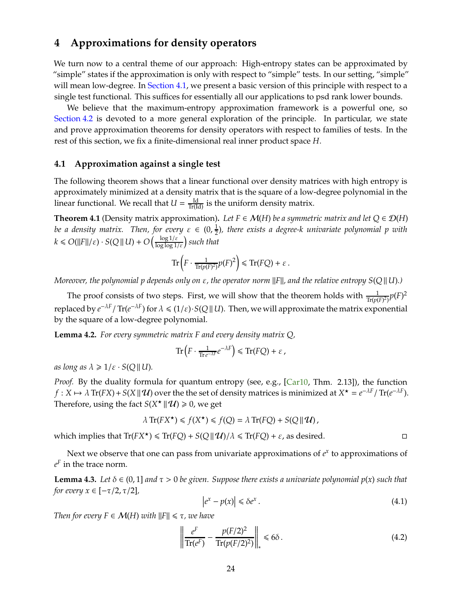## <span id="page-23-7"></span><span id="page-23-0"></span>**4 Approximations for density operators**

We turn now to a central theme of our approach: High-entropy states can be approximated by "simple" states if the approximation is only with respect to "simple" tests. In our setting, "simple" will mean low-degree. In [Section 4.1,](#page-23-1) we present a basic version of this principle with respect to a single test functional. This suffices for essentially all our applications to psd rank lower bounds.

We believe that the maximum-entropy approximation framework is a powerful one, so [Section 4.2](#page-25-0) is devoted to a more general exploration of the principle. In particular, we state and prove approximation theorems for density operators with respect to families of tests. In the rest of this section, we fix a finite-dimensional real inner product space *H*.

#### <span id="page-23-1"></span>**4.1 Approximation against a single test**

The following theorem shows that a linear functional over density matrices with high entropy is approximately minimized at a density matrix that is the square of a low-degree polynomial in the linear functional. We recall that  $U = \frac{Id}{Tr(Id)}$  is the uniform density matrix.

<span id="page-23-2"></span>**Theorem 4.1** (Density matrix approximation). Let  $F \in \mathcal{M}(H)$  be a symmetric matrix and let  $Q \in \mathcal{D}(H)$ *be a density matrix. Then, for every*  $\varepsilon \in (0, \frac{1}{2})$ , there exists a degree-k univariate polynomial p with 2  $k \leq O(||F||/\varepsilon) \cdot S(Q||U) + O\left(\frac{\log 1/\varepsilon}{\log \log 1/\varepsilon}\right)$  such that

$$
\mathrm{Tr}\left(F\cdot\frac{1}{\mathrm{Tr}(p(F)^2)}p(F)^2\right)\leq \mathrm{Tr}(FQ)+\varepsilon.
$$

*Moreover, the polynomial p depends only on ε, the operator norm ||F||, and the relative entropy S(Q || U).)* 

The proof consists of two steps. First, we will show that the theorem holds with  $\frac{1}{\text{Tr}(p(F)^2)} p(F)^2$ replaced by  $e^{-\lambda F}$  / Tr $(e^{-\lambda F})$  for  $\lambda \leq (1/\varepsilon) \cdot S(Q||U)$ . Then, we will approximate the matrix exponential by the square of a low-degree polynomial.

<span id="page-23-6"></span>**Lemma 4.2.** *For every symmetric matrix F and every density matrix Q,*

$$
\mathrm{Tr}\left(F\cdot\tfrac{1}{\mathrm{Tr}\,e^{-\lambda F}}e^{-\lambda F}\right)\leqslant\mathrm{Tr}(FQ)+\varepsilon\;,
$$

*as long as*  $\lambda \geq 1/\varepsilon \cdot S(Q||U)$ .

*Proof.* By the duality formula for quantum entropy (see, e.g., [\[Car10,](#page-43-11) Thm. 2.13]), the function  $f: X \mapsto \lambda \operatorname{Tr}(FX) + S(X \parallel \mathcal{U})$  over the the set of density matrices is minimized at  $X^{\star} = e^{-\lambda F} / \operatorname{Tr}(e^{-\lambda F})$ . Therefore, using the fact  $S(X^* \mid \mid \mathcal{U}) \geq 0$ , we get

$$
\lambda \operatorname{Tr}(FX^{\star}) \leq f(X^{\star}) \leq f(Q) = \lambda \operatorname{Tr}(FQ) + S(Q || \mathcal{U}),
$$

which implies that  $Tr(FX^*) \le Tr(FQ) + S(Q||\mathcal{U})/\lambda \le Tr(FQ) + \varepsilon$ , as desired.

Next we observe that one can pass from univariate approximations of  $e^x$  to approximations of  $e^F$  in the trace norm.

<span id="page-23-4"></span>**Lemma 4.3.** *Let*  $\delta \in (0,1]$  *and*  $\tau > 0$  *be given. Suppose there exists a univariate polynomial*  $p(x)$  *such that for every*  $x \in [-\tau/2, \tau/2]$ *,* 

<span id="page-23-5"></span>
$$
\left|e^x - p(x)\right| \leq \delta e^x. \tag{4.1}
$$

*Then for every*  $F \in \mathcal{M}(H)$  *with*  $||F|| \leq \tau$ , we have

<span id="page-23-3"></span>
$$
\left\| \frac{e^F}{\text{Tr}(e^F)} - \frac{p(F/2)^2}{\text{Tr}(p(F/2)^2)} \right\|_* \leq 6\delta. \tag{4.2}
$$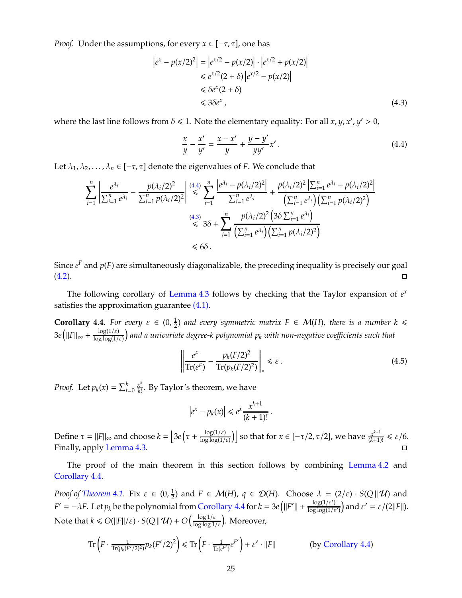*Proof.* Under the assumptions, for every  $x \in [-\tau, \tau]$ , one has

$$
\begin{aligned} \left| e^x - p(x/2)^2 \right| &= \left| e^{x/2} - p(x/2) \right| \cdot \left| e^{x/2} + p(x/2) \right| \\ &\le e^{x/2} (2 + \delta) \left| e^{x/2} - p(x/2) \right| \\ &\le \delta e^x (2 + \delta) \\ &\le 3\delta e^x \,, \end{aligned} \tag{4.3}
$$

where the last line follows from  $\delta \leq 1$ . Note the elementary equality: For all *x*, *y*, *x'*, *y'* > 0,

<span id="page-24-1"></span><span id="page-24-0"></span>
$$
\frac{x}{y} - \frac{x'}{y'} = \frac{x - x'}{y} + \frac{y - y'}{yy'}x'.
$$
\n(4.4)

Let  $\lambda_1, \lambda_2, ..., \lambda_n \in [-\tau, \tau]$  denote the eigenvalues of *F*. We conclude that

$$
\sum_{i=1}^{n} \left| \frac{e^{\lambda_i}}{\sum_{i=1}^{n} e^{\lambda_i}} - \frac{p(\lambda_i/2)^2}{\sum_{i=1}^{n} p(\lambda_i/2)^2} \right| \stackrel{(4.4)}{\leq} \sum_{i=1}^{n} \frac{\left| e^{\lambda_i} - p(\lambda_i/2)^2 \right|}{\sum_{i=1}^{n} e^{\lambda_i}} + \frac{p(\lambda_i/2)^2 \left| \sum_{i=1}^{n} e^{\lambda_i} - p(\lambda_i/2)^2 \right|}{\left( \sum_{i=1}^{n} e^{\lambda_i} \right) \left( \sum_{i=1}^{n} p(\lambda_i/2)^2 \right)} \right|
$$
\n
$$
\stackrel{(4.3)}{\leq} 3\delta + \sum_{i=1}^{n} \frac{p(\lambda_i/2)^2 \left( 3\delta \sum_{i=1}^{n} e^{\lambda_i} \right)}{\left( \sum_{i=1}^{n} p(\lambda_i/2)^2 \right)}
$$
\n
$$
\leq 6\delta.
$$

Since  $e^F$  and  $p(F)$  are simultaneously diagonalizable, the preceding inequality is precisely our goal [\(4.2\)](#page-23-3).

The following corollary of [Lemma 4.3](#page-23-4) follows by checking that the Taylor expansion of  $e^x$ satisfies the approximation guarantee [\(4.1\).](#page-23-5)

<span id="page-24-2"></span>**Corollary 4.4.** *For every*  $\varepsilon \in (0, \frac{1}{2})$  $\frac{1}{2}$ ) and every symmetric matrix  $F \in \mathcal{M}(H)$ , there is a number  $k \leq$  $3e$ (||F||<sub>∞</sub> +  $\frac{\log(1/\varepsilon)}{\log\log(1/\varepsilon)}$  $\log \log(1/\varepsilon)$ *and a univariate degree-k polynomial p<sup>k</sup> with non-negative coe*ffi*cients such that*

$$
\left\| \frac{e^F}{\text{Tr}(e^F)} - \frac{p_k(F/2)^2}{\text{Tr}(p_k(F/2)^2)} \right\|_* \leq \varepsilon \,. \tag{4.5}
$$

*Proof.* Let  $p_k(x) = \sum_{t=0}^k \frac{x^k}{k!}$ *k*! . By Taylor's theorem, we have

$$
|e^x - p_k(x)| \le e^x \frac{x^{k+1}}{(k+1)!}
$$
.

Define  $\tau = ||F||_{\infty}$  and choose  $k = \left[3e\left(\tau + \frac{\log(1/\varepsilon)}{\log \log(1/\varepsilon)}\right)\right]$  $\frac{\log(1/\varepsilon)}{\log\log(1/\varepsilon)}$  so that for  $x \in [-\tau/2, \tau/2]$ , we have  $\frac{x^{k+1}}{(k+1)!} \leq \varepsilon/6$ . Finally, apply [Lemma 4.3.](#page-23-4)  $\Box$ 

The proof of the main theorem in this section follows by combining [Lemma 4.2](#page-23-6) and [Corollary 4.4.](#page-24-2)

*Proof of [Theorem 4.1.](#page-23-2)* Fix  $\varepsilon \in (0, \frac{1}{2})$  and  $F \in \mathcal{M}(H)$ ,  $q \in \mathcal{D}(H)$ . Choose  $\lambda = (2/\varepsilon) \cdot S(Q||\mathcal{U})$  and 2 *F'* =  $-\lambda F$ . Let  $p_k$  be the polynomial from [Corollary 4.4](#page-24-2) for  $k = 3e(|F'| + \frac{\log(1/\varepsilon')}{\log\log(1/\varepsilon)})$  $\log \log(1/\varepsilon')$  $\int$  and  $\varepsilon' = \varepsilon/(2||F||)$ . Note that  $k \le O(\|F\|/\varepsilon) \cdot S(Q\|\mathcal{U}) + O\left(\frac{\log 1/\varepsilon}{\log \log 1/\varepsilon}\right)$ . Moreover,

$$
\operatorname{Tr}\left(F\cdot\frac{1}{\operatorname{Tr}(p_k(F'/2)^2)}p_k(F'/2)^2\right) \leqslant \operatorname{Tr}\left(F\cdot\frac{1}{\operatorname{Tr}(e^{F'})}e^{F'}\right) + \varepsilon'\cdot||F|| \qquad \qquad \text{(by Corollary 4.4)}
$$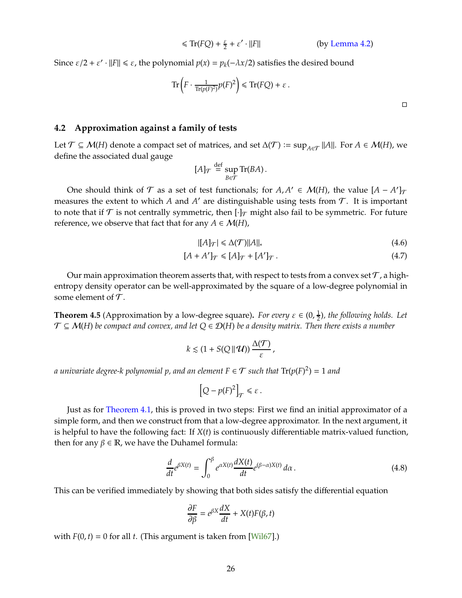$$
\leq \text{Tr}(FQ) + \frac{\varepsilon}{2} + \varepsilon' \cdot ||F|| \qquad \qquad \text{(by Lemma 4.2)}
$$

<span id="page-25-5"></span>Since  $\varepsilon/2 + \varepsilon' \cdot ||F|| \le \varepsilon$ , the polynomial  $p(x) = p_k(-\lambda x/2)$  satisfies the desired bound

$$
\operatorname{Tr}\left(F \cdot \frac{1}{\operatorname{Tr}(p(F)^2)} p(F)^2\right) \le \operatorname{Tr}(FQ) + \varepsilon.
$$

#### <span id="page-25-0"></span>**4.2 Approximation against a family of tests**

Let  $\mathcal{T} \subseteq \mathcal{M}(H)$  denote a compact set of matrices, and set  $\Delta(\mathcal{T}) := \sup_{A \in \mathcal{T}} ||A||$ . For  $A \in \mathcal{M}(H)$ , we define the associated dual gauge

$$
[A]_{\mathcal{T}} \stackrel{\text{def}}{=} \sup_{B \in \mathcal{T}} \text{Tr}(BA).
$$

One should think of  $\mathcal T$  as a set of test functionals; for  $A, A' \in \mathcal M(H)$ , the value  $[A - A']_{\mathcal T}$ measures the extent to which *A* and *A'* are distinguishable using tests from  $\mathcal{T}$ . It is important to note that if  $\mathcal T$  is not centrally symmetric, then  $[\cdot]_{\mathcal T}$  might also fail to be symmetric. For future reference, we observe that fact that for any  $A \in \mathcal{M}(H)$ ,

<span id="page-25-4"></span><span id="page-25-3"></span>
$$
|[A]_{\mathcal{T}}| \leq \Delta(\mathcal{T})||A||_*\tag{4.6}
$$

$$
[A + A']_{\mathcal{T}} \leq [A]_{\mathcal{T}} + [A']_{\mathcal{T}}.
$$
\n
$$
(4.7)
$$

Our main approximation theorem asserts that, with respect to tests from a convex set  $\mathcal T$ , a highentropy density operator can be well-approximated by the square of a low-degree polynomial in some element of  $\mathcal T$ .

<span id="page-25-1"></span>**Theorem 4.5** (Approximation by a low-degree square). *For every*  $\varepsilon \in (0, \frac{1}{2})$  $\frac{1}{2}$ ), the following holds. Let T ⊆ M(*H*) *be compact and convex, and let Q* ∈ D(*H*) *be a density matrix. Then there exists a number*

$$
k \lesssim (1 + S(Q || \mathcal{U})) \frac{\Delta(\mathcal{T})}{\varepsilon},
$$

*a univariate degree-k polynomial p, and an element*  $F \in \mathcal{T}$  *such that*  $\text{Tr}(p(F)^2) = 1$  *and* 

$$
\left[Q - p(F)^2\right]_{\mathcal{T}} \leq \varepsilon \, .
$$

Just as for [Theorem 4.1,](#page-23-2) this is proved in two steps: First we find an initial approximator of a simple form, and then we construct from that a low-degree approximator. In the next argument, it is helpful to have the following fact: If *X*(*t*) is continuously differentiable matrix-valued function, then for any  $β ∈ ℝ$ , we have the Duhamel formula:

<span id="page-25-2"></span>
$$
\frac{d}{dt}e^{\beta X(t)} = \int_0^\beta e^{\alpha X(t)} \frac{dX(t)}{dt} e^{(\beta - \alpha)X(t)} d\alpha.
$$
\n(4.8)

This can be verified immediately by showing that both sides satisfy the differential equation

$$
\frac{\partial F}{\partial \beta} = e^{\beta X} \frac{dX}{dt} + X(t) F(\beta, t)
$$

with  $F(0, t) = 0$  for all *t*. (This argument is taken from [\[Wil67\]](#page-45-9).)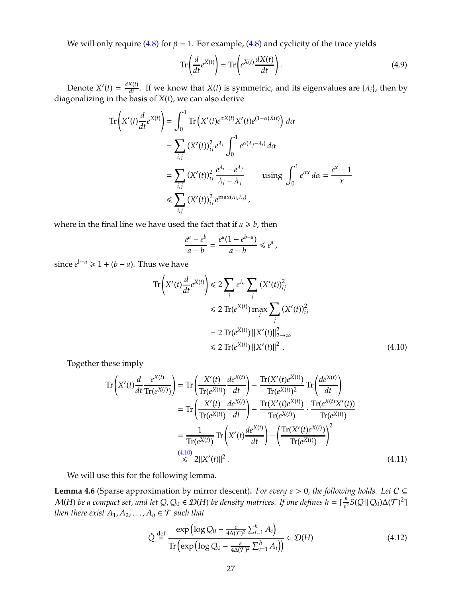We will only require [\(4.8\)](#page-25-2) for  $\beta = 1$ . For example, (4.8) and cyclicity of the trace yields

<span id="page-26-1"></span>
$$
\operatorname{Tr}\left(\frac{d}{dt}e^{X(t)}\right) = \operatorname{Tr}\left(e^{X(t)}\frac{dX(t)}{dt}\right). \tag{4.9}
$$

Denote  $X'(t) = \frac{dX(t)}{dt}$ . If we know that  $X(t)$  is symmetric, and its eigenvalues are  $\{\lambda_i\}$ , then by diagonalizing in the basis of *X*(*t*), we can also derive

$$
\operatorname{Tr}\left(X'(t)\frac{d}{dt}e^{X(t)}\right) = \int_0^1 \operatorname{Tr}\left(X'(t)e^{\alpha X(t)}X'(t)e^{(1-\alpha)X(t)}\right)d\alpha
$$
  
\n
$$
= \sum_{i,j} \left(X'(t)\right)_{ij}^2 e^{\lambda_i} \int_0^1 e^{\alpha(\lambda_j-\lambda_i)} d\alpha
$$
  
\n
$$
= \sum_{i,j} \left(X'(t)\right)_{ij}^2 \frac{e^{\lambda_i} - e^{\lambda_j}}{\lambda_i - \lambda_j} \quad \text{using } \int_0^1 e^{\alpha x} d\alpha = \frac{e^x - 1}{x}
$$
  
\n
$$
\leq \sum_{i,j} \left(X'(t)\right)_{ij}^2 e^{\max(\lambda_i,\lambda_j)},
$$

where in the final line we have used the fact that if  $a \ge b$ , then

<span id="page-26-0"></span>
$$
\frac{e^a - e^b}{a - b} = \frac{e^a (1 - e^{b - a})}{a - b} \le e^a,
$$

since  $e^{b-a}$  ≥ 1 + (*b* − *a*). Thus we have

$$
\operatorname{Tr}\left(X'(t)\frac{d}{dt}e^{X(t)}\right) \leq 2\sum_{i} e^{\lambda_{i}} \sum_{j} \left(X'(t)\right)_{ij}^{2}
$$
  

$$
\leq 2\operatorname{Tr}(e^{X(t)}) \max_{i} \sum_{j} \left(X'(t)\right)_{ij}^{2}
$$
  

$$
= 2\operatorname{Tr}(e^{X(t)}) ||X'(t)||_{2\to\infty}^{2}
$$
  

$$
\leq 2\operatorname{Tr}(e^{X(t)}) ||X'(t)||^{2}.
$$
 (4.10)

Together these imply

$$
\operatorname{Tr}\left(X'(t)\frac{d}{dt}\frac{e^{X(t)}}{\operatorname{Tr}(e^{X(t)})}\right) = \operatorname{Tr}\left(\frac{X'(t)}{\operatorname{Tr}(e^{X(t)})}\frac{de^{X(t)}}{dt}\right) - \frac{\operatorname{Tr}(X'(t)e^{X(t)})}{\operatorname{Tr}(e^{X(t)})^2} \operatorname{Tr}\left(\frac{de^{X(t)}}{dt}\right)
$$
\n
$$
= \operatorname{Tr}\left(\frac{X'(t)}{\operatorname{Tr}(e^{X(t)})}\frac{de^{X(t)}}{dt}\right) - \frac{\operatorname{Tr}(X'(t)e^{X(t)})}{\operatorname{Tr}(e^{X(t)})} \cdot \frac{\operatorname{Tr}(e^{X(t)}X'(t))}{\operatorname{Tr}(e^{X(t)})}
$$
\n
$$
= \frac{1}{\operatorname{Tr}(e^{X(t)})} \operatorname{Tr}\left(X'(t)\frac{de^{X(t)}}{dt}\right) - \left(\frac{\operatorname{Tr}(X'(t)e^{X(t)})}{\operatorname{Tr}(e^{X(t)})}\right)^2
$$
\n
$$
\stackrel{(4.10)}{\leq} 2||X'(t)||^2.
$$
\n(4.11)

We will use this for the following lemma.

<span id="page-26-4"></span>**Lemma 4.6** (Sparse approximation by mirror descent). *For every*  $\varepsilon > 0$ , the following holds. Let  $C \subseteq$  $\mathcal{M}(H)$  *be a compact set, and let Q, Q*<sub>0</sub>  $\in$   $\mathcal{D}(H)$  *be density matrices. If one defines h* =  $\lceil \frac{8}{\varepsilon^2} \rceil$  $\frac{8}{\epsilon^2} S(Q \| Q_0) \Delta(\mathcal{T})^2$ *then there exist*  $A_1, A_2, \ldots, A_h \in \mathcal{T}$  *such that* 

<span id="page-26-3"></span><span id="page-26-2"></span>
$$
\tilde{Q} \stackrel{\text{def}}{=} \frac{\exp\left(\log Q_0 - \frac{\varepsilon}{4\Delta(\mathcal{T})^2} \sum_{i=1}^h A_i\right)}{\text{Tr}\left(\exp\left(\log Q_0 - \frac{\varepsilon}{4\Delta(\mathcal{T})^2} \sum_{i=1}^h A_i\right)\right)} \in \mathcal{D}(H) \tag{4.12}
$$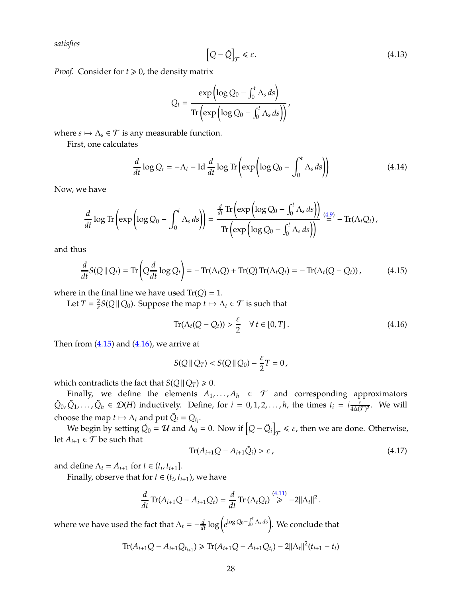*satisfies*

<span id="page-27-3"></span>
$$
\left[Q - \tilde{Q}\right]_{\mathcal{T}} \leq \varepsilon. \tag{4.13}
$$

*Proof.* Consider for  $t \ge 0$ , the density matrix

$$
Q_{t} = \frac{\exp\left(\log Q_{0} - \int_{0}^{t} \Lambda_{s} ds\right)}{\operatorname{Tr}\left(\exp\left(\log Q_{0} - \int_{0}^{t} \Lambda_{s} ds\right)\right)}
$$

where  $s \mapsto \Lambda_s \in \mathcal{T}$  is any measurable function.

First, one calculates

$$
\frac{d}{dt}\log Q_t = -\Lambda_t - \text{Id}\,\frac{d}{dt}\log\text{Tr}\left(\exp\left(\log Q_0 - \int_0^t \Lambda_s ds\right)\right) \tag{4.14}
$$

Now, we have

$$
\frac{d}{dt} \log \text{Tr} \left( \exp \left( \log Q_0 - \int_0^t \Lambda_s ds \right) \right) = \frac{\frac{d}{dt} \text{Tr} \left( \exp \left( \log Q_0 - \int_0^t \Lambda_s ds \right) \right)}{\text{Tr} \left( \exp \left( \log Q_0 - \int_0^t \Lambda_s ds \right) \right)} \stackrel{(4.9)}{=} -\text{Tr}(\Lambda_t Q_t),
$$

and thus

$$
\frac{d}{dt}S(Q||Q_t) = \text{Tr}\left(Q\frac{d}{dt}\log Q_t\right) = -\text{Tr}(\Lambda_t Q) + \text{Tr}(Q)\text{Tr}(\Lambda_t Q_t) = -\text{Tr}(\Lambda_t (Q - Q_t)),\tag{4.15}
$$

where in the final line we have used  $Tr(Q) = 1$ .

Let  $T=\frac{2}{s}$  $\frac{2}{\varepsilon} S(Q \| Q_0)$ . Suppose the map  $t \mapsto \Lambda_t \in \mathcal{T}$  is such that

<span id="page-27-1"></span><span id="page-27-0"></span>
$$
\operatorname{Tr}(\Lambda_t(Q-Q_t)) > \frac{\varepsilon}{2} \quad \forall \, t \in [0, T]. \tag{4.16}
$$

Then from  $(4.15)$  and  $(4.16)$ , we arrive at

$$
S(Q || Q_T) < S(Q || Q_0) - \frac{\varepsilon}{2} T = 0,
$$

which contradicts the fact that *S*( $Q \parallel Q_T$ )  $\ge 0$ .

Finally, we define the elements  $A_1, \ldots, A_h \in \mathcal{T}$  and corresponding approximators  $\tilde{Q}_0$ ,  $\tilde{Q}_1$ , ...,  $\tilde{Q}_h \in \mathcal{D}(H)$  inductively. Define, for  $i = 0, 1, 2, ..., h$ , the times  $t_i = i \frac{\varepsilon}{4\Delta(\mathcal{T})^2}$ . We will choose the map  $t \mapsto \Lambda_t$  and put  $\tilde{Q}_i = Q_{t_i}$ .

We begin by setting  $\tilde{Q}_0 = U$  and  $\Lambda_0 = 0$ . Now if  $\left[Q - \tilde{Q}_i\right]$  $\tau \leq \varepsilon$ , then we are done. Otherwise, let  $A_{i+1} \in \mathcal{T}$  be such that

<span id="page-27-2"></span>
$$
\operatorname{Tr}(A_{i+1}Q - A_{i+1}\tilde{Q}_i) > \varepsilon \tag{4.17}
$$

and define  $\Lambda_t = A_{i+1}$  for  $t \in (t_i, t_{i+1}]$ .

Finally, observe that for  $t \in (t_i, t_{i+1})$ , we have

$$
\frac{d}{dt}\operatorname{Tr}(A_{i+1}Q-A_{i+1}Q_t)=\frac{d}{dt}\operatorname{Tr}(\Lambda_tQ_t)\stackrel{(4.11)}{\geq} -2||\Lambda_t||^2.
$$

where we have used the fact that  $\Lambda_t = -\frac{d}{dt} \log \left( e^{\log Q_0 - \int_0^t \Lambda_s ds} \right)$ . We conclude that

$$
\text{Tr}(A_{i+1}Q - A_{i+1}Q_{t_{i+1}}) \ge \text{Tr}(A_{i+1}Q - A_{i+1}Q_{t_i}) - 2||\Lambda_t||^2(t_{i+1} - t_i)
$$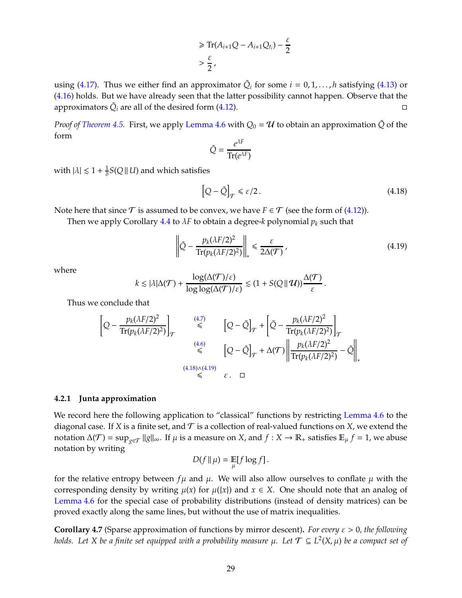$$
\geq \text{Tr}(A_{i+1}Q - A_{i+1}Q_{t_i}) - \frac{\varepsilon}{2}
$$
  
>  $\frac{\varepsilon}{2}$ ,

using [\(4.17\)](#page-27-2). Thus we either find an approximator  $\tilde{Q}_i$  for some  $i = 0, 1, \ldots, h$  satisfying [\(4.13\)](#page-27-3) or [\(4.16\)](#page-27-1) holds. But we have already seen that the latter possibility cannot happen. Observe that the approximators  $\tilde{Q}_i$  are all of the desired form [\(4.12\)](#page-26-3).

*Proof of [Theorem 4.5.](#page-25-1)* First, we apply [Lemma 4.6](#page-26-4) with  $Q_0 = U$  to obtain an approximation  $\tilde{Q}$  of the form

$$
\tilde{Q} = \frac{e^{\lambda F}}{\text{Tr}(e^{\lambda F})}
$$

with  $|\lambda| \lesssim 1 + \frac{1}{\delta}$  $\frac{1}{\delta}S(Q \,|| \, U)$  and which satisfies

<span id="page-28-1"></span>
$$
\left[Q - \tilde{Q}\right]_{\mathcal{T}} \le \varepsilon/2. \tag{4.18}
$$

Note here that since  $\mathcal T$  is assumed to be convex, we have  $F \in \mathcal T$  (see the form of [\(4.12\)](#page-26-3)).

Then we apply Corollary [4.4](#page-24-2) to λ*F* to obtain a degree-*k* polynomial *p<sup>k</sup>* such that

<span id="page-28-2"></span>
$$
\left\| \tilde{Q} - \frac{p_k(\lambda F/2)^2}{\text{Tr}(p_k(\lambda F/2)^2)} \right\|_* \leq \frac{\varepsilon}{2\Delta(\mathcal{T})},\tag{4.19}
$$

where

$$
k \lesssim |\lambda| \Delta(\mathcal{T}) + \frac{\log(\Delta(\mathcal{T})/\varepsilon)}{\log \log(\Delta(\mathcal{T})/\varepsilon)} \lesssim (1 + S(Q \,||\, \mathcal{U})) \frac{\Delta(\mathcal{T})}{\varepsilon}.
$$

Thus we conclude that

$$
\left[Q - \frac{p_k(\lambda F/2)^2}{\text{Tr}(p_k(\lambda F/2)^2)}\right]_{\mathcal{T}} \leq \left[Q - \tilde{Q}\right]_{\mathcal{T}} + \left[\tilde{Q} - \frac{p_k(\lambda F/2)^2}{\text{Tr}(p_k(\lambda F/2)^2)}\right]_{\mathcal{T}}
$$
\n
$$
\leq \left[Q - \tilde{Q}\right]_{\mathcal{T}} + \Delta(\mathcal{T}) \left\|\frac{p_k(\lambda F/2)^2}{\text{Tr}(p_k(\lambda F/2)^2)} - \tilde{Q}\right\|_{\ast}
$$
\n
$$
\leq \epsilon. \quad \Box
$$
\n
$$
(4.18)\land(4.19)
$$

#### <span id="page-28-0"></span>**4.2.1 Junta approximation**

We record here the following application to "classical" functions by restricting [Lemma 4.6](#page-26-4) to the diagonal case. If *X* is a finite set, and  $T$  is a collection of real-valued functions on *X*, we extend the notation  $\Delta(\mathcal{T}) = \sup_{g \in \mathcal{T}} ||g||_{\infty}$ . If  $\mu$  is a measure on *X*, and  $f : X \to \mathbb{R}_+$  satisfies  $\mathbb{E}_{\mu} f = 1$ , we abuse notation by writing

$$
D(f\|\mu) = \mathop{\mathbb{E}}_{\mu}[f\log f].
$$

for the relative entropy between  $f\mu$  and  $\mu$ . We will also allow ourselves to conflate  $\mu$  with the corresponding density by writing  $\mu(x)$  for  $\mu({x})$  and  $x \in X$ . One should note that an analog of [Lemma 4.6](#page-26-4) for the special case of probability distributions (instead of density matrices) can be proved exactly along the same lines, but without the use of matrix inequalities.

<span id="page-28-3"></span>**Corollary 4.7** (Sparse approximation of functions by mirror descent)**.** *For every* ε > 0*, the following holds. Let X be a finite set equipped with a probability measure*  $\mu$ *. Let*  $\mathcal{T} \subseteq L^2(X,\mu)$  *be a compact set of*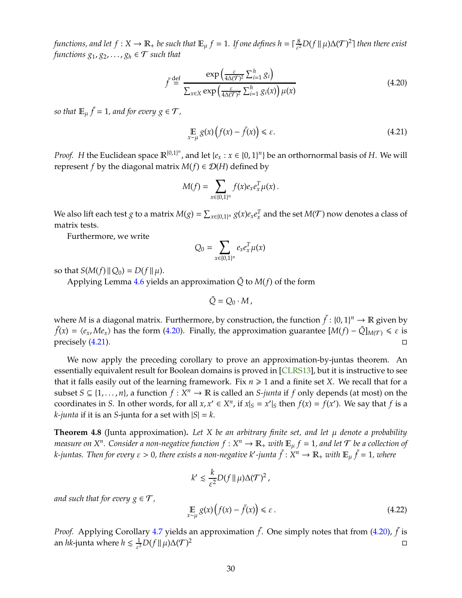<span id="page-29-3"></span>*functions, and let*  $f: X \to \mathbb{R}_+$  *be such that*  $\mathbb{E}_{\mu} f = 1$ *. If one defines*  $h = \lceil \frac{8}{\varepsilon^2} \rceil$  $\frac{8}{\varepsilon^2}D(f\,\|\,\mu)\Delta(\mathcal{T})^2$ ] then there exist *functions*  $g_1, g_2, \ldots, g_h \in \mathcal{T}$  *such that* 

<span id="page-29-0"></span>
$$
\tilde{f} \stackrel{\text{def}}{=} \frac{\exp\left(\frac{\varepsilon}{4\Delta(\mathcal{T})^2} \sum_{i=1}^h g_i\right)}{\sum_{x \in X} \exp\left(\frac{\varepsilon}{4\Delta(\mathcal{T})^2} \sum_{i=1}^h g_i(x)\right) \mu(x)}
$$
(4.20)

so that  $\mathbb{E}_{\mu} \tilde{f} = 1$ , and for every  $g \in \mathcal{T}$ ,

<span id="page-29-1"></span>
$$
\mathop{\mathbb{E}}_{x \sim \mu} g(x) \left( f(x) - \tilde{f}(x) \right) \le \varepsilon. \tag{4.21}
$$

*Proof. H* the Euclidean space  $\mathbb{R}^{\{0,1\}^n}$ , and let  $\{e_x : x \in \{0,1\}^n\}$  be an orthornormal basis of *H*. We will represent *f* by the diagonal matrix  $M(f) \in \mathcal{D}(H)$  defined by

$$
M(f)=\sum_{x\in\{0,1\}^n}f(x)e_xe_x^T\mu(x).
$$

We also lift each test *g* to a matrix  $M(g) = \sum_{x \in \{0,1\}^n} g(x)e_xe_x^T$  and the set  $M(\mathcal{T})$  now denotes a class of matrix tests.

Furthermore, we write

$$
Q_0 = \sum_{x \in \{0,1\}^n} e_x e_x^T \mu(x)
$$

so that  $S(M(f) \| Q_0) = D(f \| \mu)$ .

Applying Lemma [4.6](#page-26-4) yields an approximation  $\tilde{Q}$  to  $M(f)$  of the form

$$
\tilde{Q}=Q_0\cdot M,
$$

where *M* is a diagonal matrix. Furthermore, by construction, the function  $\tilde{f}$  :  $\{0,1\}^n \to \mathbb{R}$  given by  $\tilde{f}(x) = \langle e_x, Me_x \rangle$  has the form [\(4.20\)](#page-29-0). Finally, the approximation guarantee  $[M(f) - \tilde{Q}]_{M(\mathcal{T})} \le \varepsilon$  is precisely  $(4.21)$ .

We now apply the preceding corollary to prove an approximation-by-juntas theorem. An essentially equivalent result for Boolean domains is proved in [CLRS13], but it is instructive to see that it falls easily out of the learning framework. Fix  $n \geq 1$  and a finite set *X*. We recall that for a subset  $S \subseteq \{1, \ldots, n\}$ , a function  $f : X^n \to \mathbb{R}$  is called an *S-junta* if  $f$  only depends (at most) on the coordinates in *S*. In other words, for all  $x, x' \in X^n$ , if  $x|_S = x'|_S$  then  $f(x) = f(x')$ . We say that  $f$  is a *k*-*junta* if it is an *S*-junta for a set with  $|S| = k$ .

<span id="page-29-2"></span>**Theorem 4.8** (Junta approximation)**.** *Let X be an arbitrary finite set, and let* µ *denote a probability measure on X<sup>n</sup>. Consider a non-negative function*  $f:X^n\to \mathbb{R}_+$  *with*  $\mathbb{E}_\mu f=1$ *, and let*  $\mathcal T$  *be a collection of k-juntas. Then for every*  $\varepsilon > 0$ *, there exists a non-negative k′-junta*  $\tilde{f}:X^n\to \mathbb R_+$  *with*  $\mathbb E_\mu\,\tilde{f}=1$ *, where* 

$$
k' \lesssim \frac{k}{\varepsilon^2} D(f \| \mu) \Delta(\mathcal{T})^2,
$$

*and such that for every*  $g \in \mathcal{T}$ ,

$$
\mathop{\mathbb{E}}_{x \sim \mu} g(x) \left( f(x) - \tilde{f}(x) \right) \le \varepsilon \,. \tag{4.22}
$$

*Proof.* Applying Corollary [4.7](#page-28-3) yields an approximation  $\tilde{f}$ . One simply notes that from [\(4.20\)](#page-29-0),  $\tilde{f}$  is an *hk*-junta where  $h \lesssim \frac{1}{s^2}$  $\frac{1}{\varepsilon^2}D(f\|\mu)\Delta(\mathcal{T})$  $\overline{2}$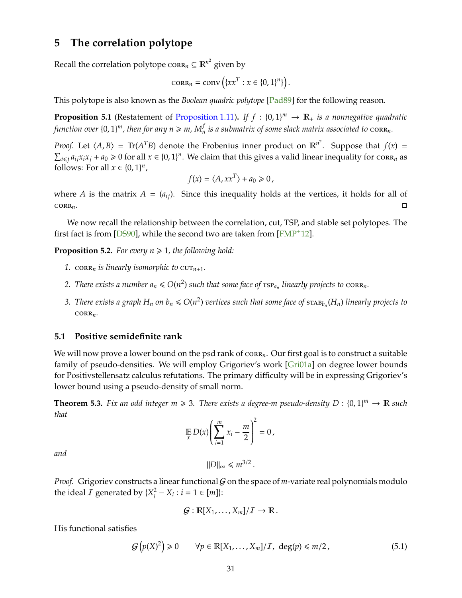## <span id="page-30-6"></span><span id="page-30-0"></span>**5 The correlation polytope**

Recall the correlation polytope  $\operatorname{cork}_n \subseteq \mathbb{R}^{n^2}$  given by

$$
\operatorname{CORR}_n = \operatorname{conv}\left(\{xx^T : x \in \{0,1\}^n\}\right).
$$

This polytope is also known as the *Boolean quadric polytope* [\[Pad89\]](#page-44-10) for the following reason.

<span id="page-30-5"></span>**Proposition 5.1** (Restatement of [Proposition 1.11\)](#page-9-4). If  $f : \{0,1\}^m \to \mathbb{R}_+$  is a nonnegative quadratic function over  $\{0,1\}^m$ , then for any  $n \ge m$ ,  $M_n^f$  is a submatrix of some slack matrix associated to  $\text{corr}_n$ .

*Proof.* Let  $\langle A, B \rangle = \text{Tr}(A^T B)$  denote the Frobenius inner product on  $\mathbb{R}^{n^2}$ . Suppose that  $f(x) =$  $\sum_{i\leq j} a_{ij}x_ix_j + a_0 \geq 0$  for all  $x \in \{0,1\}^n$ . We claim that this gives a valid linear inequality for  $\text{cor}_{n}$  as follows: For all  $x \in \{0, 1\}^n$ ,

$$
f(x) = \langle A, xx^T \rangle + a_0 \ge 0,
$$

where *A* is the matrix  $A = (a_{ij})$ . Since this inequality holds at the vertices, it holds for all of  $CORR_n$ .

We now recall the relationship between the correlation, cut, TSP, and stable set polytopes. The first fact is from [\[DS90\]](#page-43-6), while the second two are taken from [\[FMP](#page-43-2)+12].

<span id="page-30-2"></span>**Proposition 5.2.** For every  $n \geq 1$ , the following hold:

- *1.* corr<sub>n</sub> *is linearly isomorphic to*  $\text{cut}_{n+1}$ *.*
- 2. There exists a number  $a_n \le O(n^2)$  such that some face of  $\text{tsp}_{a_n}$  linearly projects to  $\text{corr}_{n}$ .
- 3. There exists a graph  $H_n$  on  $b_n \le O(n^2)$  vertices such that some face of  $\text{stab}_{b_n}(H_n)$  linearly projects to  $CORR<sub>n</sub>$ *.*

#### <span id="page-30-1"></span>**5.1 Positive semidefinite rank**

We will now prove a lower bound on the psd rank of corr<sub>n</sub>. Our first goal is to construct a suitable family of pseudo-densities. We will employ Grigoriev's work [Gri01a] on degree lower bounds for Positivstellensatz calculus refutations. The primary difficulty will be in expressing Grigoriev's lower bound using a pseudo-density of small norm.

<span id="page-30-4"></span>**Theorem 5.3.** Fix an odd integer  $m \ge 3$ . There exists a degree-m pseudo-density  $D : \{0,1\}^m \to \mathbb{R}$  such *that*

$$
\mathop{\mathbb{E}}_x D(x) \left( \sum_{i=1}^m x_i - \frac{m}{2} \right)^2 = 0,
$$

*and*

$$
||D||_{\infty} \leq m^{3/2}.
$$

*Proof.* Grigoriev constructs a linear functional  $G$  on the space of *m*-variate real polynomials modulo the ideal  $I$  generated by  $\{X_i^2\}$  $i^2 - X_i$  :  $i = 1 \in [m]$ :

$$
\mathcal{G}: \mathbb{R}[X_1,\ldots,X_m]/\mathcal{I} \to \mathbb{R}.
$$

His functional satisfies

<span id="page-30-3"></span>
$$
\mathcal{G}\left(p(X)^2\right) \geq 0 \qquad \forall p \in \mathbb{R}[X_1, \ldots, X_m]/\mathcal{I}, \ \deg(p) \leq m/2, \tag{5.1}
$$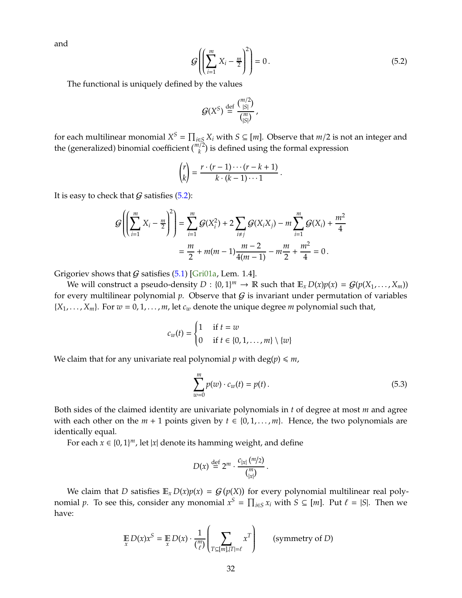<span id="page-31-2"></span>and

<span id="page-31-0"></span>
$$
\mathcal{G}\left(\left(\sum_{i=1}^{m} X_i - \frac{m}{2}\right)^2\right) = 0.
$$
\n(5.2)

The functional is uniquely defined by the values

$$
\mathcal{G}(X^S) \stackrel{\text{def}}{=} \frac{\binom{m/2}{|S|}}{\binom{m}{|S|}},
$$

for each multilinear monomial  $X^S = \prod_{i \in S} X_i$  with  $S \subseteq [m]$ . Observe that  $m/2$  is not an integer and the (generalized) binomial coefficient  $\binom{m/2}{k}$  is defined using the formal expression

$$
\binom{r}{k} = \frac{r \cdot (r-1) \cdots (r-k+1)}{k \cdot (k-1) \cdots 1}.
$$

It is easy to check that  $G$  satisfies  $(5.2)$ :

$$
G\left(\left(\sum_{i=1}^{m} X_i - \frac{m}{2}\right)^2\right) = \sum_{i=1}^{m} G(X_i^2) + 2\sum_{i \neq j} G(X_i X_j) - m\sum_{i=1}^{m} G(X_i) + \frac{m^2}{4}
$$
  
=  $\frac{m}{2} + m(m-1)\frac{m-2}{4(m-1)} - m\frac{m}{2} + \frac{m^2}{4} = 0.$ 

Grigoriev shows that  $G$  satisfies [\(5.1\)](#page-30-3) [Gri01a, Lem. 1.4].

We will construct a pseudo-density  $D: \{0, 1\}^m \to \mathbb{R}$  such that  $\mathbb{E}_x D(x) p(x) = \mathcal{G}(p(X_1, \ldots, X_m))$ for every multilinear polynomial  $p$ . Observe that  $G$  is invariant under permutation of variables  ${X_1, \ldots, X_m}$ . For  $w = 0, 1, \ldots, m$ , let  $c_w$  denote the unique degree *m* polynomial such that,

$$
c_w(t) = \begin{cases} 1 & \text{if } t = w \\ 0 & \text{if } t \in \{0, 1, \dots, m\} \setminus \{w\} \end{cases}
$$

We claim that for any univariate real polynomial  $p$  with deg( $p$ )  $\leq m$ ,

<span id="page-31-1"></span>
$$
\sum_{w=0}^{m} p(w) \cdot c_w(t) = p(t).
$$
 (5.3)

Both sides of the claimed identity are univariate polynomials in *t* of degree at most *m* and agree with each other on the  $m + 1$  points given by  $t \in \{0, 1, \ldots, m\}$ . Hence, the two polynomials are identically equal.

For each  $x \in \{0, 1\}^m$ , let  $|x|$  denote its hamming weight, and define

$$
D(x) \stackrel{\text{def}}{=} 2^m \cdot \frac{c_{|x|} (m/2)}{\binom{m}{|x|}}.
$$

We claim that *D* satisfies  $\mathbb{E}_x D(x)p(x) = G(p(X))$  for every polynomial multilinear real polynomial *p*. To see this, consider any monomial  $x^S = \prod_{i \in S} x_i$  with  $S \subseteq [m]$ . Put  $\ell = |S|$ . Then we have:

$$
\mathop{\mathbb{E}}_{x} D(x)x^{S} = \mathop{\mathbb{E}}_{x} D(x) \cdot \frac{1}{\binom{m}{\ell}} \left( \sum_{T \subseteq [m], |T| = \ell} x^{T} \right) \qquad \text{(symmetry of } D\text{)}
$$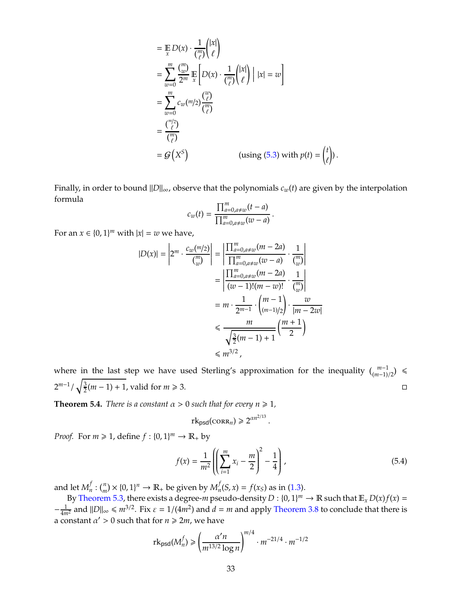$$
= \mathbb{E}_{x} D(x) \cdot \frac{1}{\binom{m}{\ell}} \binom{|x|}{\ell}
$$
  
\n
$$
= \sum_{w=0}^{m} \frac{\binom{m}{w}}{2^{m}} \mathbb{E}_{x} \left[ D(x) \cdot \frac{1}{\binom{m}{\ell}} \binom{|x|}{\ell} \middle| |x| = w \right]
$$
  
\n
$$
= \sum_{w=0}^{m} c_{w} \binom{m}{2} \frac{\binom{w}{\ell}}{\binom{m}{\ell}}
$$
  
\n
$$
= \frac{\binom{m}{\ell}}{\binom{m}{\ell}}
$$
  
\n
$$
= G(X^{S}) \qquad \text{(using (5.3) with } p(t) = \binom{t}{\ell}.
$$

Finally, in order to bound  $||D||_{\infty}$ , observe that the polynomials  $c_w(t)$  are given by the interpolation formula

$$
c_w(t) = \frac{\prod_{a=0, a \neq w}^m (t - a)}{\prod_{a=0, a \neq w}^m (w - a)}
$$

.

For an  $x \in \{0, 1\}^m$  with  $|x| = w$  we have,

$$
|D(x)| = \left| 2^m \cdot \frac{c_w(m/2)}{\binom{m}{w}} \right| = \left| \frac{\prod_{a=0, a \neq w}^m (m-2a)}{\prod_{a=0, a \neq w}^m (w-a)} \cdot \frac{1}{\binom{m}{w}} \right|
$$
  

$$
= \left| \frac{\prod_{a=0, a \neq w}^m (m-2a)}{(w-1)!(m-w)!} \cdot \frac{1}{\binom{m}{w}} \right|
$$
  

$$
= m \cdot \frac{1}{2^{m-1}} \cdot \binom{m-1}{(m-1)/2} \cdot \frac{w}{|m-2w|}
$$
  

$$
\le \frac{m}{\sqrt{\frac{3}{2}(m-1)+1}} \left( \frac{m+1}{2} \right)
$$
  

$$
\le m^{3/2},
$$

where in the last step we have used Sterling's approximation for the inequality  $\binom{m-1}{(m-1)/2}$ 2 *m*−1 /  $\sqrt{3}$  $\frac{3}{2}(m-1) + 1$ , valid for  $m \ge 3$ .  $\Box$ 

**Theorem 5.4.** *There is a constant*  $\alpha > 0$  *such that for every*  $n \ge 1$ *,* 

$$
rk_{\text{psd}}(\text{CORR}_n) \geq 2^{\alpha n^{2/13}}
$$

*Proof.* For  $m \ge 1$ , define  $f : \{0, 1\}^m \to \mathbb{R}_+$  by

$$
f(x) = \frac{1}{m^2} \left( \left( \sum_{i=1}^{m} x_i - \frac{m}{2} \right)^2 - \frac{1}{4} \right),
$$
 (5.4)

.

and let  $M_n^f$  $\mathcal{L}_n^f: \binom{n}{m} \times \{0,1\}^n \to \mathbb{R}_+$  be given by  $M_n^f$  $f_n(S, x) = f(x_S)$  as in [\(1.3\)](#page-8-1).

By [Theorem 5.3,](#page-30-4) there exists a degree-*m* pseudo-density  $D: \{0, 1\}^m \to \mathbb{R}$  such that  $\mathbb{E}_x D(x) f(x) =$  $-\frac{1}{4m^2}$  and  $||D||_{\infty} \le m^{3/2}$ . Fix  $\varepsilon = 1/(4m^2)$  and  $d = m$  and apply [Theorem 3.8](#page-22-1) to conclude that there is a constant  $\alpha' > 0$  such that for  $n \geq 2m$ , we have

$$
rk_{\text{psd}}(M_n^f) \geq \left(\frac{\alpha' n}{m^{13/2} \log n}\right)^{m/4} \cdot m^{-21/4} \cdot m^{-1/2}
$$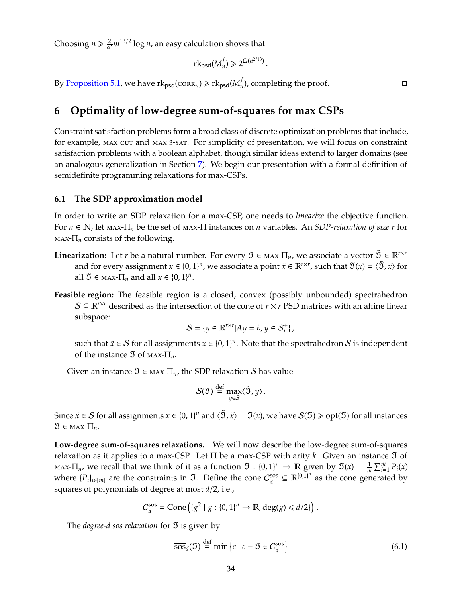Choosing  $n \geq \frac{2}{\alpha}$  $\frac{2}{\alpha'} m^{13/2} \log n$ , an easy calculation shows that

$$
rk_{\text{psd}}(M_n^f) \geq 2^{\Omega(n^{2/13})}
$$

.

By [Proposition 5.1,](#page-30-5) we have  $\mathrm{rk}_{\texttt{psd}}(\texttt{corr}_n) \geqslant \mathrm{rk}_{\texttt{psd}}(M_n^f)$  $I_n$ ), completing the proof.

<span id="page-33-0"></span>**6 Optimality of low-degree sum-of-squares for max CSPs**

Constraint satisfaction problems form a broad class of discrete optimization problems that include, for example, max cut and max 3-sat. For simplicity of presentation, we will focus on constraint satisfaction problems with a boolean alphabet, though similar ideas extend to larger domains (see an analogous generalization in Section [7\)](#page-37-0). We begin our presentation with a formal definition of semidefinite programming relaxations for max-CSPs.

#### <span id="page-33-1"></span>**6.1 The SDP approximation model**

In order to write an SDP relaxation for a max-CSP, one needs to *linearize* the objective function. For *<sup>n</sup>* <sup>∈</sup> <sup>N</sup>, let max-Π*<sup>n</sup>* be the set of max-<sup>Π</sup> instances on *<sup>n</sup>* variables. An *SDP-relaxation of size r* for max-Π*<sup>n</sup>* consists of the following.

- **Linearization:** Let *r* be a natural number. For every  $\mathfrak{I} \in \mathbb{R}^{n \times n}$  we associate a vector  $\tilde{\mathfrak{I}} \in \mathbb{R}^{n \times r}$ and for every assignment  $x \in \{0, 1\}^n$ , we associate a point  $\tilde{x} \in \mathbb{R}^{r \times r}$ , such that  $\mathfrak{I}(x) = \langle \tilde{\mathfrak{I}}, \tilde{x} \rangle$  for all  $\mathfrak{I} \in \text{max-TI}_n$  and all  $x \in \{0,1\}^n$ .
- **Feasible region:** The feasible region is a closed, convex (possibly unbounded) spectrahedron  $S \subseteq \mathbb{R}^{r \times r}$  described as the intersection of the cone of  $r \times r$  PSD matrices with an affine linear subspace:

$$
\mathcal{S}=\{y\in\mathbb{R}^{r\times r}|Ay=b, y\in\mathcal{S}_r^+\}\,,
$$

such that  $\tilde{x} \in S$  for all assignments  $x \in \{0,1\}^n$ . Note that the spectrahedron  $S$  is independent of the instance <sup>ℑ</sup> of max-Π*n*.

Given an instance  $\mathfrak{I} \in \text{MAX-}\Pi_n$ , the SDP relaxation S has value

$$
\mathcal{S}(\mathfrak{I}) \stackrel{\text{def}}{=} \max_{y \in \mathcal{S}} \langle \tilde{\mathfrak{I}}, y \rangle.
$$

Since  $\tilde{x} \in S$  for all assignments  $x \in \{0,1\}^n$  and  $\langle \tilde{S}, \tilde{x} \rangle = \mathfrak{I}(x)$ , we have  $S(\mathfrak{I}) \geq \text{opt}(\mathfrak{I})$  for all instances  $\mathfrak{I} \in \text{MAX-}\Pi_n$ .

**Low-degree sum-of-squares relaxations.** We will now describe the low-degree sum-of-squares relaxation as it applies to a max-CSP. Let  $\Pi$  be a max-CSP with arity *k*. Given an instance  $\mathfrak I$  of  $\max$ - $\Pi_n$ , we recall that we think of it as a function  $\mathfrak{I}: \{0,1\}^n \to \mathbb{R}$  given by  $\mathfrak{I}(x) = \frac{1}{m} \sum_{i=1}^m P_i(x)$ where  $\{P_i\}_{i \in [m]}$  are the constraints in  $\mathfrak{I}$ . Define the cone  $C_d^{\text{ss}}$  $\mathbb{R}^{\{0,1\}^n}$  as the cone generated by squares of polynomials of degree at most *d*/2, i.e.,

$$
C_d^{\rm sos} = {\rm Cone}\left(\left\{g^2 \mid g:\left\{0,1\right\}^n \to \mathbb{R}, \deg(g) \leq d/2\right\}\right)\,.
$$

The *degree-d sos relaxation* for **3** is given by

<span id="page-33-2"></span>
$$
\overline{\text{Sos}}_d(\mathfrak{I}) \stackrel{\text{def}}{=} \min \left\{ c \mid c - \mathfrak{I} \in C_d^{\text{sos}} \right\} \tag{6.1}
$$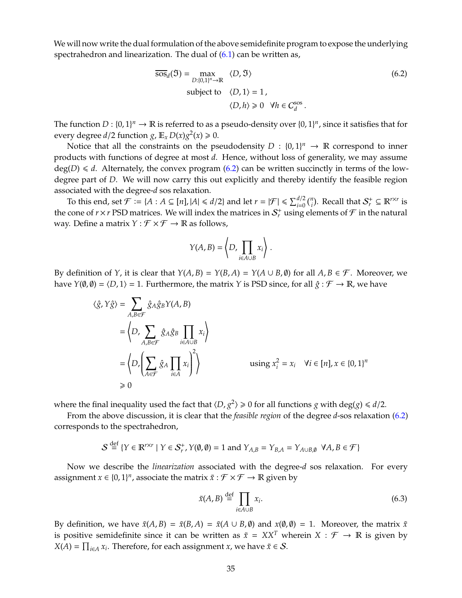We will now write the dual formulation of the above semidefinite program to expose the underlying spectrahedron and linearization. The dual of  $(6.1)$  can be written as,

<span id="page-34-0"></span>
$$
\overline{\text{SOS}}_{d}(\mathfrak{I}) = \max_{D:\{0,1\}^n \to \mathbb{R}} \langle D, \mathfrak{I} \rangle
$$
\n
$$
\text{subject to } \langle D, 1 \rangle = 1,
$$
\n
$$
\langle D, h \rangle \ge 0 \quad \forall h \in C_d^{\text{SOS}}.
$$
\n(6.2)

The function  $D: \{0,1\}^n \to \mathbb{R}$  is referred to as a pseudo-density over  $\{0,1\}^n$ , since it satisfies that for every degree  $d/2$  function  $g$ ,  $\mathbb{E}_x D(x)g^2(x) \ge 0$ .

Notice that all the constraints on the pseudodensity  $D : \{0,1\}^n \to \mathbb{R}$  correspond to inner products with functions of degree at most *d*. Hence, without loss of generality, we may assume  $deg(D) \le d$ . Alternately, the convex program [\(6.2\)](#page-34-0) can be written succinctly in terms of the lowdegree part of *D*. We will now carry this out explicitly and thereby identify the feasible region associated with the degree-*d* sos relaxation.

To this end, set  $\mathcal{F} \coloneqq \{A : A \subseteq [n], |A| \leq d/2\}$  and let  $r = |\mathcal{F}| \leq \sum_{i=0}^{d/2} {n \choose i}$ . Recall that  $\mathcal{S}_r^+ \subseteq \mathbb{R}^{r \times r}$  is the cone of  $r \times r$  PSD matrices. We will index the matrices in  $S_r^+$  using elements of  $\mathcal F$  in the natural way. Define a matrix  $Y : \mathcal{F} \times \mathcal{F} \to \mathbb{R}$  as follows,

$$
Y(A,B) = \left\langle D, \prod_{i \in A \cup B} x_i \right\rangle.
$$

By definition of *Y*, it is clear that  $Y(A, B) = Y(B, A) = Y(A \cup B, \emptyset)$  for all  $A, B \in \mathcal{F}$ . Moreover, we have  $Y(\emptyset, \emptyset) = \langle D, 1 \rangle = 1$ . Furthermore, the matrix *Y* is PSD since, for all  $\hat{g} : \mathcal{F} \to \mathbb{R}$ , we have

$$
\langle \hat{g}, Y \hat{g} \rangle = \sum_{A, B \in \mathcal{F}} \hat{g}_A \hat{g}_B Y(A, B)
$$
  
\n
$$
= \left\langle D, \sum_{A, B \in \mathcal{F}} \hat{g}_A \hat{g}_B \prod_{i \in A \cup B} x_i \right\rangle
$$
  
\n
$$
= \left\langle D, \left( \sum_{A \in \mathcal{F}} \hat{g}_A \prod_{i \in A} x_i \right)^2 \right\rangle
$$
  
\n
$$
\geq 0
$$
 using  $x_i^2 = x_i \quad \forall i \in [n], x \in \{0, 1\}^n$ 

where the final inequality used the fact that  $\langle D, g^2 \rangle \ge 0$  for all functions *g* with deg(*g*)  $\le d/2$ .

From the above discussion, it is clear that the *feasible region* of the degree *d*-sos relaxation [\(6.2\)](#page-34-0) corresponds to the spectrahedron,

$$
\mathcal{S} \stackrel{\text{def}}{=} \{ Y \in \mathbb{R}^{r \times r} \mid Y \in \mathcal{S}_r^+, Y(\emptyset, \emptyset) = 1 \text{ and } Y_{A,B} = Y_{B,A} = Y_{A \cup B, \emptyset} \ \forall A, B \in \mathcal{F} \}
$$

Now we describe the *linearization* associated with the degree-*d* sos relaxation. For every assignment  $x \in \{0,1\}^n$ , associate the matrix  $\tilde{x} : \mathcal{F} \times \mathcal{F} \to \mathbb{R}$  given by

<span id="page-34-1"></span>
$$
\tilde{x}(A,B) \stackrel{\text{def}}{=} \prod_{i \in A \cup B} x_i. \tag{6.3}
$$

By definition, we have  $\tilde{x}(A, B) = \tilde{x}(B, A) = \tilde{x}(A \cup B, \emptyset)$  and  $x(\emptyset, \emptyset) = 1$ . Moreover, the matrix  $\tilde{x}$ is positive semidefinite since it can be written as  $\tilde{x} = XX^T$  wherein  $X : \mathcal{F} \to \mathbb{R}$  is given by  $X(A) = \prod_{i \in A} x_i$ . Therefore, for each assignment *x*, we have  $\tilde{x} \in S$ .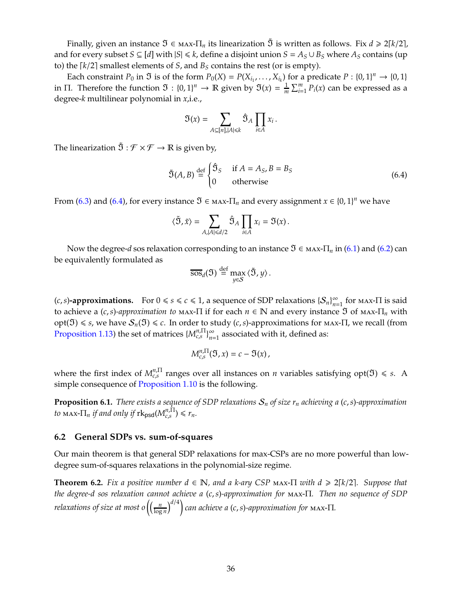Finally, given an instance  $\mathfrak{I} \in \max \Pi_n$  its linearization  $\tilde{\mathfrak{I}}$  is written as follows. Fix  $d \geq 2\lceil k/2 \rceil$ , and for every subset *S* ⊆ [*d*] with  $|S| \le k$ , define a disjoint union *S* =  $A_S \cup B_S$  where  $A_S$  contains (up to) the  $\lceil k/2 \rceil$  smallest elements of *S*, and  $B_S$  contains the rest (or is empty).

Each constraint  $P_0$  in  $\mathfrak I$  is of the form  $P_0(X) = P(X_{i_1}, \ldots, X_{i_k})$  for a predicate  $P : \{0, 1\}^n \to \{0, 1\}$ in Π. Therefore the function  $\mathfrak{I}: \{0,1\}^n \to \mathbb{R}$  given by  $\mathfrak{I}(x) = \frac{1}{m} \sum_{i=1}^m P_i(x)$  can be expressed as a degree-*k* multilinear polynomial in *x*,i.e.,

$$
\mathfrak{I}(x) = \sum_{A \subseteq [n], |A| \leq k} \hat{\mathfrak{I}}_A \prod_{i \in A} x_i \,.
$$

The linearization  $\tilde{\mathfrak{I}}:\mathcal{F}\times\mathcal{F}\to\mathbb{R}$  is given by,

<span id="page-35-1"></span>
$$
\tilde{\mathfrak{I}}(A,B) \stackrel{\text{def}}{=} \begin{cases} \hat{\mathfrak{I}}_S & \text{if } A = A_S, B = B_S \\ 0 & \text{otherwise} \end{cases}
$$
 (6.4)

From [\(6.3\)](#page-34-1) and [\(6.4\)](#page-35-1), for every instance  $\mathfrak{I} \in \text{MAX-}\Pi_n$  and every assignment  $x \in \{0,1\}^n$  we have

$$
\langle \tilde{\mathfrak{I}}, \tilde{x} \rangle = \sum_{A, |A| \leq d/2} \hat{\mathfrak{I}}_A \prod_{i \in A} x_i = \mathfrak{I}(x) \, .
$$

Now the degree-*d* sos relaxation corresponding to an instance  $\mathfrak{I} \in \text{max-T}_n$  in [\(6.1\)](#page-33-2) and [\(6.2\)](#page-34-0) can be equivalently formulated as

$$
\overline{\text{Sos}}_d(\mathfrak{I}) \stackrel{\text{def}}{=} \max_{y \in S} \langle \tilde{\mathfrak{I}}, y \rangle.
$$

(*c*, *s*)**-approximations.** For  $0 \le s \le c \le 1$ , a sequence of SDP relaxations  $\{S_n\}_{n=1}^{\infty}$  for max- $\Pi$  is said to achieve a (*c*,*s*)-*approximation to* max-Π if for each  $n \in \mathbb{N}$  and every instance  $\Im$  of max-Π<sub>*n*</sub> with  $opt(ℑ) ≤ *s*, we have  $S_n(ℑ) ≤ *c*$ . In order to study (*c*,*s*)-approximations for max-Π, we recall (from$ [Proposition 1.13\)](#page-9-2) the set of matrices  $\{M_{c,s}^{n,\Pi}\}_{n=1}^{\infty}$  associated with it, defined as:

$$
M_{c,s}^{n,\Pi}(\mathfrak{I},x)=c-\mathfrak{I}(x),
$$

where the first index of  $M_{c,s}^{n,\Pi}$  ranges over all instances on *n* variables satisfying opt( $\mathfrak{I}$ )  $\leq$  *s*. A simple consequence of [Proposition 1.10](#page-9-0) is the following.

<span id="page-35-2"></span>**Proposition 6.1.** *There exists a sequence of SDP relaxations*  $S_n$  *of size*  $r_n$  *achieving a (c, s)-approximation*  $t_0$  max- $\Pi_n$  *if and only if*  $\text{rk}_{\text{psd}}(M_{c,s}^{n,\Pi}) \le r_n$ .

#### <span id="page-35-0"></span>**6.2 General SDPs vs. sum-of-squares**

Our main theorem is that general SDP relaxations for max-CSPs are no more powerful than lowdegree sum-of-squares relaxations in the polynomial-size regime.

**Theorem 6.2.** *Fix a positive number*  $d \in \mathbb{N}$ *, and a k-ary CSP* max- $\Pi$  *with*  $d \geq 2[k/2]$ *. Suppose that the degree-d sos relaxation cannot achieve a* (*c*,*s*)*-approximation for* max-Π*. Then no sequence of SDP relaxations of size at most o*  $\Big(\Big(\frac{n}{\log n}\Big)^n\Big)$ log *n d*/<sup>4</sup> *can achieve a* (*c*,*s*)*-approximation for* max-Π*.*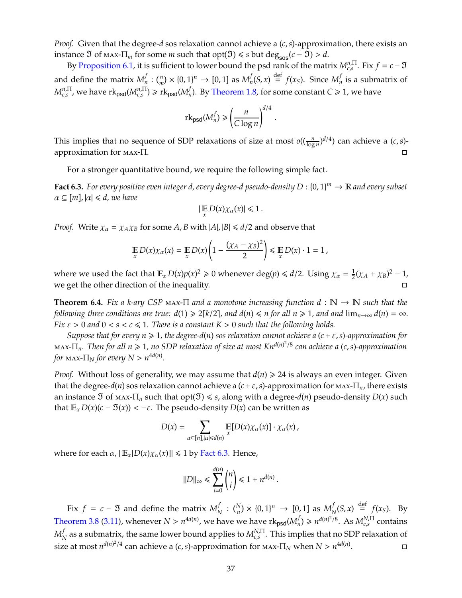*Proof.* Given that the degree-*d* sos relaxation cannot achieve a (*c*,*s*)-approximation, there exists an instance  $\Im$  of max- $\Pi_m$  for some *m* such that opt( $\Im$ )  $\leq$  *s* but deg<sub>sos</sub>( $c - \Im$ )  $> d$ .

By [Proposition 6.1,](#page-35-2) it is sufficient to lower bound the psd rank of the matrix  $M_{c,s}^{n,\Pi}$ . Fix  $f = c - \Im$ and define the matrix  $M_n^f$  $\int_{n}^{f}$  :  $\binom{n}{m} \times \{0, 1\}^{n} \to [0, 1]$  as  $M_{n}^{f}$  $f_n(S, x) \stackrel{\text{def}}{=} f(x_S)$ . Since  $M_n^f$  $\frac{1}{n}$  is a submatrix of  $M^{n,\Pi}_{c,s}$  , we have  $\mathrm{rk}_{\mathsf{psd}}(M^{n,\Pi}_{c,s}) \geqslant \mathrm{rk}_{\mathsf{psd}}(M^{f}_{n})$ *n*). By [Theorem 1.8,](#page-8-2) for some constant  $C \ge 1$ , we have

$$
rk_{\text{psd}}(M_n^f) \ge \left(\frac{n}{C\log n}\right)^{d/4}
$$

.

This implies that no sequence of SDP relaxations of size at most  $o((\frac{n}{\log n})^{d/4})$  can achieve a  $(c, s)$ approximation for max-Π.

For a stronger quantitative bound, we require the following simple fact.

<span id="page-36-0"></span>**Fact 6.3.** *For every positive even integer d, every degree-d pseudo-density D* : {0, 1} *<sup>m</sup>* <sup>→</sup> <sup>R</sup> *and every subset*  $\alpha \subseteq [m], |\alpha| \leq d$ , we have

$$
|\mathop{\mathbb{E}}_{x} D(x)\chi_{\alpha}(x)| \leq 1.
$$

*Proof.* Write  $\chi_{\alpha} = \chi_{A} \chi_{B}$  for some *A*, *B* with  $|A|$ ,  $|B| \le d/2$  and observe that

$$
\mathop{\mathbb{E}}_x D(x) \chi_\alpha(x) = \mathop{\mathbb{E}}_x D(x) \left( 1 - \frac{(\chi_A - \chi_B)^2}{2} \right) \leq \mathop{\mathbb{E}}_x D(x) \cdot 1 = 1,
$$

where we used the fact that  $\mathbb{E}_x D(x)p(x)^2 \geq 0$  whenever deg $(p) \leq d/2$ . Using  $\chi_\alpha = \frac{1}{2}$  $\frac{1}{2}(\chi_A + \chi_B)^2 - 1$ , we get the other direction of the inequality.

<span id="page-36-1"></span>**Theorem 6.4.** *Fix a k-ary CSP* max-<sup>Π</sup> *and a monotone increasing function d* : <sup>N</sup> <sup>→</sup> <sup>N</sup> *such that the following three conditions are true:*  $d(1) \geq 2\lceil k/2 \rceil$ *, and*  $d(n) \leq n$  *for all*  $n \geq 1$ *, and and*  $\lim_{n \to \infty} d(n) = \infty$ *. Fix*  $\varepsilon > 0$  *and*  $0 < s < c \le 1$ . There is a constant  $K > 0$  such that the following holds.

*Suppose that for every n* > 1*, the degree-d*(*n*) *sos relaxation cannot achieve a* (*c*+ε,*s*)*-approximation for* max-Π*n. Then for all n* > 1*, no SDP relaxation of size at most Knd*(*n*) 2 /8 *can achieve a* (*c*,*s*)*-approximation for* max- $\Pi_N$  *for every*  $N > n^{4d(n)}$ *.* 

*Proof.* Without loss of generality, we may assume that  $d(n) \geq 24$  is always an even integer. Given that the degree-*d*(*n*) sos relaxation cannot achieve a (*c*+ε,*s*)-approximation for max-Π*n*, there exists an instance  $\Im$  of max- $\Pi_n$  such that opt $(\Im) \leq s$ , along with a degree- $d(n)$  pseudo-density  $D(x)$  such that  $\mathbb{E}_x D(x)(c - \mathfrak{I}(x)) < -\varepsilon$ . The pseudo-density  $D(x)$  can be written as

$$
D(x) = \sum_{\alpha \subseteq [n], |\alpha| \leq d(n)} \mathbb{E}[D(x)\chi_{\alpha}(x)] \cdot \chi_{\alpha}(x),
$$

where for each  $\alpha$ ,  $\mathbb{E}_x[D(x)\chi_\alpha(x)] \leq 1$  by [Fact 6.3.](#page-36-0) Hence,

$$
||D||_{\infty} \le \sum_{i=0}^{d(n)} {n \choose i} \le 1 + n^{d(n)}.
$$

Fix  $f = c - 3$  and define the matrix  $M_p^f$  $\frac{f}{N}$  :  $\binom{N}{n} \times \{0, 1\}^n \to [0, 1]$  as  $M_N^f$  $\int_{N}^{f}(S, x) \stackrel{\text{def}}{=} f(x_S)$ . By [Theorem 3.8](#page-22-1) [\(3.11\)](#page-22-3), whenever  $N > n^{4d(n)}$ , we have we have rk<sub>psd</sub>( $M_n^f$  $n$ <sup>*n*</sup> ≥ *n*<sup>*d*(*n*)<sup>2</sup>/8</sup>. As *M*<sup>*N*,∏</sup> contains  $M_\lambda^f$  $N \over N$  as a submatrix, the same lower bound applies to  $M^{N,\Pi}_{c,s}$ . This implies that no SDP relaxation of size at most  $n^{d(n)^2/4}$  can achieve a (*c, s*)-approximation for <code>MAX- $\Pi_N$ </code> when  $N > n^{4d(n)}$ . — П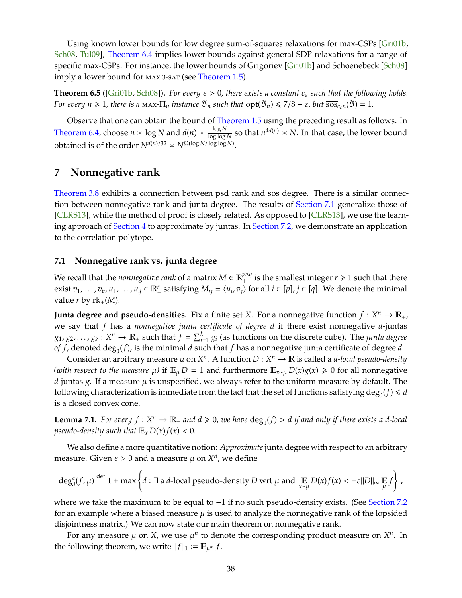<span id="page-37-2"></span>Using known lower bounds for low degree sum-of-squares relaxations for max-CSPs [\[Gri01b,](#page-43-7) [Sch08,](#page-45-4) Tul09], [Theorem 6.4](#page-36-1) implies lower bounds against general SDP relaxations for a range of specific max-CSPs. For instance, the lower bounds of Grigoriev [\[Gri01b\]](#page-43-7) and Schoenebeck [\[Sch08\]](#page-45-4) imply a lower bound for max <sup>3</sup>-sat (see [Theorem 1.5\)](#page-6-1).

**Theorem 6.5** ([\[Gri01b,](#page-43-7) [Sch08\]](#page-45-4)). *For every*  $\varepsilon > 0$ , there exists a constant  $c_{\varepsilon}$  such that the following holds. *For every n*  $\geq 1$ *, there is a* max- $\Pi_n$  *instance*  $\mathfrak{I}_n$  *such that*  $\text{opt}(\mathfrak{I}_n) \leq 7/8 + \varepsilon$ *, but*  $\overline{\text{soc}}_{\varepsilon_n n}(\mathfrak{I}) = 1$ *.* 

Observe that one can obtain the bound of [Theorem 1.5](#page-6-1) using the preceding result as follows. In [Theorem 6.4,](#page-36-1) choose  $n \times \log N$  and  $d(n) \times \frac{\log N}{\log \log n}$  $\frac{\log N}{\log \log N}$  so that  $n^{4d(n)} \approx N$ . In that case, the lower bound obtained is of the order *N<sup>d(n)/32</sup>*  $\geq N^{\Omega(\log N/\log \log N)}$ .

## <span id="page-37-0"></span>**7 Nonnegative rank**

[Theorem 3.8](#page-22-1) exhibits a connection between psd rank and sos degree. There is a similar connection between nonnegative rank and junta-degree. The results of [Section 7.1](#page-37-1) generalize those of [CLRS13], while the method of proof is closely related. As opposed to [CLRS13], we use the learning approach of [Section 4](#page-23-0) to approximate by juntas. In [Section 7.2,](#page-39-0) we demonstrate an application to the correlation polytope.

#### <span id="page-37-1"></span>**7.1 Nonnegative rank vs. junta degree**

We recall that the *nonnegative rank* of a matrix  $M \in \mathbb{R}_+^{p \times q}$  is the smallest integer  $r \geq 1$  such that there exist  $v_1, \ldots, v_p, u_1, \ldots, u_q \in \mathbb{R}_+^r$  satisfying  $M_{ij} = \langle u_i, v_j \rangle$  for all  $i \in [p]$ ,  $j \in [q]$ . We denote the minimal value *r* by  $rk_{+}(M)$ .

**Junta degree and pseudo-densities.** Fix a finite set *X*. For a nonnegative function  $f: X^n \to \mathbb{R}_+$ , we say that *f* has a *nonnegative junta certificate of degree d* if there exist nonnegative *d*-juntas  $g_1, g_2, \ldots, g_k: X^n \to \mathbb{R}_+$  such that  $f = \sum_{i=1}^k g_i$  (as functions on the discrete cube). The *junta degree of f* , denoted  $\deg_{\mathsf{J}}(f)$ , is the minimal  $d$  such that  $f$  has a nonnegative junta certificate of degree  $d$ .

Consider an arbitrary measure  $\mu$  on  $X^n$ . A function  $D: X^n \to \mathbb{R}$  is called a *d-local pseudo-density (with respect to the measure*  $\mu$ ) if  $\mathbb{E}_{\mu} D = 1$  and furthermore  $\mathbb{E}_{x \sim \mu} D(x) g(x) \ge 0$  for all nonnegative  $d$ -juntas g. If a measure  $\mu$  is unspecified, we always refer to the uniform measure by default. The following characterization is immediate from the fact that the set of functions satisfying  $\deg_{\mathsf{J}}(f) \leq d$ is a closed convex cone.

**Lemma 7.1.** For every  $f: X^n \to \mathbb{R}_+$  and  $d \ge 0$ , we have  $deg_J(f) > d$  if and only if there exists a d-local *pseudo-density such that*  $\mathbb{E}_x D(x) f(x) < 0$ *.* 

We also define a more quantitative notion: *Approximate* junta degree with respect to an arbitrary measure. Given  $\varepsilon > 0$  and a measure  $\mu$  on  $X^n$ , we define

$$
\deg_J^{\varepsilon}(f;\mu) \stackrel{\text{def}}{=} 1 + \max \left\{ d : \exists \text{ a } d\text{-local pseudo-density } D \text{ wrt } \mu \text{ and } \underset{x \sim \mu}{\mathbb{E}} D(x)f(x) < -\varepsilon ||D||_{\infty} \underset{\mu}{\mathbb{E}} f \right\},
$$

where we take the maximum to be equal to  $-1$  if no such pseudo-density exists. (See [Section 7.2](#page-39-0) for an example where a biased measure  $\mu$  is used to analyze the nonnegative rank of the lopsided disjointness matrix.) We can now state our main theorem on nonnegative rank.

For any measure  $\mu$  on X, we use  $\mu^n$  to denote the corresponding product measure on  $X^n$ . In the following theorem, we write  $||f||_1 := \mathbb{E}_{\mu^m} f$ .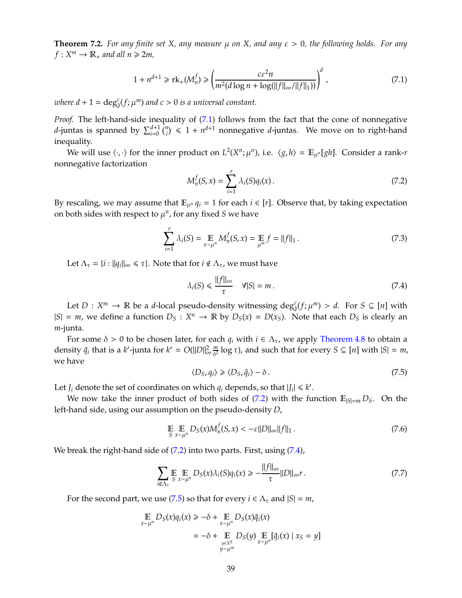<span id="page-38-7"></span>**Theorem 7.2.** *For any finite set X, any measure* µ *on X, and any* ε > 0*, the following holds. For any*  $f: X^m \to \mathbb{R}_+$  and all  $n \geq 2m$ ,

<span id="page-38-0"></span>
$$
1 + n^{d+1} \ge \operatorname{rk}_+(M_n^f) \ge \left(\frac{c\varepsilon^2 n}{m^2(d\log n + \log(||f||_{\infty}/||f||_1))}\right)^d,
$$
\n(7.1)

where  $d + 1 = \deg_{J}^{\varepsilon}(f; \mu^{m})$  and  $c > 0$  is a universal constant.

*Proof.* The left-hand-side inequality of [\(7.1\)](#page-38-0) follows from the fact that the cone of nonnegative *d*-juntas is spanned by  $\sum_{i=0}^{d+1} {n \choose i} \leq 1 + n^{d+1}$  nonnegative *d*-juntas. We move on to right-hand inequality.

We will use  $\langle \cdot, \cdot \rangle$  for the inner product on  $L^2(X^n; \mu^n)$ , i.e.  $\langle g, h \rangle = \mathbb{E}_{\mu^n}[gh]$ . Consider a rank-*r* nonnegative factorization

<span id="page-38-1"></span>
$$
M_n^f(S, x) = \sum_{i=1}^r \lambda_i(S) q_i(x).
$$
 (7.2)

By rescaling, we may assume that  $\mathbb{E}_{\mu^n} q_i = 1$  for each  $i \in [r]$ . Observe that, by taking expectation on both sides with respect to  $\mu^n$ , for any fixed *S* we have

<span id="page-38-4"></span>
$$
\sum_{i=1}^{r} \lambda_i(S) = \mathop{\mathbb{E}}_{x \sim \mu^n} M_n^f(S, x) = \mathop{\mathbb{E}}_{\mu^m} f = ||f||_1.
$$
 (7.3)

Let  $\Lambda_{\tau} = \{i : ||q_i||_{\infty} \leq \tau\}$ . Note that for  $i \notin \Lambda_{\tau}$ , we must have

<span id="page-38-2"></span>
$$
\lambda_i(S) \leq \frac{\|f\|_{\infty}}{\tau} \quad \forall |S| = m. \tag{7.4}
$$

Let  $D: X^m \to \mathbb{R}$  be a *d*-local pseudo-density witnessing  $\deg_{J}^{g}(f; \mu^m) > d$ . For  $S \subseteq [n]$  with  $|S| = m$ , we define a function  $D_S : X^n \to \mathbb{R}$  by  $D_S(x) = D(x_S)$ . Note that each  $D_S$  is clearly an *m*-junta.

For some  $\delta > 0$  to be chosen later, for each  $q_i$  with  $i \in \Lambda_{\tau}$ , we apply [Theorem 4.8](#page-29-2) to obtain a density  $\tilde{q}_i$  that is a *k*'-junta for  $k' = O(||D||_o^2)$ ∞ *m*  $\frac{m}{\delta^2}$  log  $\tau$ ), and such that for every  $S \subseteq [n]$  with  $|S| = m$ , we have

<span id="page-38-3"></span>
$$
\langle D_S, q_i \rangle \ge \langle D_S, \tilde{q}_i \rangle - \delta. \tag{7.5}
$$

Let  $J_i$  denote the set of coordinates on which  $q_i$  depends, so that  $|J_i| \leq k'$ .

We now take the inner product of both sides of [\(7.2\)](#page-38-1) with the function  $\mathbb{E}_{|S|=m} D_S$ . On the left-hand side, using our assumption on the pseudo-density *D*,

<span id="page-38-6"></span>
$$
\mathbb{E} \mathop{\mathbb{E}}_{S} \mathop{\mathbb{E}}_{x \sim \mu^n} D_S(x) M_n^f(S, x) < -\varepsilon \|D\|_{\infty} \|f\|_1 \,. \tag{7.6}
$$

We break the right-hand side of [\(7.2\)](#page-38-1) into two parts. First, using [\(7.4\)](#page-38-2),

<span id="page-38-5"></span>
$$
\sum_{i \notin \Lambda_{\tau}} \mathop{\mathbb{E}}_{S} \mathop{\mathbb{E}}_{x \sim \mu^{n}} D_{S}(x) \lambda_{i}(S) q_{i}(x) \geq -\frac{\|f\|_{\infty}}{\tau} \|D\|_{\infty} r. \tag{7.7}
$$

For the second part, we use [\(7.5\)](#page-38-3) so that for every  $i \in \Lambda_{\tau}$  and  $|S| = m$ ,

$$
\mathbb{E}_{x \sim \mu^n} D_S(x) q_i(x) \ge -\delta + \mathbb{E}_{x \sim \mu^n} D_S(x) \tilde{q}_i(x)
$$
  
=  $-\delta + \mathbb{E}_{y \in X^S \atop y \sim \mu^m} D_S(y) \mathbb{E}_{x \sim \mu^n} [\tilde{q}_i(x) | x_S = y]$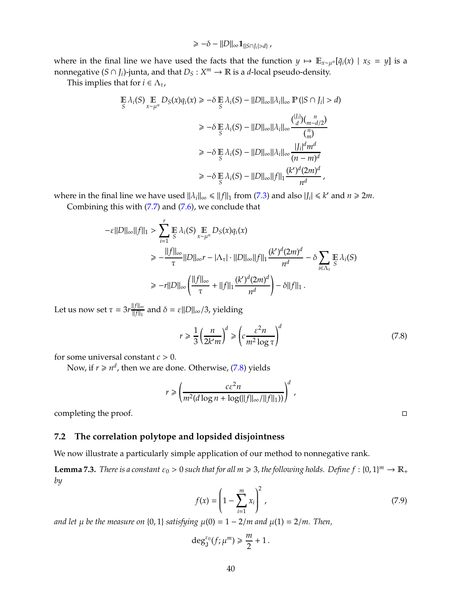$$
\geq -\delta - ||D||_{\infty} \mathbf{1}_{\{|S \cap J_i| > d\}},
$$

where in the final line we have used the facts that the function  $y \mapsto \mathbb{E}_{x \sim \mu^n} [\tilde{q}_i(x) \mid x_s = y]$  is a nonnegative  $(S \cap J_i)$ -junta, and that  $D_S : X^m \to \mathbb{R}$  is a *d*-local pseudo-density.

This implies that for  $i \in \Lambda_{\tau}$ ,

$$
\mathbb{E}\lambda_i(S)\mathop{\mathbb{E}}_{S}\lambda_i(S) = \|\mathcal{D}\|_{\infty} \|\lambda_i\|_{\infty} \mathbb{P}(|S \cap J_i| > d)
$$
\n
$$
\geq -\delta \mathop{\mathbb{E}}_{S}\lambda_i(S) - \|D\|_{\infty} \|\lambda_i\|_{\infty} \frac{\binom{|J_i|}{d} \binom{n}{m-d/2}}{\binom{n}{m}}
$$
\n
$$
\geq -\delta \mathop{\mathbb{E}}_{S}\lambda_i(S) - \|D\|_{\infty} \|\lambda_i\|_{\infty} \frac{\binom{|J_i|}{d} \binom{n}{m-d/2}}{(n-m)^d}
$$
\n
$$
\geq -\delta \mathop{\mathbb{E}}_{S}\lambda_i(S) - \|D\|_{\infty} \|f\|_1 \frac{(k')^d (2m)^d}{n^d},
$$

where in the final line we have used  $||\lambda_i||_{\infty} \le ||f||_1$  from [\(7.3\)](#page-38-4) and also  $|J_i| \le k'$  and  $n \ge 2m$ .

Combining this with [\(7.7\)](#page-38-5) and [\(7.6\)](#page-38-6), we conclude that

$$
-\varepsilon ||D||_{\infty} ||f||_1 > \sum_{i=1}^r \mathbb{E} \lambda_i(S) \mathbb{E} D_S(x) q_i(x)
$$
  
\n
$$
\ge -\frac{||f||_{\infty}}{\tau} ||D||_{\infty} r - |\Lambda_{\tau}| \cdot ||D||_{\infty} ||f||_1 \frac{(k')^d (2m)^d}{n^d} - \delta \sum_{i \in \Lambda_{\tau}} \mathbb{E} \lambda_i(S)
$$
  
\n
$$
\ge -r ||D||_{\infty} \left( \frac{||f||_{\infty}}{\tau} + ||f||_1 \frac{(k')^d (2m)^d}{n^d} \right) - \delta ||f||_1.
$$

Let us now set  $\tau = 3r \frac{||f||_{\infty}}{||f||_{\infty}}$  $\frac{||f||_{\infty}}{||f||_{1}}$  and  $\delta = \varepsilon ||D||_{\infty}/3$ , yielding

<span id="page-39-1"></span>
$$
r \ge \frac{1}{3} \left(\frac{n}{2k'm}\right)^d \ge \left(c \frac{\varepsilon^2 n}{m^2 \log \tau}\right)^d \tag{7.8}
$$

for some universal constant  $c > 0$ .

Now, if  $r \geq n^d$ , then we are done. Otherwise, [\(7.8\)](#page-39-1) yields

$$
r \ge \left(\frac{c\varepsilon^2 n}{m^2(d\log n + \log(||f||_{\infty}/||f||_1))}\right)^d \;,
$$

completing the proof.

#### <span id="page-39-0"></span>**7.2 The correlation polytope and lopsided disjointness**

We now illustrate a particularly simple application of our method to nonnegative rank.

<span id="page-39-2"></span>**Lemma 7.3.** *There is a constant*  $\varepsilon_0 > 0$  *such that for all m*  $\geq$  3, *the following holds. Define*  $f : \{0, 1\}^m \to \mathbb{R}_+$ *by*

$$
f(x) = \left(1 - \sum_{i=1}^{m} x_i\right)^2,
$$
\n(7.9)

*and let*  $\mu$  *be the measure on* {0, 1} *satisfying*  $\mu$ (0) = 1 – 2/*m* and  $\mu$ (1) = 2/*m*. Then,

$$
\deg^{\varepsilon_0}_\mathsf{J}(f;\mu^m)\geq \frac{m}{2}+1\,.
$$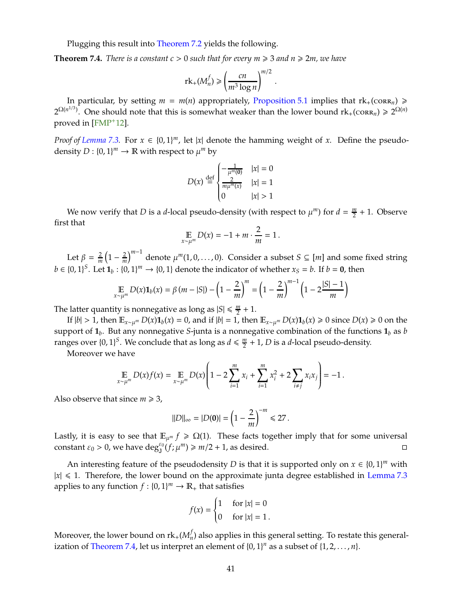<span id="page-40-1"></span>Plugging this result into [Theorem 7.2](#page-38-7) yields the following.

<span id="page-40-0"></span>**Theorem 7.4.** *There is a constant*  $c > 0$  *such that for every*  $m \geq 3$  *and*  $n \geq 2m$ *, we have* 

$$
rk_{+}(M_n^f) \geqslant \left(\frac{cn}{m^3\log n}\right)^{m/2}.
$$

In particular, by setting  $m = m(n)$  appropriately, [Proposition 5.1](#page-30-5) implies that  $rk_+(\text{CORR}_n) \ge$  $2^{\Omega(n^{1/3})}$ . One should note that this is somewhat weaker than the lower bound  $\text{rk}_+(\text{CORR}_n) \geqslant 2^{\Omega(n)}$ proved in [\[FMP](#page-43-2)+12].

*Proof of [Lemma 7.3.](#page-39-2)* For  $x \in \{0,1\}^m$ , let  $|x|$  denote the hamming weight of *x*. Define the pseudodensity  $D: \{0,1\}^m \to \mathbb{R}$  with respect to  $\mu^m$  by

$$
D(x) \stackrel{\text{def}}{=} \begin{cases} -\frac{1}{\mu^m(0)} & |x| = 0\\ \frac{2}{m\mu^m(x)} & |x| = 1\\ 0 & |x| > 1 \end{cases}
$$

We now verify that *D* is a *d*-local pseudo-density (with respect to  $\mu^m$ ) for  $d = \frac{m}{2}$  $\frac{m}{2}$  + 1. Observe first that

$$
\mathop{\mathbb{E}}_{x \sim \mu^m} D(x) = -1 + m \cdot \frac{2}{m} = 1.
$$

Let  $\beta = \frac{2}{m}$  $\left(1 - \frac{2}{m}\right)$ *m*−<sup>1</sup> denote µ *<sup>m</sup>*(1, <sup>0</sup>, . . . , 0). Consider a subset *<sup>S</sup>* <sup>⊆</sup> [*m*] and some fixed string  $b \in \{0, 1\}^S$ . Let  $\mathbf{1}_b : \{0, 1\}^m \to \{0, 1\}$  denote the indicator of whether  $x_S = b$ . If  $b = \mathbf{0}$ , then

$$
\mathop{\mathbb{E}}_{x \sim \mu^{m}} D(x) \mathbf{1}_{b}(x) = \beta (m - |S|) - \left(1 - \frac{2}{m}\right)^{m} = \left(1 - \frac{2}{m}\right)^{m-1} \left(1 - 2\frac{|S| - 1}{m}\right)
$$

The latter quantity is nonnegative as long as  $|S| \leq \frac{m}{2}$  $\frac{m}{2}+1$ .

If  $|b| > 1$ , then  $\mathbb{E}_{x \sim \mu^m} D(x) \mathbf{1}_b(x) = 0$ , and if  $|b| = 1$ , then  $\mathbb{E}_{x \sim \mu^m} D(x) \mathbf{1}_b(x) \ge 0$  since  $D(x) \ge 0$  on the support of **1***<sup>b</sup>* . But any nonnegative *S*-junta is a nonnegative combination of the functions **1***<sup>b</sup>* as *b* ranges over  $\{0,1\}^S$ . We conclude that as long as  $d \leq \frac{m}{2}$  $\frac{m}{2}$  + 1, *D* is a *d*-local pseudo-density.

Moreover we have

$$
\mathop{\mathbb{E}}_{x \sim \mu^{m}} D(x) f(x) = \mathop{\mathbb{E}}_{x \sim \mu^{m}} D(x) \left( 1 - 2 \sum_{i=1}^{m} x_{i} + \sum_{i=1}^{m} x_{i}^{2} + 2 \sum_{i \neq j} x_{i} x_{j} \right) = -1.
$$

Also observe that since  $m \geq 3$ ,

$$
||D||_{\infty} = |D(\mathbf{0})| = \left(1 - \frac{2}{m}\right)^{-m} \le 27.
$$

Lastly, it is easy to see that  $\mathbb{E}_{\mu^m} f \geq \Omega(1)$ . These facts together imply that for some universal constant  $\varepsilon_0 > 0$ , we have  $\deg_{\mathsf{J}}^{\varepsilon_0}(f; \mu^m) \geq m/2 + 1$ , as desired.

An interesting feature of the pseudodensity *D* is that it is supported only on  $x \in \{0, 1\}^m$  with  $|x| \leq 1$ . Therefore, the lower bound on the approximate junta degree established in [Lemma 7.3](#page-39-2) applies to any function  $f: \{0,1\}^m \to \mathbb{R}_+$  that satisfies

$$
f(x) = \begin{cases} 1 & \text{for } |x| = 0 \\ 0 & \text{for } |x| = 1 \end{cases}
$$

Moreover, the lower bound on  $\mathrm{rk}_+ (M^f_n)$  $\mathcal{D}_n$ ) also applies in this general setting. To restate this general-ization of [Theorem 7.4,](#page-40-0) let us interpret an element of  $\{0, 1\}^n$  as a subset of  $\{1, 2, \ldots, n\}$ .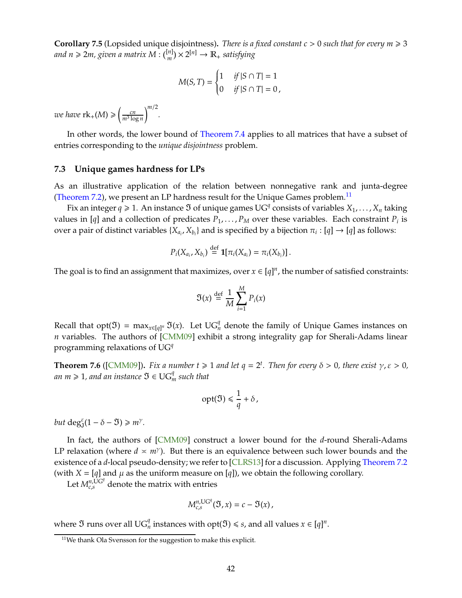<span id="page-41-2"></span>**Corollary 7.5** (Lopsided unique disjointness). *There is a fixed constant*  $c > 0$  *such that for every*  $m \ge 3$ and n  $\geqslant 2m$ , given a matrix M :  $\binom{[n]}{m}$  $\binom{n}{m}$   $\times$  2<sup>[n]</sup>  $\rightarrow$   $\mathbb{R}_+$  *satisfying* 

$$
M(S,T) = \begin{cases} 1 & \text{if } |S \cap T| = 1 \\ 0 & \text{if } |S \cap T| = 0 \end{cases}
$$

*we have*  $\text{rk}_{+}(M) \geqslant \left(\frac{cn}{m^3\log n}\right)$ *m*/<sup>2</sup> *.*

In other words, the lower bound of [Theorem 7.4](#page-40-0) applies to all matrices that have a subset of entries corresponding to the *unique disjointness* problem.

#### <span id="page-41-0"></span>**7.3 Unique games hardness for LPs**

As an illustrative application of the relation between nonnegative rank and junta-degree [\(Theorem 7.2\)](#page-38-7), we present an LP hardness result for the Unique Games problem.<sup>[11](#page-41-1)</sup>

Fix an integer  $q \geq 1$ . An instance  $\mathfrak I$  of unique games UG<sup>q</sup> consists of variables  $X_1, \ldots, X_n$  taking values in [*q*] and a collection of predicates  $P_1, \ldots, P_M$  over these variables. Each constraint  $P_i$  is over a pair of distinct variables  $\{X_{a_i}, X_{b_i}\}$  and is specified by a bijection  $\pi_i : [q] \to [q]$  as follows:

$$
P_i(X_{a_i}, X_{b_i}) \stackrel{\text{def}}{=} \mathbf{1}[\pi_i(X_{a_i}) = \pi_i(X_{b_i})].
$$

The goal is to find an assignment that maximizes, over  $x \in [q]^n$ , the number of satisfied constraints:

$$
\mathfrak{I}(x) \stackrel{\text{def}}{=} \frac{1}{M} \sum_{i=1}^{M} P_i(x)
$$

Recall that  $opt(\mathfrak{I}) = \max_{x \in [q]^n} \mathfrak{I}(x)$ . Let  $UG_n^q$  denote the family of Unique Games instances on *n* variables. The authors of [\[CMM09\]](#page-43-12) exhibit a strong integrality gap for Sherali-Adams linear programming relaxations of UG*<sup>q</sup>*

**Theorem 7.6** ([\[CMM09\]](#page-43-12)). *Fix a number t*  $\geq 1$  *and let q* =  $2^t$ . *Then for every*  $\delta > 0$ *, there exist*  $\gamma$ *,*  $\epsilon > 0$ *,*  $an m \geqslant 1$ , and an instance  $\mathfrak{I} \in \mathrm{UG}_m^q$  such that

$$
opt(\mathfrak{I}) \leq \frac{1}{q} + \delta,
$$

*but* deg<sup> $\varepsilon$ </sup> $(1 - \delta - \mathfrak{I}) \ge m^{\gamma}$ *.* 

In fact, the authors of [\[CMM09\]](#page-43-12) construct a lower bound for the *d*-round Sherali-Adams LP relaxation (where  $d \times m^{\gamma}$ ). But there is an equivalence between such lower bounds and the existence of a *d*-local pseudo-density; we refer to [CLRS13] for a discussion. Applying [Theorem 7.2](#page-38-7) (with  $X = [q]$  and  $\mu$  as the uniform measure on [q]), we obtain the following corollary.

Let  $M_{c,s}^{\eta,\mathrm{UG}^q}$  denote the matrix with entries

$$
M_{c,s}^{n,\text{UG}^q}(\mathfrak{I},x)=c-\mathfrak{I}(x),
$$

where  $\mathfrak I$  runs over all  $\mathrm{UG}_n^q$  instances with  $\mathrm{opt}(\mathfrak I)\leq s$ , and all values  $x\in[q]^n$ .

<span id="page-41-1"></span><sup>&</sup>lt;sup>11</sup>We thank Ola Svensson for the suggestion to make this explicit.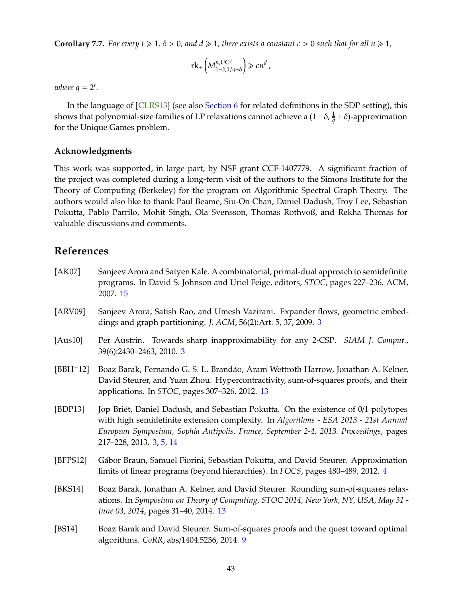<span id="page-42-4"></span>**Corollary 7.7.** For every  $t \ge 1$ ,  $\delta > 0$ , and  $d \ge 1$ , there exists a constant  $c > 0$  such that for all  $n \ge 1$ ,

$$
\mathrm{rk}_+\left(M^{n,\mathrm{UG}^q}_{1-\delta,1/q+\delta}\right)\geqslant cn^d\;,
$$

where  $q = 2^t$ .

In the language of [CLRS13] (see also [Section 6](#page-33-0) for related definitions in the SDP setting), this shows that polynomial-size families of LP relaxations cannot achieve a (1−δ, <sup>1</sup> *q* +δ)-approximation for the Unique Games problem.

#### **Acknowledgments**

This work was supported, in large part, by NSF grant CCF-1407779. A significant fraction of the project was completed during a long-term visit of the authors to the Simons Institute for the Theory of Computing (Berkeley) for the program on Algorithmic Spectral Graph Theory. The authors would also like to thank Paul Beame, Siu-On Chan, Daniel Dadush, Troy Lee, Sebastian Pokutta, Pablo Parrilo, Mohit Singh, Ola Svensson, Thomas Rothvoß, and Rekha Thomas for valuable discussions and comments.

## <span id="page-42-0"></span>**References**

- [AK07] Sanjeev Arora and Satyen Kale. A combinatorial, primal-dual approach to semidefinite programs. In David S. Johnson and Uriel Feige, editors, *STOC*, pages 227–236. ACM, 2007. [15](#page-14-3)
- <span id="page-42-1"></span>[ARV09] Sanjeev Arora, Satish Rao, and Umesh Vazirani. Expander flows, geometric embeddings and graph partitioning. *J. ACM*, 56(2):Art. 5, 37, 2009. [3](#page-2-2)
- <span id="page-42-2"></span>[Aus10] Per Austrin. Towards sharp inapproximability for any 2-CSP. *SIAM J. Comput.*, 39(6):2430–2463, 2010. [3](#page-2-2)
- [BBH+12] Boaz Barak, Fernando G. S. L. Brandão, Aram Wettroth Harrow, Jonathan A. Kelner, David Steurer, and Yuan Zhou. Hypercontractivity, sum-of-squares proofs, and their applications. In *STOC*, pages 307–326, 2012. [13](#page-12-3)
- [BDP13] Jop Briët, Daniel Dadush, and Sebastian Pokutta. On the existence of 0/1 polytopes with high semidefinite extension complexity. In *Algorithms - ESA 2013 - 21st Annual European Symposium, Sophia Antipolis, France, September 2-4, 2013. Proceedings*, pages 217–228, 2013. [3,](#page-2-2) [5,](#page-4-2) [14](#page-13-1)
- [BFPS12] Gábor Braun, Samuel Fiorini, Sebastian Pokutta, and David Steurer. Approximation limits of linear programs (beyond hierarchies). In *FOCS*, pages 480–489, 2012. [4](#page-3-1)
- <span id="page-42-3"></span>[BKS14] Boaz Barak, Jonathan A. Kelner, and David Steurer. Rounding sum-of-squares relaxations. In *Symposium on Theory of Computing, STOC 2014, New York, NY, USA, May 31 - June 03, 2014*, pages 31–40, 2014. [13](#page-12-3)
- [BS14] Boaz Barak and David Steurer. Sum-of-squares proofs and the quest toward optimal algorithms. *CoRR*, abs/1404.5236, 2014. [9](#page-8-3)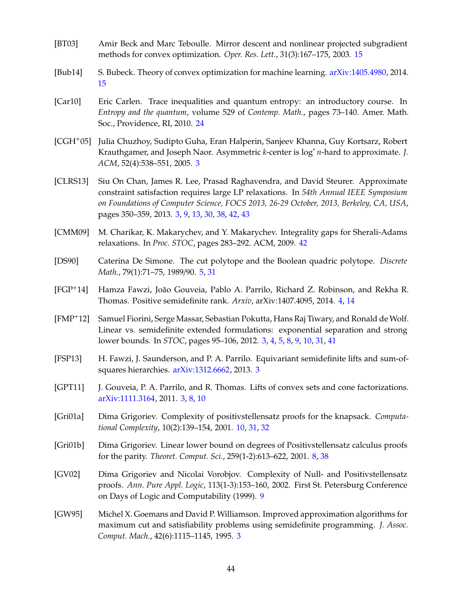- <span id="page-43-9"></span>[BT03] Amir Beck and Marc Teboulle. Mirror descent and nonlinear projected subgradient methods for convex optimization. *Oper. Res. Lett.*, 31(3):167–175, 2003. [15](#page-14-3)
- <span id="page-43-10"></span>[Bub14] S. Bubeck. Theory of convex optimization for machine learning. [arXiv:1405.4980,](http://arxiv.org/abs/1405.4980) 2014. [15](#page-14-3)
- <span id="page-43-11"></span>[Car10] Eric Carlen. Trace inequalities and quantum entropy: an introductory course. In *Entropy and the quantum*, volume 529 of *Contemp. Math.*, pages 73–140. Amer. Math. Soc., Providence, RI, 2010. [24](#page-23-7)
- <span id="page-43-1"></span>[CGH+05] Julia Chuzhoy, Sudipto Guha, Eran Halperin, Sanjeev Khanna, Guy Kortsarz, Robert Krauthgamer, and Joseph Naor. Asymmetric *k*-center is log∗ *n*-hard to approximate. *J. ACM*, 52(4):538–551, 2005. [3](#page-2-2)
- [CLRS13] Siu On Chan, James R. Lee, Prasad Raghavendra, and David Steurer. Approximate constraint satisfaction requires large LP relaxations. In *54th Annual IEEE Symposium on Foundations of Computer Science, FOCS 2013, 26-29 October, 2013, Berkeley, CA, USA*, pages 350–359, 2013. [3,](#page-2-2) [9,](#page-8-3) [13,](#page-12-3) [30,](#page-29-3) [38,](#page-37-2) [42,](#page-41-2) [43](#page-42-4)
- <span id="page-43-12"></span>[CMM09] M. Charikar, K. Makarychev, and Y. Makarychev. Integrality gaps for Sherali-Adams relaxations. In *Proc. STOC*, pages 283–292. ACM, 2009. [42](#page-41-2)
- <span id="page-43-6"></span>[DS90] Caterina De Simone. The cut polytope and the Boolean quadric polytope. *Discrete Math.*, 79(1):71–75, 1989/90. [5,](#page-4-2) [31](#page-30-6)
- <span id="page-43-5"></span>[FGP+14] Hamza Fawzi, João Gouveia, Pablo A. Parrilo, Richard Z. Robinson, and Rekha R. Thomas. Positive semidefinite rank. *Arxiv*, arXiv:1407.4095, 2014. [4,](#page-3-1) [14](#page-13-1)
- <span id="page-43-2"></span>[FMP+12] Samuel Fiorini, Serge Massar, Sebastian Pokutta, Hans Raj Tiwary, and Ronald de Wolf. Linear vs. semidefinite extended formulations: exponential separation and strong lower bounds. In *STOC*, pages 95–106, 2012. [3,](#page-2-2) [4,](#page-3-1) [5,](#page-4-2) [8,](#page-7-4) [9,](#page-8-3) [10,](#page-9-5) [31,](#page-30-6) [41](#page-40-1)
- <span id="page-43-4"></span>[FSP13] H. Fawzi, J. Saunderson, and P. A. Parrilo. Equivariant semidefinite lifts and sum-ofsquares hierarchies. [arXiv:1312.6662,](http://arxiv.org/abs/1312.6662) 2013. [3](#page-2-2)
- <span id="page-43-3"></span>[GPT11] J. Gouveia, P. A. Parrilo, and R. Thomas. Lifts of convex sets and cone factorizations. [arXiv:1111.3164,](http://arxiv.org/abs/1111.3164) 2011. [3,](#page-2-2) [8,](#page-7-4) [10](#page-9-5)
- [Gri01a] Dima Grigoriev. Complexity of positivstellensatz proofs for the knapsack. *Computational Complexity*, 10(2):139–154, 2001. [10,](#page-9-5) [31,](#page-30-6) [32](#page-31-2)
- <span id="page-43-7"></span>[Gri01b] Dima Grigoriev. Linear lower bound on degrees of Positivstellensatz calculus proofs for the parity. *Theoret. Comput. Sci.*, 259(1-2):613–622, 2001. [8,](#page-7-4) [38](#page-37-2)
- <span id="page-43-8"></span>[GV02] Dima Grigoriev and Nicolai Vorobjov. Complexity of Null- and Positivstellensatz proofs. *Ann. Pure Appl. Logic*, 113(1-3):153–160, 2002. First St. Petersburg Conference on Days of Logic and Computability (1999). [9](#page-8-3)
- <span id="page-43-0"></span>[GW95] Michel X. Goemans and David P. Williamson. Improved approximation algorithms for maximum cut and satisfiability problems using semidefinite programming. *J. Assoc. Comput. Mach.*, 42(6):1115–1145, 1995. [3](#page-2-2)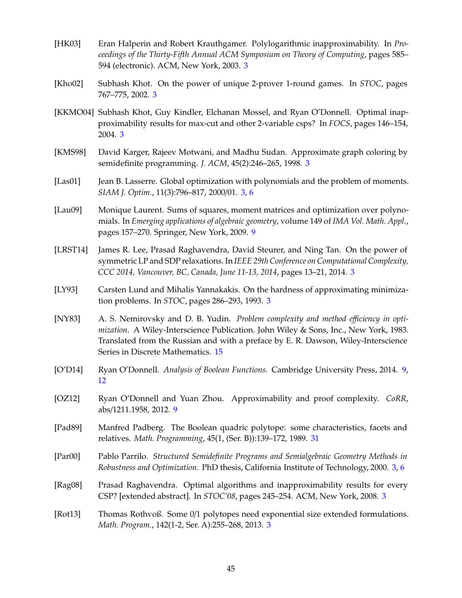- <span id="page-44-1"></span>[HK03] Eran Halperin and Robert Krauthgamer. Polylogarithmic inapproximability. In *Proceedings of the Thirty-Fifth Annual ACM Symposium on Theory of Computing*, pages 585– 594 (electronic). ACM, New York, 2003. [3](#page-2-2)
- [Kho02] Subhash Khot. On the power of unique 2-prover 1-round games. In *STOC*, pages 767–775, 2002. [3](#page-2-2)
- [KKMO04] Subhash Khot, Guy Kindler, Elchanan Mossel, and Ryan O'Donnell. Optimal inapproximability results for max-cut and other 2-variable csps? In *FOCS*, pages 146–154, 2004. [3](#page-2-2)
- <span id="page-44-0"></span>[KMS98] David Karger, Rajeev Motwani, and Madhu Sudan. Approximate graph coloring by semidefinite programming. *J. ACM*, 45(2):246–265, 1998. [3](#page-2-2)
- <span id="page-44-4"></span>[Las01] Jean B. Lasserre. Global optimization with polynomials and the problem of moments. *SIAM J. Optim.*, 11(3):796–817, 2000/01. [3,](#page-2-2) [6](#page-5-3)
- <span id="page-44-6"></span>[Lau09] Monique Laurent. Sums of squares, moment matrices and optimization over polynomials. In *Emerging applications of algebraic geometry*, volume 149 of *IMA Vol. Math. Appl.*, pages 157–270. Springer, New York, 2009. [9](#page-8-3)
- [LRST14] James R. Lee, Prasad Raghavendra, David Steurer, and Ning Tan. On the power of symmetric LP and SDP relaxations. In *IEEE 29th Conference on Computational Complexity, CCC 2014, Vancouver, BC, Canada, June 11-13, 2014*, pages 13–21, 2014. [3](#page-2-2)
- [LY93] Carsten Lund and Mihalis Yannakakis. On the hardness of approximating minimization problems. In *STOC*, pages 286–293, 1993. [3](#page-2-2)
- <span id="page-44-9"></span>[NY83] A. S. Nemirovsky and D. B. Yudin. *Problem complexity and method e*ffi*ciency in optimization*. A Wiley-Interscience Publication. John Wiley & Sons, Inc., New York, 1983. Translated from the Russian and with a preface by E. R. Dawson, Wiley-Interscience Series in Discrete Mathematics. [15](#page-14-3)
- <span id="page-44-8"></span>[O'D14] Ryan O'Donnell. *Analysis of Boolean Functions*. Cambridge University Press, 2014. [9,](#page-8-3) [12](#page-11-2)
- <span id="page-44-7"></span>[OZ12] Ryan O'Donnell and Yuan Zhou. Approximability and proof complexity. *CoRR*, abs/1211.1958, 2012. [9](#page-8-3)
- <span id="page-44-10"></span>[Pad89] Manfred Padberg. The Boolean quadric polytope: some characteristics, facets and relatives. *Math. Programming*, 45(1, (Ser. B)):139–172, 1989. [31](#page-30-6)
- <span id="page-44-5"></span>[Par00] Pablo Parrilo. *Structured Semidefinite Programs and Semialgebraic Geometry Methods in Robustness and Optimization*. PhD thesis, California Institute of Technology, 2000. [3,](#page-2-2) [6](#page-5-3)
- <span id="page-44-2"></span>[Rag08] Prasad Raghavendra. Optimal algorithms and inapproximability results for every CSP? [extended abstract]. In *STOC'08*, pages 245–254. ACM, New York, 2008. [3](#page-2-2)
- <span id="page-44-3"></span>[Rot13] Thomas Rothvoß. Some 0/1 polytopes need exponential size extended formulations. *Math. Program.*, 142(1-2, Ser. A):255–268, 2013. [3](#page-2-2)